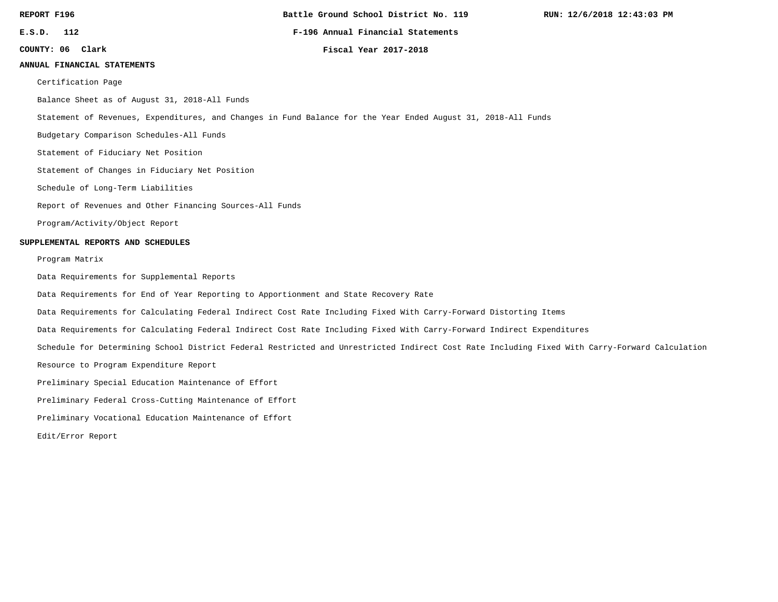**Battle Ground School District No. 119**

**E.S.D. 112 F-196 Annual Financial Statements**

**COUNTY: 06**

**Clark Fiscal Year 2017-2018**

#### **ANNUAL FINANCIAL STATEMENTS**

Certification Page

Balance Sheet as of August 31, 2018-All Funds

Statement of Revenues, Expenditures, and Changes in Fund Balance for the Year Ended August 31, 2018-All Funds

Budgetary Comparison Schedules-All Funds

Statement of Fiduciary Net Position

Statement of Changes in Fiduciary Net Position

Schedule of Long-Term Liabilities

Report of Revenues and Other Financing Sources-All Funds

Program/Activity/Object Report

#### **SUPPLEMENTAL REPORTS AND SCHEDULES**

Program Matrix

Data Requirements for Supplemental Reports

Data Requirements for End of Year Reporting to Apportionment and State Recovery Rate

Data Requirements for Calculating Federal Indirect Cost Rate Including Fixed With Carry-Forward Distorting Items

Data Requirements for Calculating Federal Indirect Cost Rate Including Fixed With Carry-Forward Indirect Expenditures

Schedule for Determining School District Federal Restricted and Unrestricted Indirect Cost Rate Including Fixed With Carry-Forward Calculation

Resource to Program Expenditure Report

Preliminary Special Education Maintenance of Effort

Preliminary Federal Cross-Cutting Maintenance of Effort

Preliminary Vocational Education Maintenance of Effort

Edit/Error Report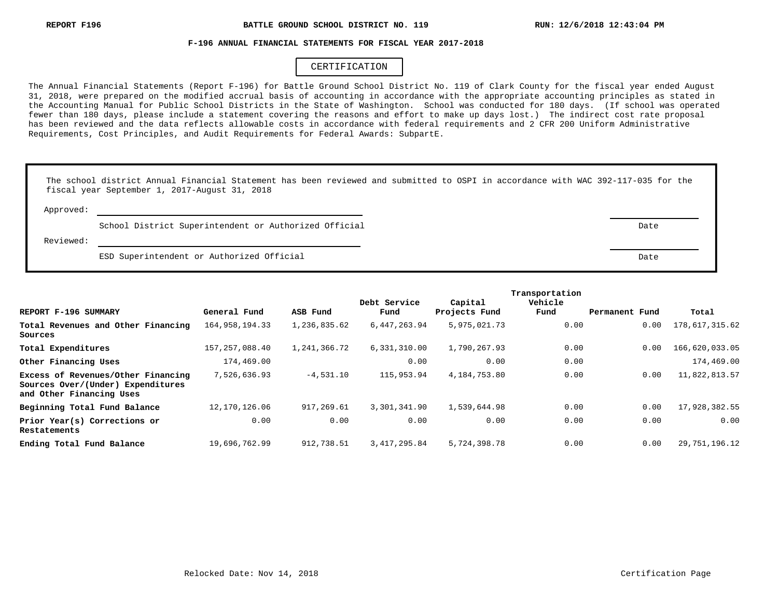#### **F-196 ANNUAL FINANCIAL STATEMENTS FOR FISCAL YEAR 2017-2018**

## CERTIFICATION

The Annual Financial Statements (Report F-196) for Battle Ground School District No. 119 of Clark County for the fiscal year ended August 31, 2018, were prepared on the modified accrual basis of accounting in accordance with the appropriate accounting principles as stated in the Accounting Manual for Public School Districts in the State of Washington. School was conducted for 180 days. (If school was operated fewer than 180 days, please include a statement covering the reasons and effort to make up days lost.) The indirect cost rate proposal has been reviewed and the data reflects allowable costs in accordance with federal requirements and 2 CFR 200 Uniform Administrative Requirements, Cost Principles, and Audit Requirements for Federal Awards: SubpartE.

|           | The school district Annual Financial Statement has been reviewed and submitted to OSPI in accordance with WAC 392-117-035 for the<br>fiscal year September 1, 2017-August 31, 2018 |      |
|-----------|------------------------------------------------------------------------------------------------------------------------------------------------------------------------------------|------|
| Approved: |                                                                                                                                                                                    |      |
|           | School District Superintendent or Authorized Official                                                                                                                              | Date |
| Reviewed: |                                                                                                                                                                                    |      |
|           | ESD Superintendent or Authorized Official                                                                                                                                          | Date |

|                                                                                                     |                   |              |                      |                          | Transportation  |                |                |
|-----------------------------------------------------------------------------------------------------|-------------------|--------------|----------------------|--------------------------|-----------------|----------------|----------------|
| REPORT F-196 SUMMARY                                                                                | General Fund      | ASB Fund     | Debt Service<br>Fund | Capital<br>Projects Fund | Vehicle<br>Fund | Permanent Fund | Total          |
| Total Revenues and Other Financing<br>Sources                                                       | 164, 958, 194. 33 | 1,236,835.62 | 6,447,263.94         | 5,975,021.73             | 0.00            | 0.00           | 178,617,315.62 |
| Total Expenditures                                                                                  | 157, 257, 088.40  | 1,241,366.72 | 6,331,310.00         | 1,790,267.93             | 0.00            | 0.00           | 166,620,033.05 |
| Other Financing Uses                                                                                | 174,469.00        |              | 0.00                 | 0.00                     | 0.00            |                | 174,469.00     |
| Excess of Revenues/Other Financing<br>Sources Over/(Under) Expenditures<br>and Other Financing Uses | 7,526,636.93      | $-4,531.10$  | 115,953.94           | 4,184,753.80             | 0.00            | 0.00           | 11,822,813.57  |
| Beginning Total Fund Balance                                                                        | 12, 170, 126.06   | 917,269.61   | 3,301,341.90         | 1,539,644.98             | 0.00            | 0.00           | 17,928,382.55  |
| Prior Year(s) Corrections or<br>Restatements                                                        | 0.00              | 0.00         | 0.00                 | 0.00                     | 0.00            | 0.00           | 0.00           |
| Ending Total Fund Balance                                                                           | 19,696,762.99     | 912,738.51   | 3, 417, 295, 84      | 5,724,398.78             | 0.00            | 0.00           | 29,751,196.12  |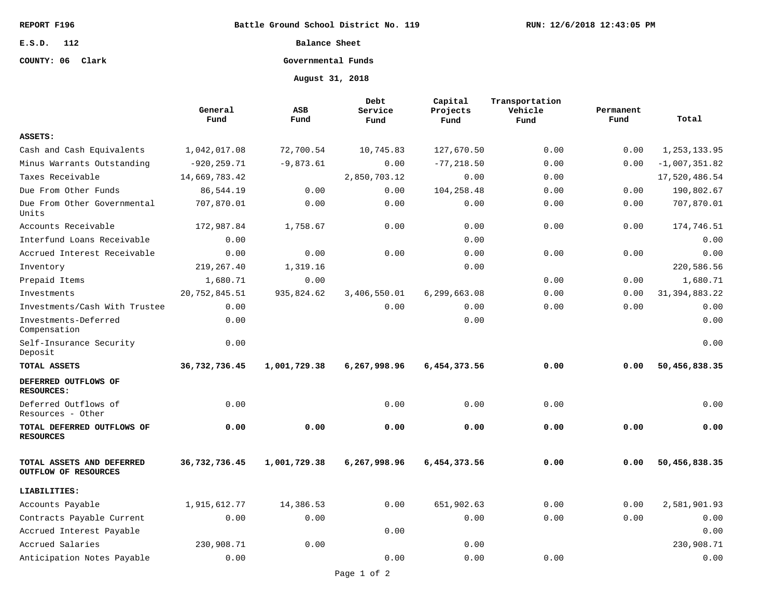**Battle Ground School District No. 119**

**E.S.D. 112**

## **COUNTY: 06 Clark**

**Balance Sheet**

## **Governmental Funds**

**August 31, 2018**

|                                                   | General<br>Fund | ASB<br>Fund  | Debt<br>Service<br>Fund | Capital<br>Projects<br>Fund | Transportation<br>Vehicle<br>Fund | Permanent<br>Fund | Total            |
|---------------------------------------------------|-----------------|--------------|-------------------------|-----------------------------|-----------------------------------|-------------------|------------------|
| ASSETS:                                           |                 |              |                         |                             |                                   |                   |                  |
| Cash and Cash Equivalents                         | 1,042,017.08    | 72,700.54    | 10,745.83               | 127,670.50                  | 0.00                              | 0.00              | 1, 253, 133.95   |
| Minus Warrants Outstanding                        | $-920, 259.71$  | $-9,873.61$  | 0.00                    | $-77, 218.50$               | 0.00                              | 0.00              | $-1,007,351.82$  |
| Taxes Receivable                                  | 14,669,783.42   |              | 2,850,703.12            | 0.00                        | 0.00                              |                   | 17,520,486.54    |
| Due From Other Funds                              | 86,544.19       | 0.00         | 0.00                    | 104,258.48                  | 0.00                              | 0.00              | 190,802.67       |
| Due From Other Governmental<br>Units              | 707,870.01      | 0.00         | 0.00                    | 0.00                        | 0.00                              | 0.00              | 707,870.01       |
| Accounts Receivable                               | 172,987.84      | 1,758.67     | 0.00                    | 0.00                        | 0.00                              | 0.00              | 174,746.51       |
| Interfund Loans Receivable                        | 0.00            |              |                         | 0.00                        |                                   |                   | 0.00             |
| Accrued Interest Receivable                       | 0.00            | 0.00         | 0.00                    | 0.00                        | 0.00                              | 0.00              | 0.00             |
| Inventory                                         | 219, 267.40     | 1,319.16     |                         | 0.00                        |                                   |                   | 220,586.56       |
| Prepaid Items                                     | 1,680.71        | 0.00         |                         |                             | 0.00                              | 0.00              | 1,680.71         |
| Investments                                       | 20,752,845.51   | 935,824.62   | 3,406,550.01            | 6,299,663.08                | 0.00                              | 0.00              | 31, 394, 883. 22 |
| Investments/Cash With Trustee                     | 0.00            |              | 0.00                    | 0.00                        | 0.00                              | 0.00              | 0.00             |
| Investments-Deferred<br>Compensation              | 0.00            |              |                         | 0.00                        |                                   |                   | 0.00             |
| Self-Insurance Security<br>Deposit                | 0.00            |              |                         |                             |                                   |                   | 0.00             |
| TOTAL ASSETS                                      | 36,732,736.45   | 1,001,729.38 | 6,267,998.96            | 6,454,373.56                | 0.00                              | 0.00              | 50,456,838.35    |
| DEFERRED OUTFLOWS OF<br><b>RESOURCES:</b>         |                 |              |                         |                             |                                   |                   |                  |
| Deferred Outflows of<br>Resources - Other         | 0.00            |              | 0.00                    | 0.00                        | 0.00                              |                   | 0.00             |
| TOTAL DEFERRED OUTFLOWS OF<br><b>RESOURCES</b>    | 0.00            | 0.00         | 0.00                    | 0.00                        | 0.00                              | 0.00              | 0.00             |
| TOTAL ASSETS AND DEFERRED<br>OUTFLOW OF RESOURCES | 36,732,736.45   | 1,001,729.38 | 6,267,998.96            | 6,454,373.56                | 0.00                              | 0.00              | 50,456,838.35    |
| LIABILITIES:                                      |                 |              |                         |                             |                                   |                   |                  |
| Accounts Payable                                  | 1,915,612.77    | 14,386.53    | 0.00                    | 651,902.63                  | 0.00                              | 0.00              | 2,581,901.93     |
| Contracts Payable Current                         | 0.00            | 0.00         |                         | 0.00                        | 0.00                              | 0.00              | 0.00             |
| Accrued Interest Payable                          |                 |              | 0.00                    |                             |                                   |                   | 0.00             |
| Accrued Salaries                                  | 230,908.71      | 0.00         |                         | 0.00                        |                                   |                   | 230,908.71       |
| Anticipation Notes Payable                        | 0.00            |              | 0.00                    | 0.00                        | 0.00                              |                   | 0.00             |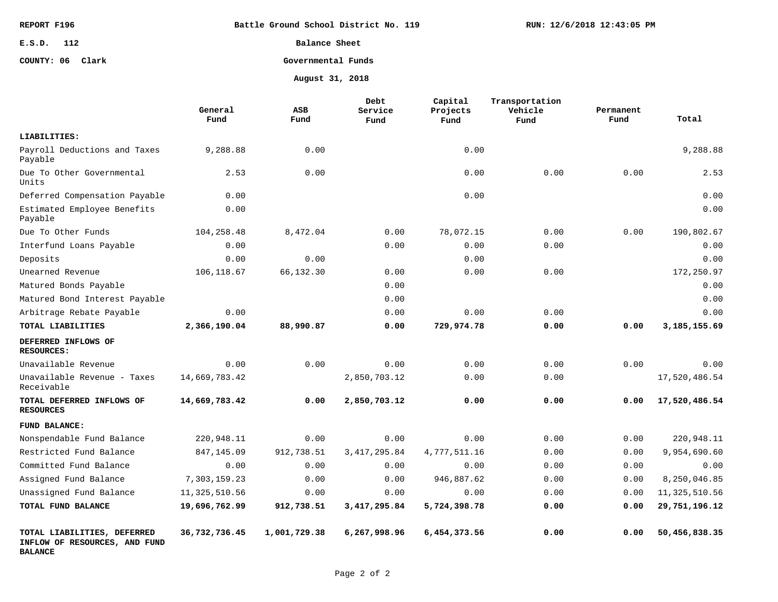| REPORT F196      | Battle Ground School District No. 119 | RUN: 12/6/2018 12:43:05 PM |
|------------------|---------------------------------------|----------------------------|
| E.S.D. 112       | Balance Sheet                         |                            |
| COUNTY: 06 Clark | Governmental Funds                    |                            |
|                  | August 31, 2018                       |                            |

|                                                                                | General<br>Fund | ASB<br>Fund  | Debt<br>Service<br>Fund | Capital<br>Projects<br>Fund | Transportation<br>Vehicle<br>Fund | Permanent<br>Fund | Total           |
|--------------------------------------------------------------------------------|-----------------|--------------|-------------------------|-----------------------------|-----------------------------------|-------------------|-----------------|
| LIABILITIES:                                                                   |                 |              |                         |                             |                                   |                   |                 |
| Payroll Deductions and Taxes<br>Payable                                        | 9,288.88        | 0.00         |                         | 0.00                        |                                   |                   | 9,288.88        |
| Due To Other Governmental<br>Units                                             | 2.53            | 0.00         |                         | 0.00                        | 0.00                              | 0.00              | 2.53            |
| Deferred Compensation Payable                                                  | 0.00            |              |                         | 0.00                        |                                   |                   | 0.00            |
| Estimated Employee Benefits<br>Payable                                         | 0.00            |              |                         |                             |                                   |                   | 0.00            |
| Due To Other Funds                                                             | 104,258.48      | 8,472.04     | 0.00                    | 78,072.15                   | 0.00                              | 0.00              | 190,802.67      |
| Interfund Loans Payable                                                        | 0.00            |              | 0.00                    | 0.00                        | 0.00                              |                   | 0.00            |
| Deposits                                                                       | 0.00            | 0.00         |                         | 0.00                        |                                   |                   | 0.00            |
| Unearned Revenue                                                               | 106,118.67      | 66,132.30    | 0.00                    | 0.00                        | 0.00                              |                   | 172,250.97      |
| Matured Bonds Payable                                                          |                 |              | 0.00                    |                             |                                   |                   | 0.00            |
| Matured Bond Interest Payable                                                  |                 |              | 0.00                    |                             |                                   |                   | 0.00            |
| Arbitrage Rebate Payable                                                       | 0.00            |              | 0.00                    | 0.00                        | 0.00                              |                   | 0.00            |
| TOTAL LIABILITIES                                                              | 2,366,190.04    | 88,990.87    | 0.00                    | 729,974.78                  | 0.00                              | 0.00              | 3,185,155.69    |
| DEFERRED INFLOWS OF<br><b>RESOURCES:</b>                                       |                 |              |                         |                             |                                   |                   |                 |
| Unavailable Revenue                                                            | 0.00            | 0.00         | 0.00                    | 0.00                        | 0.00                              | 0.00              | 0.00            |
| Unavailable Revenue - Taxes<br>Receivable                                      | 14,669,783.42   |              | 2,850,703.12            | 0.00                        | 0.00                              |                   | 17,520,486.54   |
| TOTAL DEFERRED INFLOWS OF<br><b>RESOURCES</b>                                  | 14,669,783.42   | 0.00         | 2,850,703.12            | 0.00                        | 0.00                              | 0.00              | 17,520,486.54   |
| FUND BALANCE:                                                                  |                 |              |                         |                             |                                   |                   |                 |
| Nonspendable Fund Balance                                                      | 220,948.11      | 0.00         | 0.00                    | 0.00                        | 0.00                              | 0.00              | 220,948.11      |
| Restricted Fund Balance                                                        | 847,145.09      | 912,738.51   | 3, 417, 295.84          | 4,777,511.16                | 0.00                              | 0.00              | 9,954,690.60    |
| Committed Fund Balance                                                         | 0.00            | 0.00         | 0.00                    | 0.00                        | 0.00                              | 0.00              | 0.00            |
| Assigned Fund Balance                                                          | 7,303,159.23    | 0.00         | 0.00                    | 946,887.62                  | 0.00                              | 0.00              | 8,250,046.85    |
| Unassigned Fund Balance                                                        | 11,325,510.56   | 0.00         | 0.00                    | 0.00                        | 0.00                              | 0.00              | 11, 325, 510.56 |
| TOTAL FUND BALANCE                                                             | 19,696,762.99   | 912,738.51   | 3, 417, 295.84          | 5,724,398.78                | 0.00                              | 0.00              | 29,751,196.12   |
| TOTAL LIABILITIES, DEFERRED<br>INFLOW OF RESOURCES, AND FUND<br><b>BALANCE</b> | 36,732,736.45   | 1,001,729.38 | 6,267,998.96            | 6,454,373.56                | 0.00                              | 0.00              | 50,456,838.35   |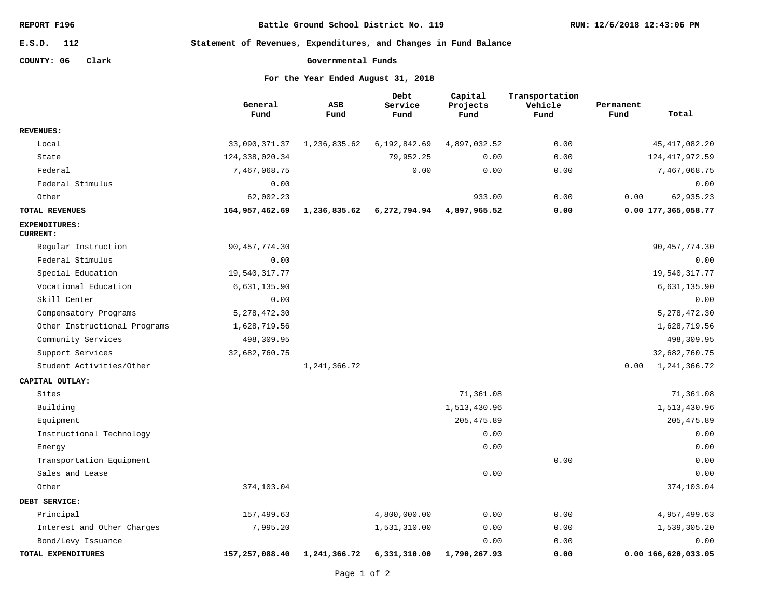**Battle Ground School District No. 119**

**RUN: 12/6/2018 12:43:06 PM**

**112 E.S.D.**

**Statement of Revenues, Expenditures, and Changes in Fund Balance**

**COUNTY: 06 Clark**

```
Governmental Funds
```
**For the Year Ended August 31, 2018**

|                                         | General<br>Fund  | ASB<br>Fund    | Debt<br>Service<br>Fund | Capital<br>Projects<br>Fund | Transportation<br>Vehicle<br>Fund | Permanent<br>Fund | Total               |
|-----------------------------------------|------------------|----------------|-------------------------|-----------------------------|-----------------------------------|-------------------|---------------------|
| <b>REVENUES:</b>                        |                  |                |                         |                             |                                   |                   |                     |
| Local                                   | 33,090,371.37    | 1,236,835.62   | 6,192,842.69            | 4,897,032.52                | 0.00                              |                   | 45, 417, 082.20     |
| State                                   | 124, 338, 020.34 |                | 79,952.25               | 0.00                        | 0.00                              |                   | 124, 417, 972.59    |
| Federal                                 | 7,467,068.75     |                | 0.00                    | 0.00                        | 0.00                              |                   | 7,467,068.75        |
| Federal Stimulus                        | 0.00             |                |                         |                             |                                   |                   | 0.00                |
| Other                                   | 62,002.23        |                |                         | 933.00                      | 0.00                              | 0.00              | 62,935.23           |
| TOTAL REVENUES                          | 164,957,462.69   | 1,236,835.62   | 6,272,794.94            | 4,897,965.52                | 0.00                              |                   | 0.00 177,365,058.77 |
| <b>EXPENDITURES:</b><br><b>CURRENT:</b> |                  |                |                         |                             |                                   |                   |                     |
| Regular Instruction                     | 90, 457, 774.30  |                |                         |                             |                                   |                   | 90, 457, 774.30     |
| Federal Stimulus                        | 0.00             |                |                         |                             |                                   |                   | 0.00                |
| Special Education                       | 19,540,317.77    |                |                         |                             |                                   |                   | 19,540,317.77       |
| Vocational Education                    | 6,631,135.90     |                |                         |                             |                                   |                   | 6,631,135.90        |
| Skill Center                            | 0.00             |                |                         |                             |                                   |                   | 0.00                |
| Compensatory Programs                   | 5, 278, 472.30   |                |                         |                             |                                   |                   | 5,278,472.30        |
| Other Instructional Programs            | 1,628,719.56     |                |                         |                             |                                   |                   | 1,628,719.56        |
| Community Services                      | 498,309.95       |                |                         |                             |                                   |                   | 498,309.95          |
| Support Services                        | 32,682,760.75    |                |                         |                             |                                   |                   | 32,682,760.75       |
| Student Activities/Other                |                  | 1, 241, 366.72 |                         |                             |                                   | 0.00              | 1,241,366.72        |
| CAPITAL OUTLAY:                         |                  |                |                         |                             |                                   |                   |                     |
| Sites                                   |                  |                |                         | 71,361.08                   |                                   |                   | 71,361.08           |
| Building                                |                  |                |                         | 1,513,430.96                |                                   |                   | 1,513,430.96        |
| Equipment                               |                  |                |                         | 205, 475.89                 |                                   |                   | 205, 475.89         |
| Instructional Technology                |                  |                |                         | 0.00                        |                                   |                   | 0.00                |
| Energy                                  |                  |                |                         | 0.00                        |                                   |                   | 0.00                |
| Transportation Equipment                |                  |                |                         |                             | 0.00                              |                   | 0.00                |
| Sales and Lease                         |                  |                |                         | 0.00                        |                                   |                   | 0.00                |
| Other                                   | 374,103.04       |                |                         |                             |                                   |                   | 374,103.04          |
| DEBT SERVICE:                           |                  |                |                         |                             |                                   |                   |                     |
| Principal                               | 157,499.63       |                | 4,800,000.00            | 0.00                        | 0.00                              |                   | 4,957,499.63        |
| Interest and Other Charges              | 7,995.20         |                | 1,531,310.00            | 0.00                        | 0.00                              |                   | 1,539,305.20        |
| Bond/Levy Issuance                      |                  |                |                         | 0.00                        | 0.00                              |                   | 0.00                |
| TOTAL EXPENDITURES                      | 157,257,088.40   | 1,241,366.72   | 6,331,310.00            | 1,790,267.93                | 0.00                              |                   | 0.00 166,620,033.05 |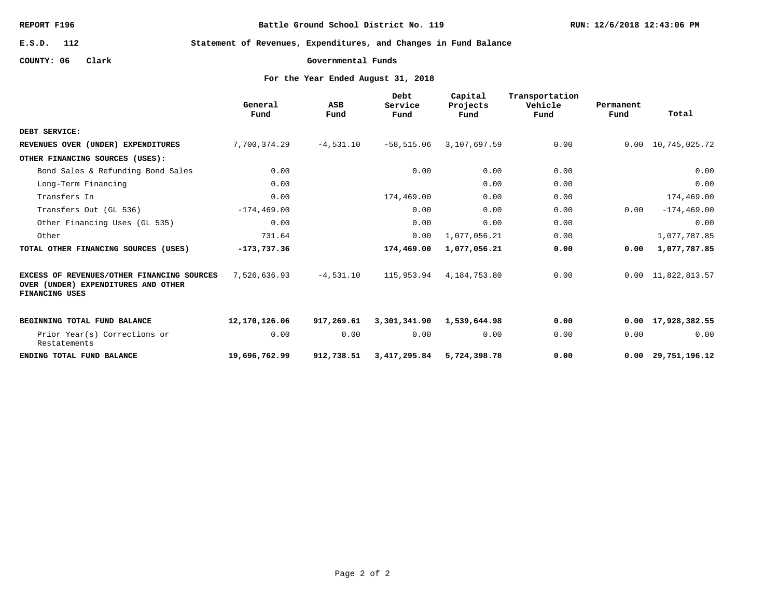**Battle Ground School District No. 119**

**RUN: 12/6/2018 12:43:06 PM**

**112 E.S.D.**

**Statement of Revenues, Expenditures, and Changes in Fund Balance**

**COUNTY: 06 Clark**

**Governmental Funds**

**For the Year Ended August 31, 2018**

|                                                                                                     | General<br>Fund | ASB<br>Fund | Debt<br>Service<br>Fund | Capital<br>Projects<br>Fund | Transportation<br>Vehicle<br>Fund | Permanent<br>Fund | Total                      |
|-----------------------------------------------------------------------------------------------------|-----------------|-------------|-------------------------|-----------------------------|-----------------------------------|-------------------|----------------------------|
| DEBT SERVICE:                                                                                       |                 |             |                         |                             |                                   |                   |                            |
| REVENUES OVER (UNDER) EXPENDITURES                                                                  | 7,700,374.29    | $-4,531.10$ | $-58,515.06$            | 3,107,697.59                | 0.00                              |                   | 0.00 10,745,025.72         |
| OTHER FINANCING SOURCES (USES):                                                                     |                 |             |                         |                             |                                   |                   |                            |
| Bond Sales & Refunding Bond Sales                                                                   | 0.00            |             | 0.00                    | 0.00                        | 0.00                              |                   | 0.00                       |
| Long-Term Financing                                                                                 | 0.00            |             |                         | 0.00                        | 0.00                              |                   | 0.00                       |
| Transfers In                                                                                        | 0.00            |             | 174,469.00              | 0.00                        | 0.00                              |                   | 174,469.00                 |
| Transfers Out (GL 536)                                                                              | $-174, 469.00$  |             | 0.00                    | 0.00                        | 0.00                              | 0.00              | $-174, 469.00$             |
| Other Financing Uses (GL 535)                                                                       | 0.00            |             | 0.00                    | 0.00                        | 0.00                              |                   | 0.00                       |
| Other                                                                                               | 731.64          |             | 0.00                    | 1,077,056.21                | 0.00                              |                   | 1,077,787.85               |
| TOTAL OTHER FINANCING SOURCES (USES)                                                                | $-173,737.36$   |             | 174,469.00              | 1,077,056.21                | 0.00                              | 0.00              | 1,077,787.85               |
| EXCESS OF REVENUES/OTHER FINANCING SOURCES<br>OVER (UNDER) EXPENDITURES AND OTHER<br>FINANCING USES | 7,526,636.93    | $-4,531.10$ | 115,953.94              | 4,184,753.80                | 0.00                              |                   | $0.00 \quad 11,822,813.57$ |
| BEGINNING TOTAL FUND BALANCE                                                                        | 12,170,126.06   | 917,269.61  | 3,301,341.90            | 1,539,644.98                | 0.00                              |                   | $0.00 \quad 17,928,382.55$ |
| Prior Year(s) Corrections or<br>Restatements                                                        | 0.00            | 0.00        | 0.00                    | 0.00                        | 0.00                              | 0.00              | 0.00                       |
| ENDING TOTAL FUND BALANCE                                                                           | 19,696,762.99   | 912,738.51  | 3,417,295.84            | 5,724,398.78                | 0.00                              |                   | $0.00 \quad 29,751,196.12$ |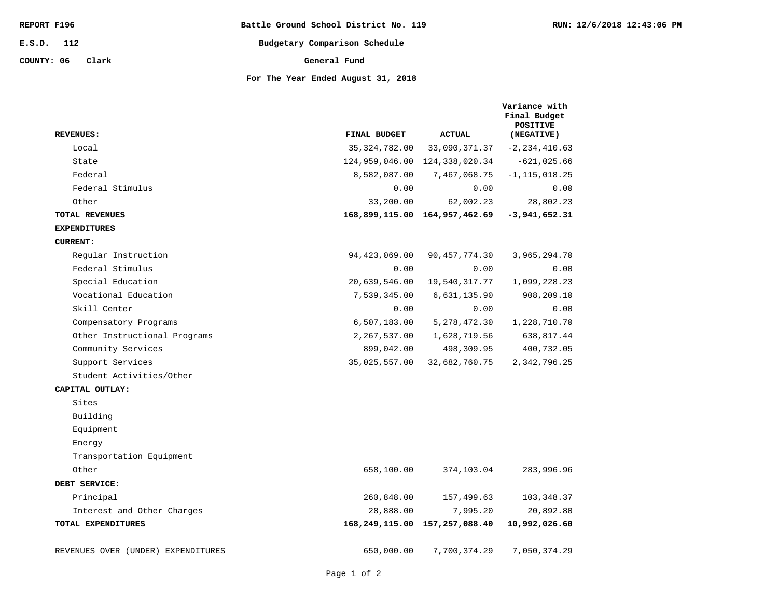| REPORT F196         | Battle Ground School District No. 119 | RUN: 12/6/2018 12:43:06 PM |
|---------------------|---------------------------------------|----------------------------|
| E.S.D. 112          | Budgetary Comparison Schedule         |                            |
| COUNTY: 06<br>Clark | General Fund                          |                            |
|                     | For The Year Ended August 31, 2018    |                            |

| <b>REVENUES:</b>                   | FINAL BUDGET    | <b>ACTUAL</b>                 | Variance with<br>Final Budget<br><b>POSITIVE</b><br>(NEGATIVE) |
|------------------------------------|-----------------|-------------------------------|----------------------------------------------------------------|
| Local                              | 35, 324, 782.00 | 33,090,371.37                 | $-2, 234, 410.63$                                              |
| State                              |                 | 124,959,046.00 124,338,020.34 | $-621,025.66$                                                  |
| Federal                            | 8,582,087.00    | 7,467,068.75                  | $-1, 115, 018.25$                                              |
| Federal Stimulus                   | 0.00            | 0.00                          | 0.00                                                           |
| Other                              | 33,200.00       | 62,002.23                     | 28,802.23                                                      |
| <b>TOTAL REVENUES</b>              |                 | 168,899,115.00 164,957,462.69 | $-3,941,652.31$                                                |
| <b>EXPENDITURES</b>                |                 |                               |                                                                |
| <b>CURRENT:</b>                    |                 |                               |                                                                |
| Regular Instruction                | 94, 423, 069.00 | 90, 457, 774.30               | 3,965,294.70                                                   |
| Federal Stimulus                   | 0.00            | 0.00                          | 0.00                                                           |
| Special Education                  | 20,639,546.00   | 19,540,317.77                 | 1,099,228.23                                                   |
| Vocational Education               | 7,539,345.00    | 6,631,135.90                  | 908,209.10                                                     |
| Skill Center                       | 0.00            | 0.00                          | 0.00                                                           |
| Compensatory Programs              | 6,507,183.00    | 5, 278, 472.30                | 1,228,710.70                                                   |
| Other Instructional Programs       | 2,267,537.00    | 1,628,719.56                  | 638,817.44                                                     |
| Community Services                 | 899,042.00      | 498,309.95                    | 400,732.05                                                     |
| Support Services                   | 35,025,557.00   | 32,682,760.75                 | 2,342,796.25                                                   |
| Student Activities/Other           |                 |                               |                                                                |
| CAPITAL OUTLAY:                    |                 |                               |                                                                |
| Sites                              |                 |                               |                                                                |
| Building                           |                 |                               |                                                                |
| Equipment                          |                 |                               |                                                                |
| Energy                             |                 |                               |                                                                |
| Transportation Equipment           |                 |                               |                                                                |
| Other                              | 658,100.00      | 374,103.04                    | 283,996.96                                                     |
| DEBT SERVICE:                      |                 |                               |                                                                |
| Principal                          | 260,848.00      | 157,499.63                    | 103,348.37                                                     |
| Interest and Other Charges         | 28,888.00       | 7,995.20                      | 20,892.80                                                      |
| TOTAL EXPENDITURES                 |                 | 168,249,115.00 157,257,088.40 | 10,992,026.60                                                  |
| REVENUES OVER (UNDER) EXPENDITURES | 650,000.00      | 7,700,374.29                  | 7,050,374.29                                                   |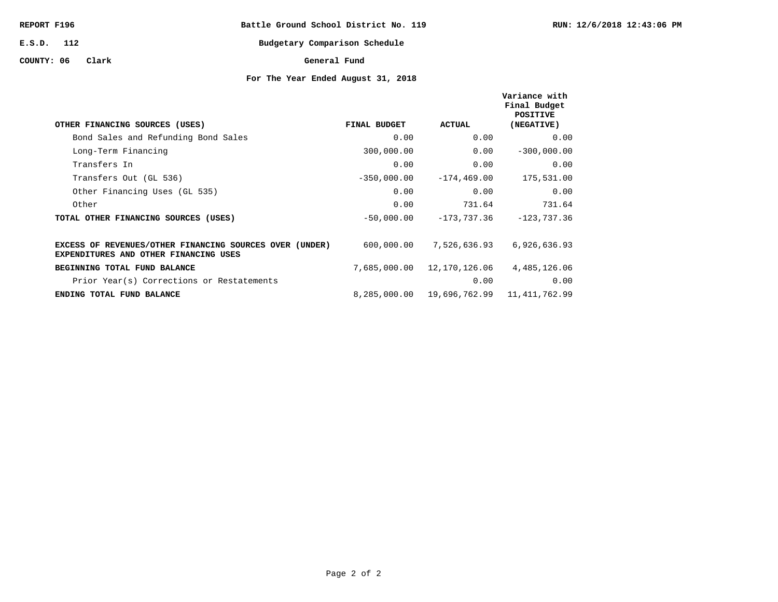| REPORT F196         | Battle Ground School District No. 119 |
|---------------------|---------------------------------------|
| E.S.D. 112          | Budgetary Comparison Schedule         |
| COUNTY: 06<br>Clark | General Fund                          |

## **For The Year Ended August 31, 2018**

**RUN: 12/6/2018 12:43:06 PM**

| OTHER FINANCING SOURCES (USES)                                                                   | <b>FINAL BUDGET</b> | <b>ACTUAL</b>  | Variance with<br>Final Budget<br>POSITIVE<br>(NEGATIVE) |
|--------------------------------------------------------------------------------------------------|---------------------|----------------|---------------------------------------------------------|
| Bond Sales and Refunding Bond Sales                                                              | 0.00                | 0.00           | 0.00                                                    |
| Long-Term Financing                                                                              | 300,000.00          | 0.00           | $-300,000.00$                                           |
| Transfers In                                                                                     | 0.00                | 0.00           | 0.00                                                    |
| Transfers Out (GL 536)                                                                           | $-350,000.00$       | $-174, 469.00$ | 175,531.00                                              |
| Other Financing Uses (GL 535)                                                                    | 0.00                | 0.00           | 0.00                                                    |
| Other                                                                                            | 0.00                | 731.64         | 731.64                                                  |
| TOTAL OTHER FINANCING SOURCES (USES)                                                             | $-50,000.00$        | $-173,737.36$  | $-123,737.36$                                           |
| EXCESS OF REVENUES/OTHER FINANCING SOURCES OVER (UNDER)<br>EXPENDITURES AND OTHER FINANCING USES | 600,000.00          | 7,526,636.93   | 6,926,636.93                                            |
| BEGINNING TOTAL FUND BALANCE                                                                     | 7,685,000.00        | 12,170,126.06  | 4,485,126.06                                            |
| Prior Year(s) Corrections or Restatements                                                        |                     | 0.00           | 0.00                                                    |
| ENDING TOTAL FUND BALANCE                                                                        | 8,285,000.00        | 19,696,762.99  | 11, 411, 762.99                                         |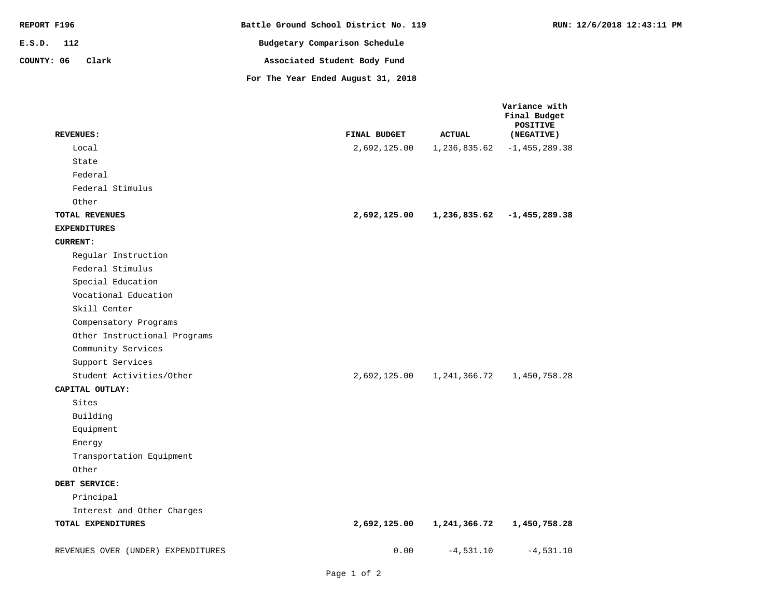| REPORT F196         | Battle Ground School District No. 119 | RUN: 12/6/2018 12:43:11 PM |
|---------------------|---------------------------------------|----------------------------|
| E.S.D. 112          | Budgetary Comparison Schedule         |                            |
| COUNTY: 06<br>Clark | Associated Student Body Fund          |                            |
|                     | For The Year Ended August 31, 2018    |                            |

| <b>REVENUES:</b>                   | FINAL BUDGET | <b>ACTUAL</b> | Variance with<br>Final Budget<br><b>POSITIVE</b><br>(NEGATIVE) |
|------------------------------------|--------------|---------------|----------------------------------------------------------------|
| Local                              | 2,692,125.00 | 1,236,835.62  | $-1, 455, 289.38$                                              |
| State                              |              |               |                                                                |
| Federal                            |              |               |                                                                |
| Federal Stimulus                   |              |               |                                                                |
| Other                              |              |               |                                                                |
| TOTAL REVENUES                     | 2,692,125.00 |               | $1, 236, 835.62$ -1, 455, 289.38                               |
| <b>EXPENDITURES</b>                |              |               |                                                                |
| <b>CURRENT:</b>                    |              |               |                                                                |
| Regular Instruction                |              |               |                                                                |
| Federal Stimulus                   |              |               |                                                                |
| Special Education                  |              |               |                                                                |
| Vocational Education               |              |               |                                                                |
| Skill Center                       |              |               |                                                                |
| Compensatory Programs              |              |               |                                                                |
| Other Instructional Programs       |              |               |                                                                |
| Community Services                 |              |               |                                                                |
| Support Services                   |              |               |                                                                |
| Student Activities/Other           | 2,692,125.00 |               | 1, 241, 366.72 1, 450, 758.28                                  |
| CAPITAL OUTLAY:                    |              |               |                                                                |
| Sites                              |              |               |                                                                |
| Building                           |              |               |                                                                |
| Equipment                          |              |               |                                                                |
| Energy                             |              |               |                                                                |
| Transportation Equipment           |              |               |                                                                |
| Other                              |              |               |                                                                |
| DEBT SERVICE:                      |              |               |                                                                |
| Principal                          |              |               |                                                                |
| Interest and Other Charges         |              |               |                                                                |
| TOTAL EXPENDITURES                 | 2,692,125.00 | 1,241,366.72  | 1,450,758.28                                                   |
| REVENUES OVER (UNDER) EXPENDITURES | 0.00         | $-4,531.10$   | $-4,531.10$                                                    |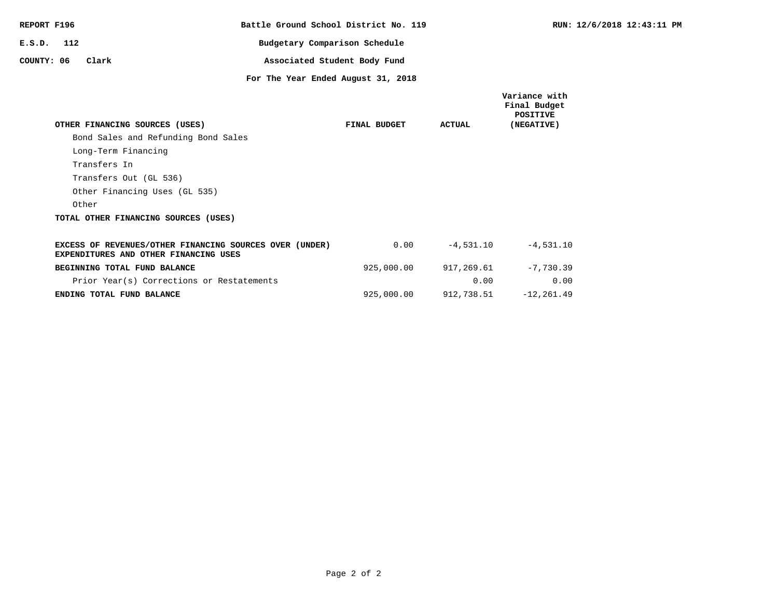| REPORT F196 |     |                                                                                                  | Battle Ground School District No. 119 |              |               | RUN:                                                           |
|-------------|-----|--------------------------------------------------------------------------------------------------|---------------------------------------|--------------|---------------|----------------------------------------------------------------|
| E.S.D.      | 112 |                                                                                                  | Budgetary Comparison Schedule         |              |               |                                                                |
| COUNTY: 06  |     | Clark                                                                                            | Associated Student Body Fund          |              |               |                                                                |
|             |     |                                                                                                  | For The Year Ended August 31, 2018    |              |               |                                                                |
|             |     | OTHER FINANCING SOURCES (USES)                                                                   |                                       | FINAL BUDGET | <b>ACTUAL</b> | Variance with<br>Final Budget<br><b>POSITIVE</b><br>(NEGATIVE) |
|             |     | Bond Sales and Refunding Bond Sales                                                              |                                       |              |               |                                                                |
|             |     | Long-Term Financing                                                                              |                                       |              |               |                                                                |
|             |     | Transfers In                                                                                     |                                       |              |               |                                                                |
|             |     | Transfers Out (GL 536)                                                                           |                                       |              |               |                                                                |
|             |     |                                                                                                  |                                       |              |               |                                                                |
|             |     | Other Financing Uses (GL 535)                                                                    |                                       |              |               |                                                                |
|             |     | Other                                                                                            |                                       |              |               |                                                                |
|             |     | TOTAL OTHER FINANCING SOURCES (USES)                                                             |                                       |              |               |                                                                |
|             |     | EXCESS OF REVENUES/OTHER FINANCING SOURCES OVER (UNDER)<br>EXPENDITURES AND OTHER FINANCING USES |                                       | 0.00         | $-4.531.10$   | $-4,531.10$                                                    |
|             |     | BEGINNING TOTAL FUND BALANCE                                                                     |                                       | 925,000.00   | 917,269.61    | $-7,730,39$                                                    |
|             |     | Prior Year(s) Corrections or Restatements                                                        |                                       |              | 0.00          | 0.00                                                           |
|             |     | ENDING TOTAL FUND BALANCE                                                                        |                                       | 925,000.00   | 912,738.51    | $-12, 261.49$                                                  |

**RUN: 12/6/2018 12:43:11 PM**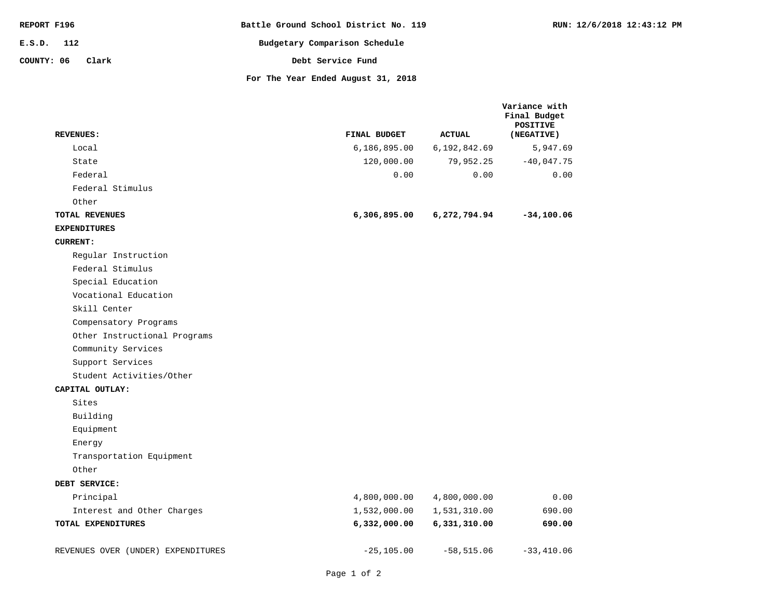| REPORT F196         | Battle Ground School District No. 119 | RUN: 12/6/2018 12:43:12 PM |
|---------------------|---------------------------------------|----------------------------|
| E.S.D. 112          | Budgetary Comparison Schedule         |                            |
| COUNTY: 06<br>Clark | Debt Service Fund                     |                            |
|                     | For The Year Ended August 31, 2018    |                            |

|                                    |                |               | Variance with<br>Final Budget<br><b>POSITIVE</b> |
|------------------------------------|----------------|---------------|--------------------------------------------------|
| <b>REVENUES:</b>                   | FINAL BUDGET   | <b>ACTUAL</b> | (NEGATIVE)                                       |
| Local                              | 6, 186, 895.00 | 6,192,842.69  | 5,947.69                                         |
| State                              | 120,000.00     | 79,952.25     | $-40,047.75$                                     |
| Federal                            | 0.00           | 0.00          | 0.00                                             |
| Federal Stimulus                   |                |               |                                                  |
| Other                              |                |               |                                                  |
| TOTAL REVENUES                     | 6,306,895.00   | 6,272,794.94  | $-34, 100.06$                                    |
| <b>EXPENDITURES</b>                |                |               |                                                  |
| <b>CURRENT:</b>                    |                |               |                                                  |
| Regular Instruction                |                |               |                                                  |
| Federal Stimulus                   |                |               |                                                  |
| Special Education                  |                |               |                                                  |
| Vocational Education               |                |               |                                                  |
| Skill Center                       |                |               |                                                  |
| Compensatory Programs              |                |               |                                                  |
| Other Instructional Programs       |                |               |                                                  |
| Community Services                 |                |               |                                                  |
| Support Services                   |                |               |                                                  |
| Student Activities/Other           |                |               |                                                  |
| CAPITAL OUTLAY:                    |                |               |                                                  |
| Sites                              |                |               |                                                  |
| Building                           |                |               |                                                  |
| Equipment                          |                |               |                                                  |
| Energy                             |                |               |                                                  |
| Transportation Equipment           |                |               |                                                  |
| Other                              |                |               |                                                  |
| DEBT SERVICE:                      |                |               |                                                  |
| Principal                          | 4,800,000.00   | 4,800,000.00  | 0.00                                             |
| Interest and Other Charges         | 1,532,000.00   | 1,531,310.00  | 690.00                                           |
| TOTAL EXPENDITURES                 | 6,332,000.00   | 6,331,310.00  | 690.00                                           |
| REVENUES OVER (UNDER) EXPENDITURES | $-25, 105.00$  | $-58,515.06$  | $-33,410.06$                                     |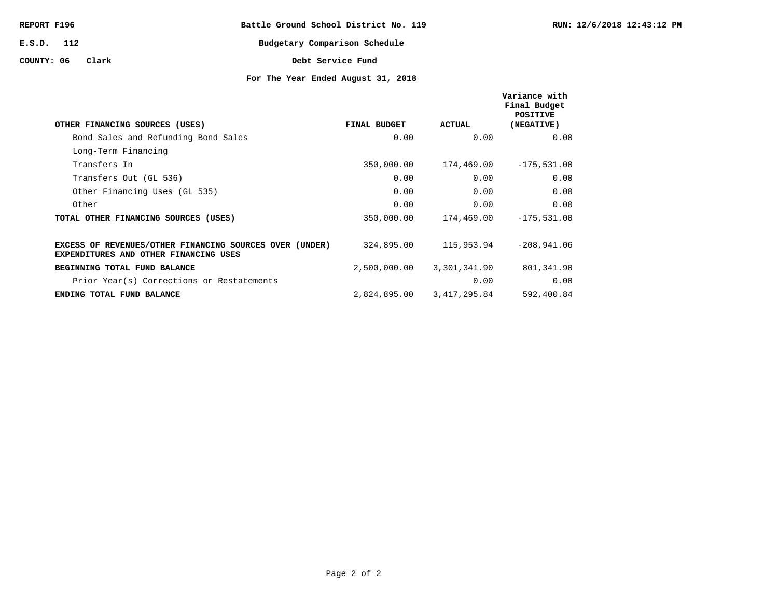| REPORT F196      |  |  | Battle Ground School District No. 119 |  |
|------------------|--|--|---------------------------------------|--|
| E.S.D. 112       |  |  | Budgetary Comparison Schedule         |  |
| COUNTY: 06 Clark |  |  | Debt Service Fund                     |  |

## **For The Year Ended August 31, 2018**

| OTHER FINANCING SOURCES (USES)                                                                   | FINAL BUDGET | ACTUAL       | Variance with<br>Final Budget<br>POSITIVE<br>(NEGATIVE) |
|--------------------------------------------------------------------------------------------------|--------------|--------------|---------------------------------------------------------|
| Bond Sales and Refunding Bond Sales                                                              | 0.00         | 0.00         | 0.00                                                    |
| Long-Term Financing                                                                              |              |              |                                                         |
| Transfers In                                                                                     | 350,000.00   | 174,469.00   | $-175,531.00$                                           |
| Transfers Out (GL 536)                                                                           | 0.00         | 0.00         | 0.00                                                    |
| Other Financing Uses (GL 535)                                                                    | 0.00         | 0.00         | 0.00                                                    |
| Other                                                                                            | 0.00         | 0.00         | 0.00                                                    |
| TOTAL OTHER FINANCING SOURCES (USES)                                                             | 350,000.00   | 174,469.00   | $-175,531.00$                                           |
| EXCESS OF REVENUES/OTHER FINANCING SOURCES OVER (UNDER)<br>EXPENDITURES AND OTHER FINANCING USES | 324,895.00   | 115,953.94   | $-208,941.06$                                           |
| BEGINNING TOTAL FUND BALANCE                                                                     | 2,500,000.00 | 3,301,341.90 | 801,341.90                                              |
| Prior Year(s) Corrections or Restatements                                                        |              | 0.00         | 0.00                                                    |
| ENDING TOTAL FUND BALANCE                                                                        | 2,824,895.00 | 3,417,295.84 | 592,400.84                                              |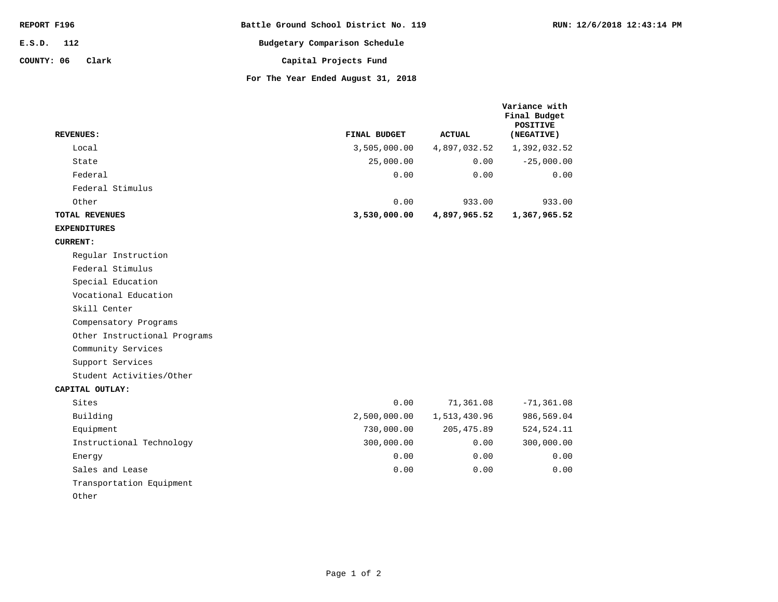| REPORT F196  |       | Battle Ground School District No. 119 |
|--------------|-------|---------------------------------------|
| $E.S.D.$ 112 |       | Budgetary Comparison Schedule         |
| COUNTY: 06   | Clark | Capital Projects Fund                 |
|              |       | For The Year Ended August 31, 2018    |

**Variance with** 

| <b>REVENUES:</b>             | FINAL BUDGET | <b>ACTUAL</b> | Final Budget<br><b>POSITIVE</b><br>(NEGATIVE) |
|------------------------------|--------------|---------------|-----------------------------------------------|
| Local                        | 3,505,000.00 | 4,897,032.52  | 1,392,032.52                                  |
| State                        | 25,000.00    | 0.00          | $-25,000.00$                                  |
| Federal                      | 0.00         | 0.00          | 0.00                                          |
| Federal Stimulus             |              |               |                                               |
| Other                        | 0.00         | 933.00        | 933.00                                        |
| TOTAL REVENUES               | 3,530,000.00 | 4,897,965.52  | 1,367,965.52                                  |
| <b>EXPENDITURES</b>          |              |               |                                               |
| <b>CURRENT:</b>              |              |               |                                               |
| Regular Instruction          |              |               |                                               |
| Federal Stimulus             |              |               |                                               |
| Special Education            |              |               |                                               |
| Vocational Education         |              |               |                                               |
| Skill Center                 |              |               |                                               |
| Compensatory Programs        |              |               |                                               |
| Other Instructional Programs |              |               |                                               |
| Community Services           |              |               |                                               |
| Support Services             |              |               |                                               |
| Student Activities/Other     |              |               |                                               |
| CAPITAL OUTLAY:              |              |               |                                               |
| Sites                        | 0.00         | 71,361.08     | $-71, 361.08$                                 |
| Building                     | 2,500,000.00 | 1,513,430.96  | 986,569.04                                    |
| Equipment                    | 730,000.00   | 205, 475.89   | 524, 524. 11                                  |
| Instructional Technology     | 300,000.00   | 0.00          | 300,000.00                                    |
| Energy                       | 0.00         | 0.00          | 0.00                                          |
| Sales and Lease              | 0.00         | 0.00          | 0.00                                          |
| Transportation Equipment     |              |               |                                               |
| Other                        |              |               |                                               |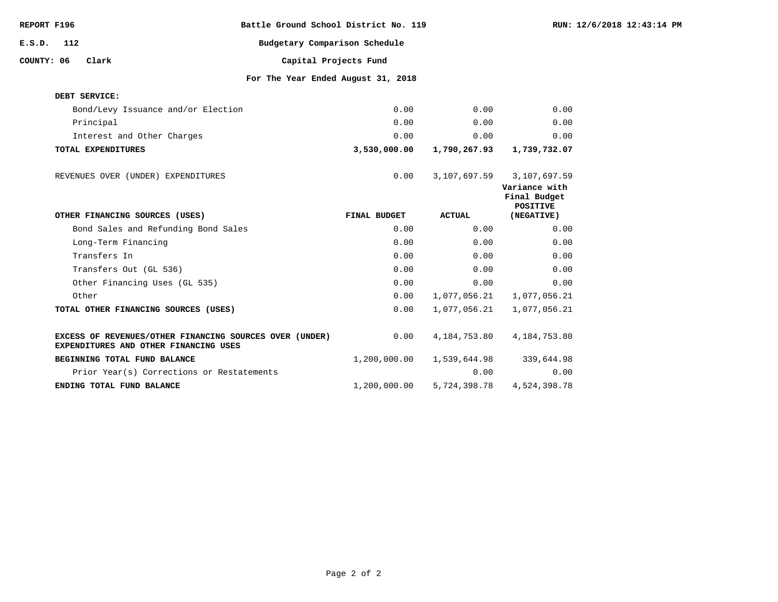| REPORT F196 |     |                                                                                                  | Battle Ground School District No. 119 |              |               |                                                                  | RUN: 12/6/2018 12:43:14 PM |
|-------------|-----|--------------------------------------------------------------------------------------------------|---------------------------------------|--------------|---------------|------------------------------------------------------------------|----------------------------|
| E.S.D.      | 112 |                                                                                                  | Budgetary Comparison Schedule         |              |               |                                                                  |                            |
| COUNTY: 06  |     | Clark                                                                                            | Capital Projects Fund                 |              |               |                                                                  |                            |
|             |     |                                                                                                  | For The Year Ended August 31, 2018    |              |               |                                                                  |                            |
|             |     | DEBT SERVICE:                                                                                    |                                       |              |               |                                                                  |                            |
|             |     | Bond/Levy Issuance and/or Election                                                               |                                       | 0.00         | 0.00          | 0.00                                                             |                            |
|             |     | Principal                                                                                        |                                       | 0.00         | 0.00          | 0.00                                                             |                            |
|             |     | Interest and Other Charges                                                                       |                                       | 0.00         | 0.00          | 0.00                                                             |                            |
|             |     | TOTAL EXPENDITURES                                                                               |                                       | 3,530,000.00 | 1,790,267.93  | 1,739,732.07                                                     |                            |
|             |     | REVENUES OVER (UNDER) EXPENDITURES                                                               |                                       | 0.00         | 3,107,697.59  | 3,107,697.59<br>Variance with<br>Final Budget<br><b>POSITIVE</b> |                            |
|             |     | OTHER FINANCING SOURCES (USES)                                                                   |                                       | FINAL BUDGET | <b>ACTUAL</b> | (NEGATIVE)                                                       |                            |
|             |     | Bond Sales and Refunding Bond Sales                                                              |                                       | 0.00         | 0.00          | 0.00                                                             |                            |
|             |     | Long-Term Financing                                                                              |                                       | 0.00         | 0.00          | 0.00                                                             |                            |
|             |     | Transfers In                                                                                     |                                       | 0.00         | 0.00          | 0.00                                                             |                            |
|             |     | Transfers Out (GL 536)                                                                           |                                       | 0.00         | 0.00          | 0.00                                                             |                            |
|             |     | Other Financing Uses (GL 535)                                                                    |                                       | 0.00         | 0.00          | 0.00                                                             |                            |
|             |     | Other                                                                                            |                                       | 0.00         | 1,077,056.21  | 1,077,056.21                                                     |                            |
|             |     | TOTAL OTHER FINANCING SOURCES (USES)                                                             |                                       | 0.00         | 1,077,056.21  | 1,077,056.21                                                     |                            |
|             |     | EXCESS OF REVENUES/OTHER FINANCING SOURCES OVER (UNDER)<br>EXPENDITURES AND OTHER FINANCING USES |                                       | 0.00         | 4,184,753.80  | 4, 184, 753.80                                                   |                            |
|             |     | BEGINNING TOTAL FUND BALANCE                                                                     |                                       | 1,200,000.00 | 1,539,644.98  | 339,644.98                                                       |                            |
|             |     | Prior Year(s) Corrections or Restatements                                                        |                                       |              | 0.00          | 0.00                                                             |                            |
|             |     | ENDING TOTAL FUND BALANCE                                                                        |                                       | 1,200,000.00 | 5,724,398.78  | 4,524,398.78                                                     |                            |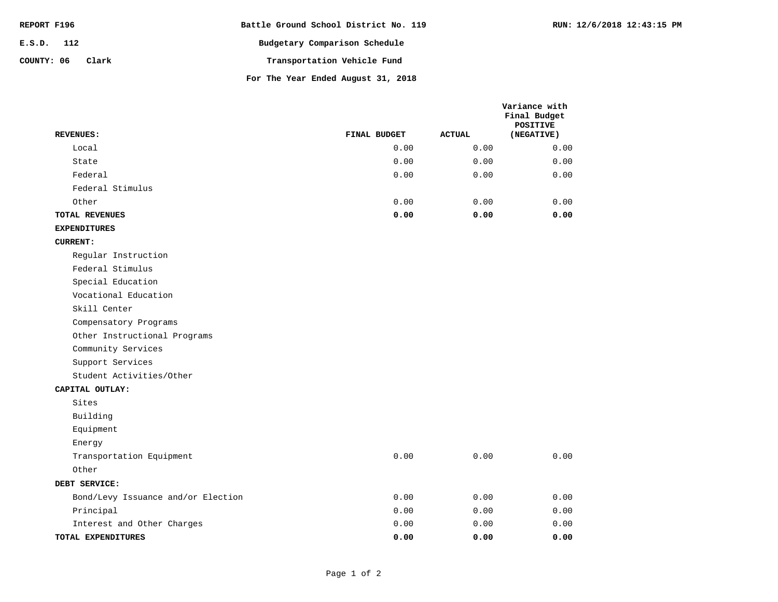| REPORT F196         | Battle Ground School District No. 119 |
|---------------------|---------------------------------------|
| $E.S.D.$ 112        | Budgetary Comparison Schedule         |
| COUNTY: 06<br>Clark | Transportation Vehicle Fund           |
|                     | For The Year Ended August 31, 2018    |

|  | RUN: 12/6/2018 12:43:15 PM |  |
|--|----------------------------|--|
|  |                            |  |

**Variance with** 

0.00 0.00 0.00 Other Transportation Equipment Energy Equipment Building Sites **CAPITAL OUTLAY: EXPENDITURES 0.00 0.00 0.00** 0.00 0.00 0.00 0.00 0.00 0.00 0.00 0.00 0.00 **TOTAL EXPENDITURES** Interest and Other Charges Principal Bond/Levy Issuance and/or Election **DEBT SERVICE:** Student Activities/Other Support Services Community Services Other Instructional Programs Compensatory Programs Skill Center Vocational Education Special Education Federal Stimulus Regular Instruction **CURRENT: 0.00 0.00 0.00** 0.00 0.00 0.00 0.00 0.00 0.00 0.00 0.00 0.00 0.00 0.00 0.00 **TOTAL REVENUES** Other Federal Stimulus Federal State Local **Final Budget POSITIVE REVENUES: FINAL BUDGET ACTUAL (NEGATIVE)**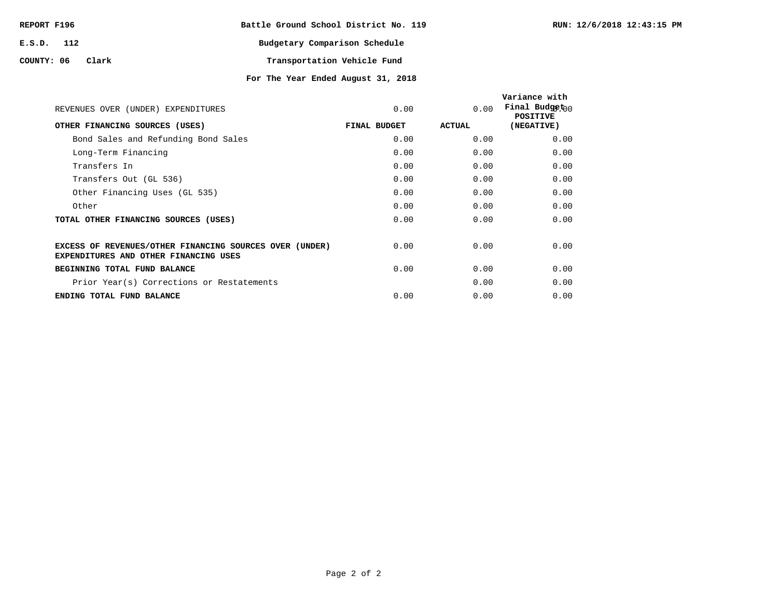| REPORT F196 |       | Battle Ground School District No. 119 |                             |  |
|-------------|-------|---------------------------------------|-----------------------------|--|
| E.S.D. 112  |       | Budgetary Comparison Schedule         |                             |  |
| COUNTY: 06  | Clark |                                       | Transportation Vehicle Fund |  |

**For The Year Ended August 31, 2018**

| REVENUES OVER (UNDER) EXPENDITURES                                                                      | 0.00         | 0.00   | Variance with<br>Final Budget $n_0$<br><b>POSITIVE</b> |
|---------------------------------------------------------------------------------------------------------|--------------|--------|--------------------------------------------------------|
| OTHER FINANCING SOURCES (USES)                                                                          | FINAL BUDGET | ACTUAL | (NEGATIVE)                                             |
| Bond Sales and Refunding Bond Sales                                                                     | 0.00         | 0.00   | 0.00                                                   |
| Long-Term Financing                                                                                     | 0.00         | 0.00   | 0.00                                                   |
| Transfers In                                                                                            | 0.00         | 0.00   | 0.00                                                   |
| Transfers Out (GL 536)                                                                                  | 0.00         | 0.00   | 0.00                                                   |
| Other Financing Uses (GL 535)                                                                           | 0.00         | 0.00   | 0.00                                                   |
| Other                                                                                                   | 0.00         | 0.00   | 0.00                                                   |
| TOTAL OTHER FINANCING SOURCES (USES)                                                                    | 0.00         | 0.00   | 0.00                                                   |
| EXCESS OF REVENUES/OTHER FINANCING SOURCES OVER (UNDER)<br><b>EXPENDITURES AND OTHER FINANCING USES</b> | 0.00         | 0.00   | 0.00                                                   |
| BEGINNING TOTAL FUND BALANCE                                                                            | 0.00         | 0.00   | 0.00                                                   |
| Prior Year(s) Corrections or Restatements                                                               |              | 0.00   | 0.00                                                   |
| ENDING TOTAL FUND BALANCE                                                                               | 0.00         | 0.00   | 0.00                                                   |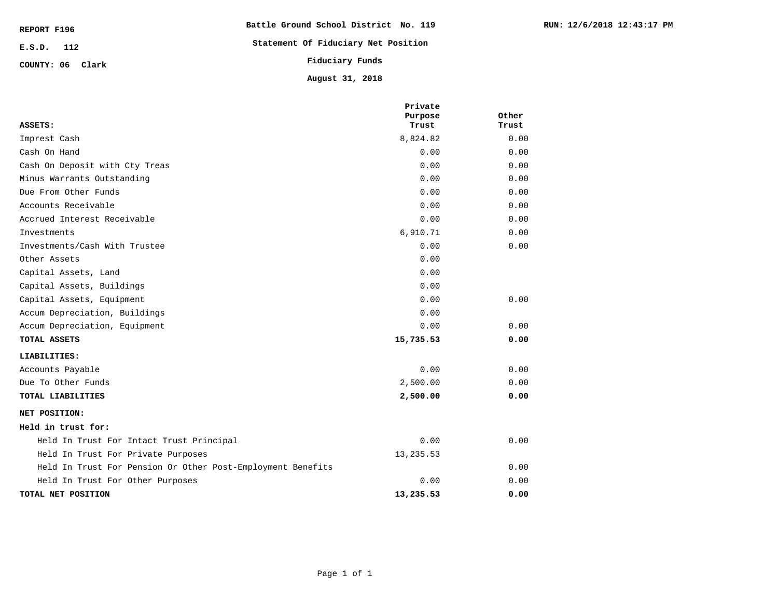| REPORT F196      | Battle Ground School District No. 119 |
|------------------|---------------------------------------|
| $E.S.D.$ 112     | Statement Of Fiduciary Net Position   |
| COUNTY: 06 Clark | Fiduciary Funds                       |
|                  | August 31, 2018                       |

|                                                             | Private<br>Purpose | Other |
|-------------------------------------------------------------|--------------------|-------|
| ASSETS:                                                     | Trust              | Trust |
| Imprest Cash                                                | 8,824.82           | 0.00  |
| Cash On Hand                                                | 0.00               | 0.00  |
| Cash On Deposit with Cty Treas                              | 0.00               | 0.00  |
| Minus Warrants Outstanding                                  | 0.00               | 0.00  |
| Due From Other Funds                                        | 0.00               | 0.00  |
| Accounts Receivable                                         | 0.00               | 0.00  |
| Accrued Interest Receivable                                 | 0.00               | 0.00  |
| Investments                                                 | 6,910.71           | 0.00  |
| Investments/Cash With Trustee                               | 0.00               | 0.00  |
| Other Assets                                                | 0.00               |       |
| Capital Assets, Land                                        | 0.00               |       |
| Capital Assets, Buildings                                   | 0.00               |       |
| Capital Assets, Equipment                                   | 0.00               | 0.00  |
| Accum Depreciation, Buildings                               | 0.00               |       |
| Accum Depreciation, Equipment                               | 0.00               | 0.00  |
| TOTAL ASSETS                                                | 15,735.53          | 0.00  |
| LIABILITIES:                                                |                    |       |
| Accounts Payable                                            | 0.00               | 0.00  |
| Due To Other Funds                                          | 2,500.00           | 0.00  |
| TOTAL LIABILITIES                                           | 2,500.00           | 0.00  |
| NET POSITION:                                               |                    |       |
| Held in trust for:                                          |                    |       |
| Held In Trust For Intact Trust Principal                    | 0.00               | 0.00  |
| Held In Trust For Private Purposes                          | 13,235.53          |       |
| Held In Trust For Pension Or Other Post-Employment Benefits |                    | 0.00  |
| Held In Trust For Other Purposes                            | 0.00               | 0.00  |
| TOTAL NET POSITION                                          | 13,235.53          | 0.00  |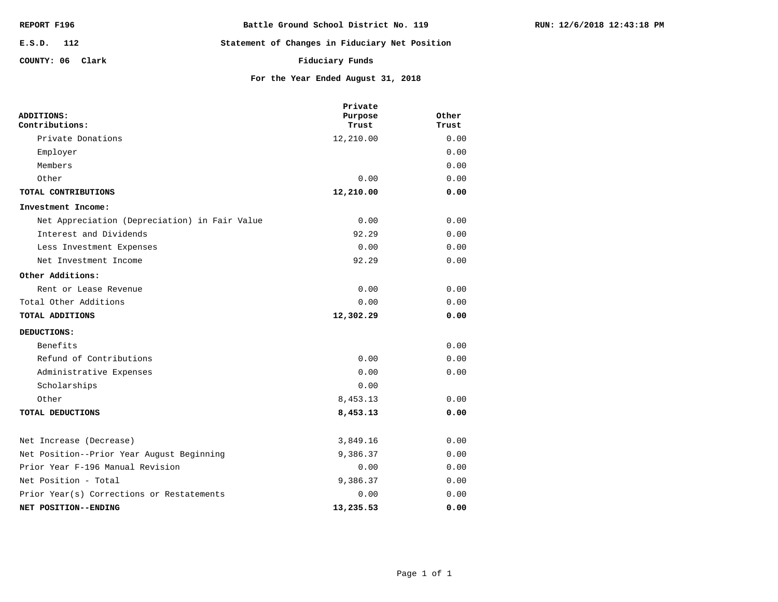| REPORT F196      | Battle Ground School District No. 119          |
|------------------|------------------------------------------------|
| E.S.D. 112       | Statement of Changes in Fiduciary Net Position |
| COUNTY: 06 Clark | Fiduciary Funds                                |

**TOTAL DEDUCTIONS** Other

**NET POSITION--ENDING**

Net Position - Total

Net Increase (Decrease)

Prior Year(s) Corrections or Restatements

Net Position--Prior Year August Beginning

Prior Year F-196 Manual Revision

|                                               | Private   |       |
|-----------------------------------------------|-----------|-------|
| ADDITIONS:                                    | Purpose   | Other |
| Contributions:                                | Trust     | Trust |
| Private Donations                             | 12,210.00 | 0.00  |
| Employer                                      |           | 0.00  |
| Members                                       |           | 0.00  |
| Other                                         | 0.00      | 0.00  |
| TOTAL CONTRIBUTIONS                           | 12,210.00 | 0.00  |
| Investment Income:                            |           |       |
| Net Appreciation (Depreciation) in Fair Value | 0.00      | 0.00  |
| Interest and Dividends                        | 92.29     | 0.00  |
| Less Investment Expenses                      | 0.00      | 0.00  |
| Net Investment Income                         | 92.29     | 0.00  |
| Other Additions:                              |           |       |
| Rent or Lease Revenue                         | 0.00      | 0.00  |
| Total Other Additions                         | 0.00      | 0.00  |
| TOTAL ADDITIONS                               | 12,302.29 | 0.00  |
| DEDUCTIONS:                                   |           |       |
| Benefits                                      |           | 0.00  |
| Refund of Contributions                       | 0.00      | 0.00  |
| Administrative Expenses                       | 0.00      | 0.00  |
| Scholarships                                  | 0.00      |       |

**For the Year Ended August 31, 2018**

**8,453.13 0.00** 8,453.13 0.00

**13,235.53 0.00** 0.00 0.00 9,386.37 0.00 0.00 0.00 9,386.37 0.00 3,849.16 0.00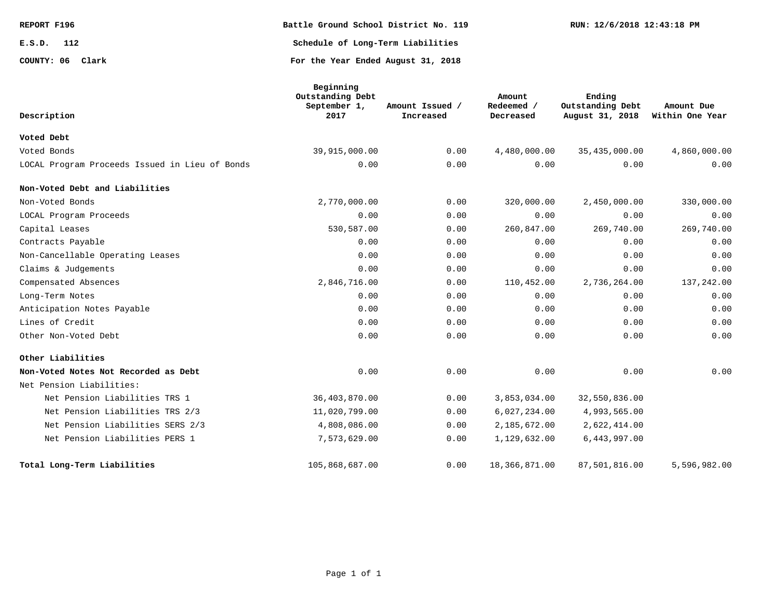| REPORT F196      | Battle Ground School District No. 119 | RUN: 12/6/2018 12:43:18 PM |
|------------------|---------------------------------------|----------------------------|
| E.S.D.<br>112    | Schedule of Long-Term Liabilities     |                            |
| COUNTY: 06 Clark | For the Year Ended August 31, 2018    |                            |

| Description                                    | Beginning<br>Outstanding Debt<br>September 1,<br>2017 | Amount Issued /<br>Increased | Amount<br>Redeemed /<br>Decreased | Ending<br>Outstanding Debt<br>August 31, 2018 | Amount Due<br>Within One Year |
|------------------------------------------------|-------------------------------------------------------|------------------------------|-----------------------------------|-----------------------------------------------|-------------------------------|
| Voted Debt                                     |                                                       |                              |                                   |                                               |                               |
| Voted Bonds                                    | 39,915,000.00                                         | 0.00                         | 4,480,000.00                      | 35,435,000.00                                 | 4,860,000.00                  |
| LOCAL Program Proceeds Issued in Lieu of Bonds | 0.00                                                  | 0.00                         | 0.00                              | 0.00                                          | 0.00                          |
| Non-Voted Debt and Liabilities                 |                                                       |                              |                                   |                                               |                               |
| Non-Voted Bonds                                | 2,770,000.00                                          | 0.00                         | 320,000.00                        | 2,450,000.00                                  | 330,000.00                    |
| LOCAL Program Proceeds                         | 0.00                                                  | 0.00                         | 0.00                              | 0.00                                          | 0.00                          |
| Capital Leases                                 | 530,587.00                                            | 0.00                         | 260,847.00                        | 269,740.00                                    | 269,740.00                    |
| Contracts Payable                              | 0.00                                                  | 0.00                         | 0.00                              | 0.00                                          | 0.00                          |
| Non-Cancellable Operating Leases               | 0.00                                                  | 0.00                         | 0.00                              | 0.00                                          | 0.00                          |
| Claims & Judgements                            | 0.00                                                  | 0.00                         | 0.00                              | 0.00                                          | 0.00                          |
| Compensated Absences                           | 2,846,716.00                                          | 0.00                         | 110,452.00                        | 2,736,264.00                                  | 137,242.00                    |
| Long-Term Notes                                | 0.00                                                  | 0.00                         | 0.00                              | 0.00                                          | 0.00                          |
| Anticipation Notes Payable                     | 0.00                                                  | 0.00                         | 0.00                              | 0.00                                          | 0.00                          |
| Lines of Credit                                | 0.00                                                  | 0.00                         | 0.00                              | 0.00                                          | 0.00                          |
| Other Non-Voted Debt                           | 0.00                                                  | 0.00                         | 0.00                              | 0.00                                          | 0.00                          |
| Other Liabilities                              |                                                       |                              |                                   |                                               |                               |
| Non-Voted Notes Not Recorded as Debt           | 0.00                                                  | 0.00                         | 0.00                              | 0.00                                          | 0.00                          |
| Net Pension Liabilities:                       |                                                       |                              |                                   |                                               |                               |
| Net Pension Liabilities TRS 1                  | 36,403,870.00                                         | 0.00                         | 3,853,034.00                      | 32,550,836.00                                 |                               |
| Net Pension Liabilities TRS 2/3                | 11,020,799.00                                         | 0.00                         | 6,027,234.00                      | 4,993,565.00                                  |                               |
| Net Pension Liabilities SERS 2/3               | 4,808,086.00                                          | 0.00                         | 2,185,672.00                      | 2,622,414.00                                  |                               |
| Net Pension Liabilities PERS 1                 | 7,573,629.00                                          | 0.00                         | 1,129,632.00                      | 6,443,997.00                                  |                               |
| Total Long-Term Liabilities                    | 105,868,687.00                                        | 0.00                         | 18,366,871.00                     | 87,501,816.00                                 | 5,596,982.00                  |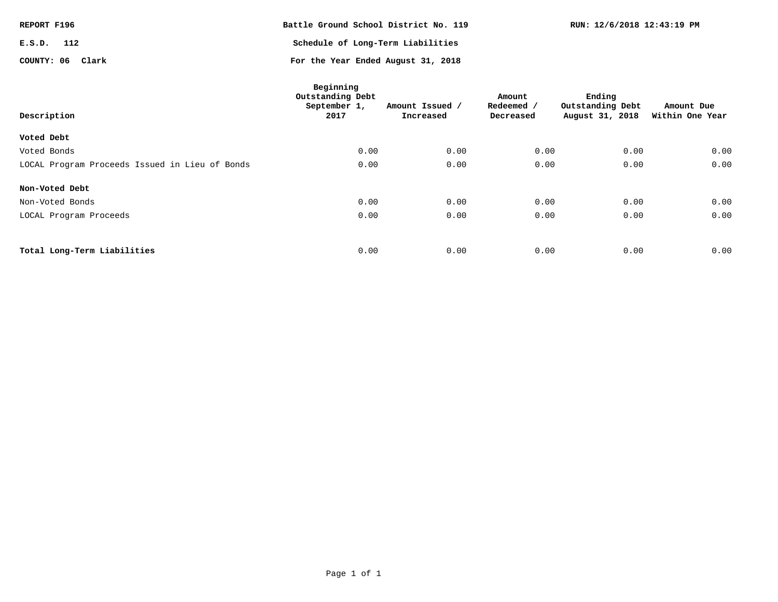| REPORT F196      | Battle Ground School District No. 119 | RUN: 12/6/2018 12:43:19 PM |
|------------------|---------------------------------------|----------------------------|
| E.S.D.<br>112    | Schedule of Long-Term Liabilities     |                            |
| COUNTY: 06 Clark | For the Year Ended August 31, 2018    |                            |

| Description                                    | Beginning<br>Outstanding Debt<br>September 1,<br>2017 | Amount Issued /<br>Increased | Amount<br>Redeemed /<br>Decreased | Ending<br>Outstanding Debt<br>August 31, 2018 | Amount Due<br>Within One Year |
|------------------------------------------------|-------------------------------------------------------|------------------------------|-----------------------------------|-----------------------------------------------|-------------------------------|
| Voted Debt                                     |                                                       |                              |                                   |                                               |                               |
| Voted Bonds                                    | 0.00                                                  | 0.00                         | 0.00                              | 0.00                                          | 0.00                          |
| LOCAL Program Proceeds Issued in Lieu of Bonds | 0.00                                                  | 0.00                         | 0.00                              | 0.00                                          | 0.00                          |
| Non-Voted Debt                                 |                                                       |                              |                                   |                                               |                               |
| Non-Voted Bonds                                | 0.00                                                  | 0.00                         | 0.00                              | 0.00                                          | 0.00                          |
| LOCAL Program Proceeds                         | 0.00                                                  | 0.00                         | 0.00                              | 0.00                                          | 0.00                          |
|                                                |                                                       |                              |                                   |                                               |                               |
| Total Long-Term Liabilities                    | 0.00                                                  | 0.00                         | 0.00                              | 0.00                                          | 0.00                          |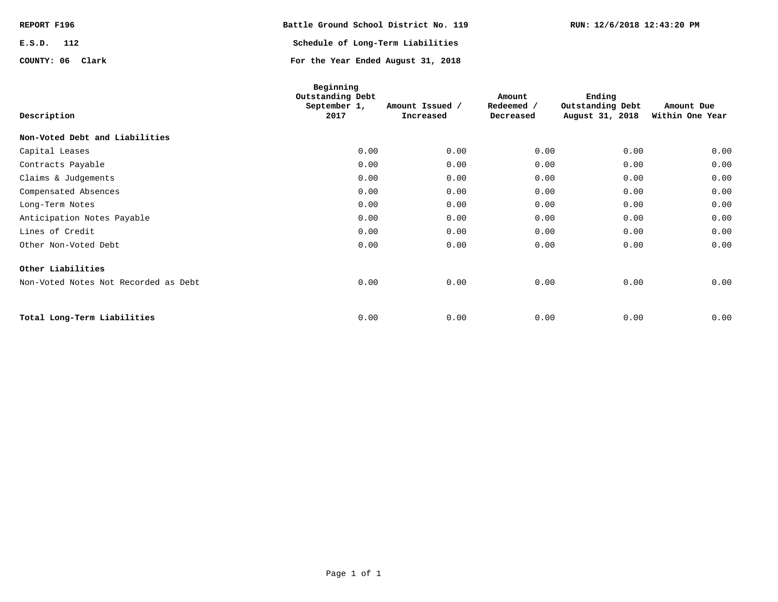| REPORT F196      | Battle Ground School District No. 119 | RUN: 12/6/2018 12:43:20 PM |
|------------------|---------------------------------------|----------------------------|
| E.S.D.<br>112    | Schedule of Long-Term Liabilities     |                            |
| COUNTY: 06 Clark | For the Year Ended August 31, 2018    |                            |

| Description                          | Beginning<br>Outstanding Debt<br>September 1,<br>2017 | Amount Issued /<br>Increased | Amount<br>Redeemed /<br>Decreased | Ending<br>Outstanding Debt<br>August 31, 2018 | Amount Due<br>Within One Year |
|--------------------------------------|-------------------------------------------------------|------------------------------|-----------------------------------|-----------------------------------------------|-------------------------------|
| Non-Voted Debt and Liabilities       |                                                       |                              |                                   |                                               |                               |
| Capital Leases                       | 0.00                                                  | 0.00                         | 0.00                              | 0.00                                          | 0.00                          |
| Contracts Payable                    | 0.00                                                  | 0.00                         | 0.00                              | 0.00                                          | 0.00                          |
| Claims & Judgements                  | 0.00                                                  | 0.00                         | 0.00                              | 0.00                                          | 0.00                          |
| Compensated Absences                 | 0.00                                                  | 0.00                         | 0.00                              | 0.00                                          | 0.00                          |
| Long-Term Notes                      | 0.00                                                  | 0.00                         | 0.00                              | 0.00                                          | 0.00                          |
| Anticipation Notes Payable           | 0.00                                                  | 0.00                         | 0.00                              | 0.00                                          | 0.00                          |
| Lines of Credit                      | 0.00                                                  | 0.00                         | 0.00                              | 0.00                                          | 0.00                          |
| Other Non-Voted Debt                 | 0.00                                                  | 0.00                         | 0.00                              | 0.00                                          | 0.00                          |
| Other Liabilities                    |                                                       |                              |                                   |                                               |                               |
| Non-Voted Notes Not Recorded as Debt | 0.00                                                  | 0.00                         | 0.00                              | 0.00                                          | 0.00                          |
|                                      |                                                       |                              |                                   |                                               |                               |
| Total Long-Term Liabilities          | 0.00                                                  | 0.00                         | 0.00                              | 0.00                                          | 0.00                          |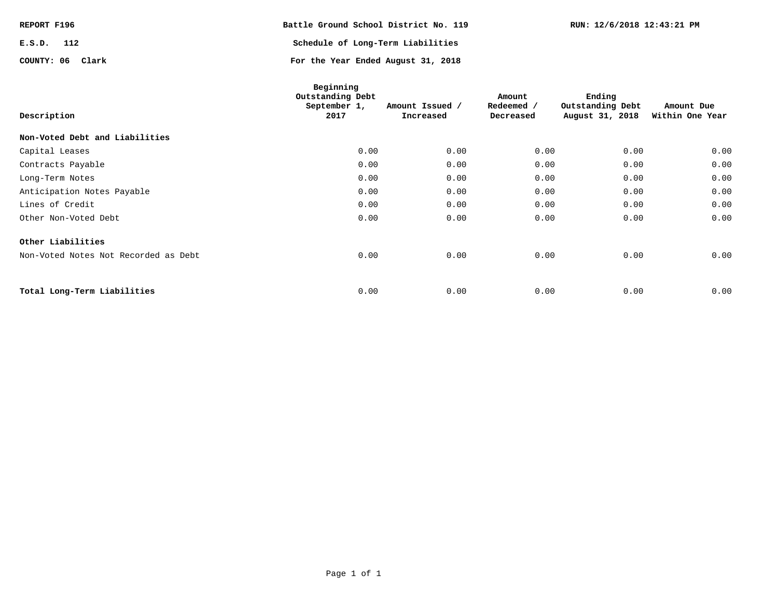| REPORT F196      | Battle Ground School District No. 119 | RUN: 12/6/2018 12:43:21 PM |
|------------------|---------------------------------------|----------------------------|
| E.S.D.<br>112    | Schedule of Long-Term Liabilities     |                            |
| COUNTY: 06 Clark | For the Year Ended August 31, 2018    |                            |

| Description                          | Beginning<br>Outstanding Debt<br>September 1,<br>2017 | Amount Issued /<br>Increased | Amount<br>Redeemed /<br>Decreased | Ending<br>Outstanding Debt<br>August 31, 2018 | Amount Due<br>Within One Year |
|--------------------------------------|-------------------------------------------------------|------------------------------|-----------------------------------|-----------------------------------------------|-------------------------------|
| Non-Voted Debt and Liabilities       |                                                       |                              |                                   |                                               |                               |
| Capital Leases                       | 0.00                                                  | 0.00                         | 0.00                              | 0.00                                          | 0.00                          |
| Contracts Payable                    | 0.00                                                  | 0.00                         | 0.00                              | 0.00                                          | 0.00                          |
| Long-Term Notes                      | 0.00                                                  | 0.00                         | 0.00                              | 0.00                                          | 0.00                          |
| Anticipation Notes Payable           | 0.00                                                  | 0.00                         | 0.00                              | 0.00                                          | 0.00                          |
| Lines of Credit                      | 0.00                                                  | 0.00                         | 0.00                              | 0.00                                          | 0.00                          |
| Other Non-Voted Debt                 | 0.00                                                  | 0.00                         | 0.00                              | 0.00                                          | 0.00                          |
| Other Liabilities                    |                                                       |                              |                                   |                                               |                               |
| Non-Voted Notes Not Recorded as Debt | 0.00                                                  | 0.00                         | 0.00                              | 0.00                                          | 0.00                          |
| Total Long-Term Liabilities          | 0.00                                                  | 0.00                         | 0.00                              | 0.00                                          | 0.00                          |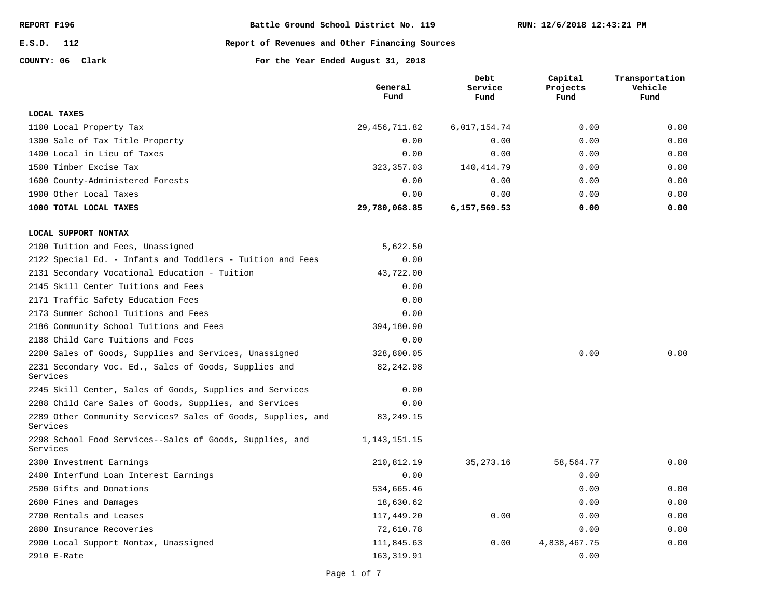**E.S.D. 112**

#### **Report of Revenues and Other Financing Sources**

**COUNTY: 06**

**Clark For the Year Ended August 31, 2018**

|                                                                          | General<br>Fund | Debt<br>Service<br>Fund | Capital<br>Projects<br>Fund | Transportation<br>Vehicle<br>Fund |
|--------------------------------------------------------------------------|-----------------|-------------------------|-----------------------------|-----------------------------------|
| <b>LOCAL TAXES</b>                                                       |                 |                         |                             |                                   |
| 1100 Local Property Tax                                                  | 29, 456, 711.82 | 6,017,154.74            | 0.00                        | 0.00                              |
| 1300 Sale of Tax Title Property                                          | 0.00            | 0.00                    | 0.00                        | 0.00                              |
| 1400 Local in Lieu of Taxes                                              | 0.00            | 0.00                    | 0.00                        | 0.00                              |
| 1500 Timber Excise Tax                                                   | 323, 357.03     | 140, 414.79             | 0.00                        | 0.00                              |
| 1600 County-Administered Forests                                         | 0.00            | 0.00                    | 0.00                        | 0.00                              |
| 1900 Other Local Taxes                                                   | 0.00            | 0.00                    | 0.00                        | 0.00                              |
| 1000 TOTAL LOCAL TAXES                                                   | 29,780,068.85   | 6,157,569.53            | 0.00                        | 0.00                              |
| LOCAL SUPPORT NONTAX                                                     |                 |                         |                             |                                   |
| 2100 Tuition and Fees, Unassigned                                        | 5,622.50        |                         |                             |                                   |
| 2122 Special Ed. - Infants and Toddlers - Tuition and Fees               | 0.00            |                         |                             |                                   |
| 2131 Secondary Vocational Education - Tuition                            | 43,722.00       |                         |                             |                                   |
| 2145 Skill Center Tuitions and Fees                                      | 0.00            |                         |                             |                                   |
| 2171 Traffic Safety Education Fees                                       | 0.00            |                         |                             |                                   |
| 2173 Summer School Tuitions and Fees                                     | 0.00            |                         |                             |                                   |
| 2186 Community School Tuitions and Fees                                  | 394,180.90      |                         |                             |                                   |
| 2188 Child Care Tuitions and Fees                                        | 0.00            |                         |                             |                                   |
| 2200 Sales of Goods, Supplies and Services, Unassigned                   | 328,800.05      |                         | 0.00                        | 0.00                              |
| 2231 Secondary Voc. Ed., Sales of Goods, Supplies and<br>Services        | 82, 242.98      |                         |                             |                                   |
| 2245 Skill Center, Sales of Goods, Supplies and Services                 | 0.00            |                         |                             |                                   |
| 2288 Child Care Sales of Goods, Supplies, and Services                   | 0.00            |                         |                             |                                   |
| 2289 Other Community Services? Sales of Goods, Supplies, and<br>Services | 83, 249. 15     |                         |                             |                                   |
| 2298 School Food Services--Sales of Goods, Supplies, and<br>Services     | 1, 143, 151. 15 |                         |                             |                                   |
| 2300 Investment Earnings                                                 | 210,812.19      | 35, 273. 16             | 58,564.77                   | 0.00                              |
| 2400 Interfund Loan Interest Earnings                                    | 0.00            |                         | 0.00                        |                                   |
| 2500 Gifts and Donations                                                 | 534,665.46      |                         | 0.00                        | 0.00                              |
| 2600 Fines and Damages                                                   | 18,630.62       |                         | 0.00                        | 0.00                              |
| 2700 Rentals and Leases                                                  | 117,449.20      | 0.00                    | 0.00                        | 0.00                              |
| 2800 Insurance Recoveries                                                | 72,610.78       |                         | 0.00                        | 0.00                              |
| 2900 Local Support Nontax, Unassigned                                    | 111,845.63      | 0.00                    | 4,838,467.75                | 0.00                              |
| 2910 E-Rate                                                              | 163, 319.91     |                         | 0.00                        |                                   |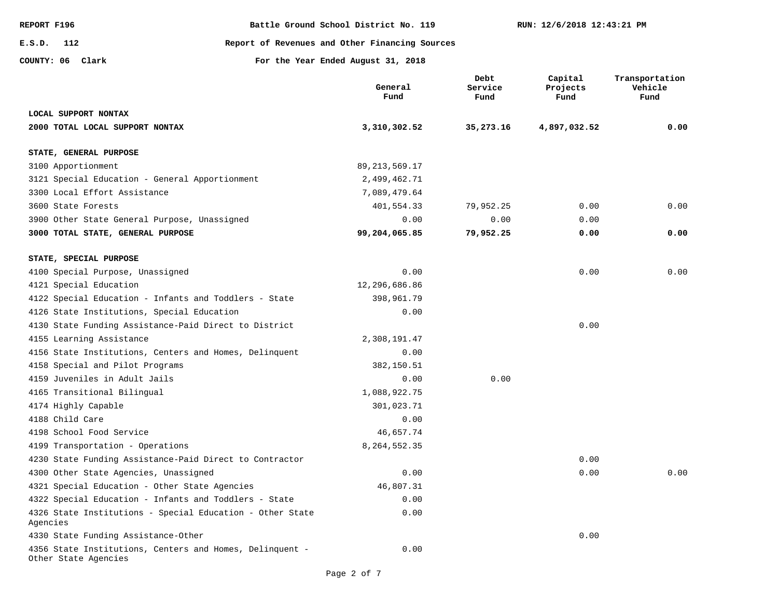**E.S.D. 112**

**REPORT F196 Battle Ground School District No. 119**

**Report of Revenues and Other Financing Sources**

**COUNTY: 06**

**Clark For the Year Ended August 31, 2018**

|                                                                                  | General<br>Fund  | Debt<br>Service<br>Fund | Capital<br>Projects<br>Fund | Transportation<br>Vehicle<br>Fund |
|----------------------------------------------------------------------------------|------------------|-------------------------|-----------------------------|-----------------------------------|
| LOCAL SUPPORT NONTAX                                                             |                  |                         |                             |                                   |
| 2000 TOTAL LOCAL SUPPORT NONTAX                                                  | 3,310,302.52     | 35,273.16               | 4,897,032.52                | 0.00                              |
| STATE, GENERAL PURPOSE                                                           |                  |                         |                             |                                   |
| 3100 Apportionment                                                               | 89, 213, 569. 17 |                         |                             |                                   |
| 3121 Special Education - General Apportionment                                   | 2,499,462.71     |                         |                             |                                   |
| 3300 Local Effort Assistance                                                     | 7,089,479.64     |                         |                             |                                   |
| 3600 State Forests                                                               | 401,554.33       | 79,952.25               | 0.00                        | 0.00                              |
| 3900 Other State General Purpose, Unassigned                                     | 0.00             | 0.00                    | 0.00                        |                                   |
| 3000 TOTAL STATE, GENERAL PURPOSE                                                | 99,204,065.85    | 79,952.25               | 0.00                        | 0.00                              |
| STATE, SPECIAL PURPOSE                                                           |                  |                         |                             |                                   |
| 4100 Special Purpose, Unassigned                                                 | 0.00             |                         | 0.00                        | 0.00                              |
| 4121 Special Education                                                           | 12,296,686.86    |                         |                             |                                   |
| 4122 Special Education - Infants and Toddlers - State                            | 398,961.79       |                         |                             |                                   |
| 4126 State Institutions, Special Education                                       | 0.00             |                         |                             |                                   |
| 4130 State Funding Assistance-Paid Direct to District                            |                  |                         | 0.00                        |                                   |
| 4155 Learning Assistance                                                         | 2,308,191.47     |                         |                             |                                   |
| 4156 State Institutions, Centers and Homes, Delinquent                           | 0.00             |                         |                             |                                   |
| 4158 Special and Pilot Programs                                                  | 382,150.51       |                         |                             |                                   |
| 4159 Juveniles in Adult Jails                                                    | 0.00             | 0.00                    |                             |                                   |
| 4165 Transitional Bilingual                                                      | 1,088,922.75     |                         |                             |                                   |
| 4174 Highly Capable                                                              | 301,023.71       |                         |                             |                                   |
| 4188 Child Care                                                                  | 0.00             |                         |                             |                                   |
| 4198 School Food Service                                                         | 46,657.74        |                         |                             |                                   |
| 4199 Transportation - Operations                                                 | 8,264,552.35     |                         |                             |                                   |
| 4230 State Funding Assistance-Paid Direct to Contractor                          |                  |                         | 0.00                        |                                   |
| 4300 Other State Agencies, Unassigned                                            | 0.00             |                         | 0.00                        | 0.00                              |
| 4321 Special Education - Other State Agencies                                    | 46,807.31        |                         |                             |                                   |
| 4322 Special Education - Infants and Toddlers - State                            | 0.00             |                         |                             |                                   |
| 4326 State Institutions - Special Education - Other State<br>Agencies            | 0.00             |                         |                             |                                   |
| 4330 State Funding Assistance-Other                                              |                  |                         | 0.00                        |                                   |
| 4356 State Institutions, Centers and Homes, Delinquent -<br>Other State Agencies | 0.00             |                         |                             |                                   |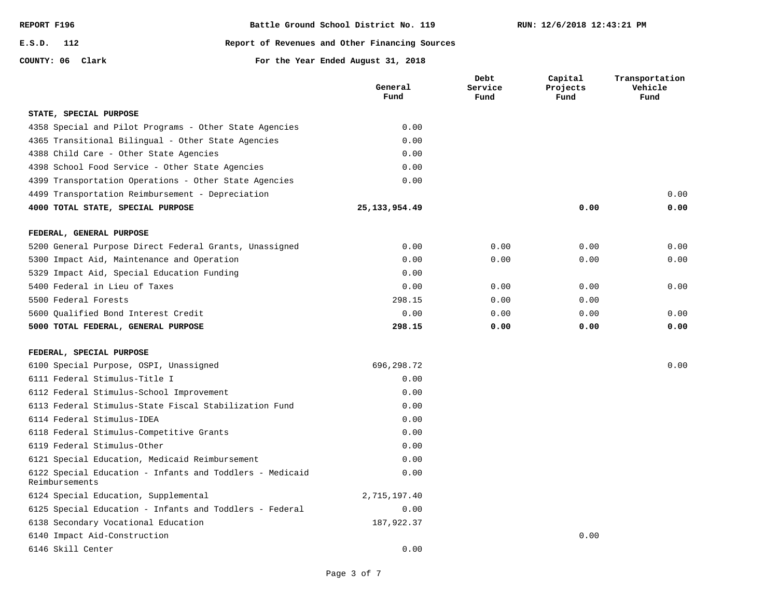| REPORT F196 |     |
|-------------|-----|
| E.S.D.      | 112 |

**COUNTY: 06**

## **Report of Revenues and Other Financing Sources**

**Clark For the Year Ended August 31, 2018**

|                                                                            | General<br>Fund | Debt<br>Service<br>Fund | Capital<br>Projects<br>Fund | Transportation<br>Vehicle<br>Fund |
|----------------------------------------------------------------------------|-----------------|-------------------------|-----------------------------|-----------------------------------|
| STATE, SPECIAL PURPOSE                                                     |                 |                         |                             |                                   |
| 4358 Special and Pilot Programs - Other State Agencies                     | 0.00            |                         |                             |                                   |
| 4365 Transitional Bilingual - Other State Agencies                         | 0.00            |                         |                             |                                   |
| 4388 Child Care - Other State Agencies                                     | 0.00            |                         |                             |                                   |
| 4398 School Food Service - Other State Agencies                            | 0.00            |                         |                             |                                   |
| 4399 Transportation Operations - Other State Agencies                      | 0.00            |                         |                             |                                   |
| 4499 Transportation Reimbursement - Depreciation                           |                 |                         |                             | 0.00                              |
| 4000 TOTAL STATE, SPECIAL PURPOSE                                          | 25, 133, 954.49 |                         | 0.00                        | 0.00                              |
| FEDERAL, GENERAL PURPOSE                                                   |                 |                         |                             |                                   |
| 5200 General Purpose Direct Federal Grants, Unassigned                     | 0.00            | 0.00                    | 0.00                        | 0.00                              |
| 5300 Impact Aid, Maintenance and Operation                                 | 0.00            | 0.00                    | 0.00                        | 0.00                              |
| 5329 Impact Aid, Special Education Funding                                 | 0.00            |                         |                             |                                   |
| 5400 Federal in Lieu of Taxes                                              | 0.00            | 0.00                    | 0.00                        | 0.00                              |
| 5500 Federal Forests                                                       | 298.15          | 0.00                    | 0.00                        |                                   |
| 5600 Oualified Bond Interest Credit                                        | 0.00            | 0.00                    | 0.00                        | 0.00                              |
| 5000 TOTAL FEDERAL, GENERAL PURPOSE                                        | 298.15          | 0.00                    | 0.00                        | 0.00                              |
| FEDERAL, SPECIAL PURPOSE                                                   |                 |                         |                             |                                   |
| 6100 Special Purpose, OSPI, Unassigned                                     | 696,298.72      |                         |                             | 0.00                              |
| 6111 Federal Stimulus-Title I                                              | 0.00            |                         |                             |                                   |
| 6112 Federal Stimulus-School Improvement                                   | 0.00            |                         |                             |                                   |
| 6113 Federal Stimulus-State Fiscal Stabilization Fund                      | 0.00            |                         |                             |                                   |
| 6114 Federal Stimulus-IDEA                                                 | 0.00            |                         |                             |                                   |
| 6118 Federal Stimulus-Competitive Grants                                   | 0.00            |                         |                             |                                   |
| 6119 Federal Stimulus-Other                                                | 0.00            |                         |                             |                                   |
| 6121 Special Education, Medicaid Reimbursement                             | 0.00            |                         |                             |                                   |
| 6122 Special Education - Infants and Toddlers - Medicaid<br>Reimbursements | 0.00            |                         |                             |                                   |
| 6124 Special Education, Supplemental                                       | 2,715,197.40    |                         |                             |                                   |
| 6125 Special Education - Infants and Toddlers - Federal                    | 0.00            |                         |                             |                                   |
| 6138 Secondary Vocational Education                                        | 187,922.37      |                         |                             |                                   |
| 6140 Impact Aid-Construction                                               |                 |                         | 0.00                        |                                   |
| 6146 Skill Center                                                          | 0.00            |                         |                             |                                   |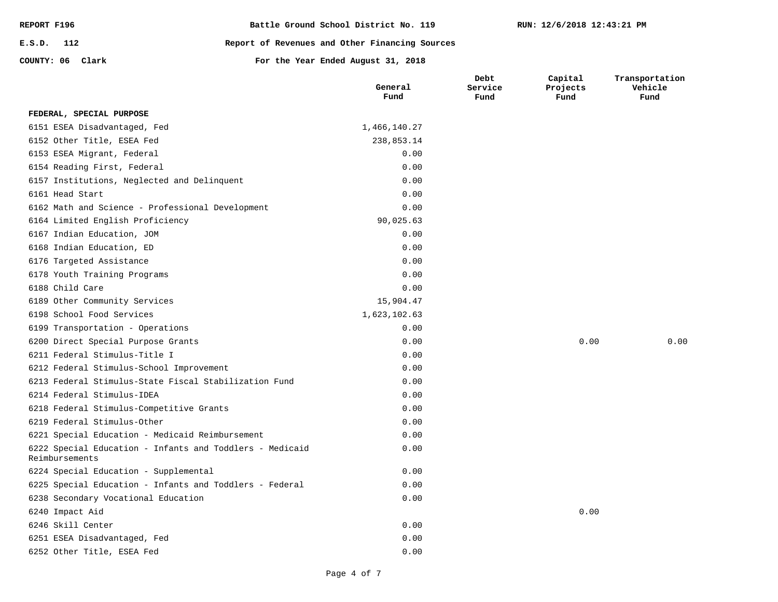| REPORT F196      | Battle Ground School District No. 119          |
|------------------|------------------------------------------------|
| E.S.D. 112       | Report of Revenues and Other Financing Sources |
| COUNTY: 06 Clark | For the Year Ended August 31, 2018             |

|                                                                            | General<br>Fund | Debt<br>Service<br>Fund | Capital<br>Projects<br>Fund | Transportation<br>Vehicle<br>Fund |
|----------------------------------------------------------------------------|-----------------|-------------------------|-----------------------------|-----------------------------------|
| FEDERAL, SPECIAL PURPOSE                                                   |                 |                         |                             |                                   |
| 6151 ESEA Disadvantaged, Fed                                               | 1,466,140.27    |                         |                             |                                   |
| 6152 Other Title, ESEA Fed                                                 | 238,853.14      |                         |                             |                                   |
| 6153 ESEA Migrant, Federal                                                 | 0.00            |                         |                             |                                   |
| 6154 Reading First, Federal                                                | 0.00            |                         |                             |                                   |
| 6157 Institutions, Neglected and Delinquent                                | 0.00            |                         |                             |                                   |
| 6161 Head Start                                                            | 0.00            |                         |                             |                                   |
| 6162 Math and Science - Professional Development                           | 0.00            |                         |                             |                                   |
| 6164 Limited English Proficiency                                           | 90,025.63       |                         |                             |                                   |
| 6167 Indian Education, JOM                                                 | 0.00            |                         |                             |                                   |
| 6168 Indian Education, ED                                                  | 0.00            |                         |                             |                                   |
| 6176 Targeted Assistance                                                   | 0.00            |                         |                             |                                   |
| 6178 Youth Training Programs                                               | 0.00            |                         |                             |                                   |
| 6188 Child Care                                                            | 0.00            |                         |                             |                                   |
| 6189 Other Community Services                                              | 15,904.47       |                         |                             |                                   |
| 6198 School Food Services                                                  | 1,623,102.63    |                         |                             |                                   |
| 6199 Transportation - Operations                                           | 0.00            |                         |                             |                                   |
| 6200 Direct Special Purpose Grants                                         | 0.00            |                         | 0.00                        | 0.00                              |
| 6211 Federal Stimulus-Title I                                              | 0.00            |                         |                             |                                   |
| 6212 Federal Stimulus-School Improvement                                   | 0.00            |                         |                             |                                   |
| 6213 Federal Stimulus-State Fiscal Stabilization Fund                      | 0.00            |                         |                             |                                   |
| 6214 Federal Stimulus-IDEA                                                 | 0.00            |                         |                             |                                   |
| 6218 Federal Stimulus-Competitive Grants                                   | 0.00            |                         |                             |                                   |
| 6219 Federal Stimulus-Other                                                | 0.00            |                         |                             |                                   |
| 6221 Special Education - Medicaid Reimbursement                            | 0.00            |                         |                             |                                   |
| 6222 Special Education - Infants and Toddlers - Medicaid<br>Reimbursements | 0.00            |                         |                             |                                   |
| 6224 Special Education - Supplemental                                      | 0.00            |                         |                             |                                   |
| 6225 Special Education - Infants and Toddlers - Federal                    | 0.00            |                         |                             |                                   |
| 6238 Secondary Vocational Education                                        | 0.00            |                         |                             |                                   |
| 6240 Impact Aid                                                            |                 |                         | 0.00                        |                                   |
| 6246 Skill Center                                                          | 0.00            |                         |                             |                                   |
| 6251 ESEA Disadvantaged, Fed                                               | 0.00            |                         |                             |                                   |
| 6252 Other Title, ESEA Fed                                                 | 0.00            |                         |                             |                                   |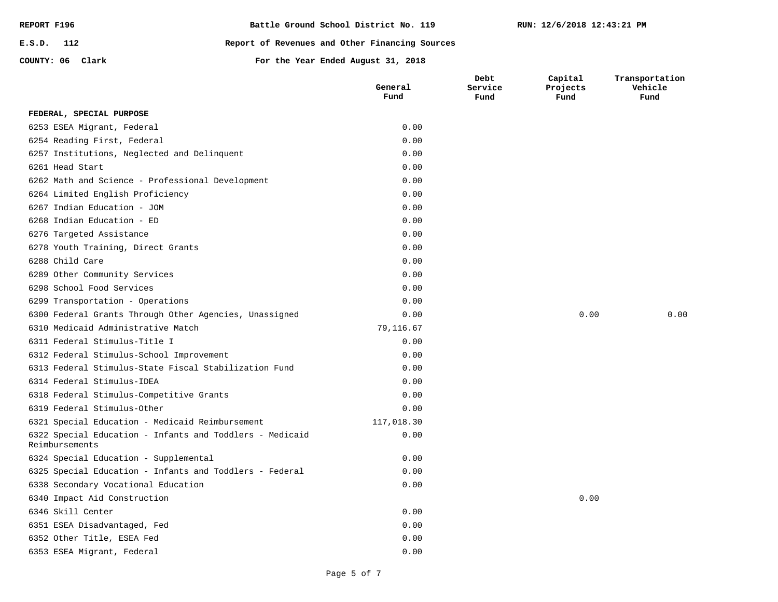| REPORT F196      |  |  | Battle Ground School District No. 119          |
|------------------|--|--|------------------------------------------------|
| $E.S.D.$ 112     |  |  | Report of Revenues and Other Financing Sources |
| COUNTY: 06 Clark |  |  | For the Year Ended August 31, 2018             |

**Debt** 

**RUN: 12/6/2018 12:43:21 PM**

**Capital** 

**Transportation** 

|                                                                            | General<br>Fund | Service<br>Fund | Projects<br>Fund | Vehicle<br>Fund |
|----------------------------------------------------------------------------|-----------------|-----------------|------------------|-----------------|
| FEDERAL, SPECIAL PURPOSE                                                   |                 |                 |                  |                 |
| 6253 ESEA Migrant, Federal                                                 | 0.00            |                 |                  |                 |
| 6254 Reading First, Federal                                                | 0.00            |                 |                  |                 |
| 6257 Institutions, Neglected and Delinquent                                | 0.00            |                 |                  |                 |
| 6261 Head Start                                                            | 0.00            |                 |                  |                 |
| 6262 Math and Science - Professional Development                           | 0.00            |                 |                  |                 |
| 6264 Limited English Proficiency                                           | 0.00            |                 |                  |                 |
| 6267 Indian Education - JOM                                                | 0.00            |                 |                  |                 |
| 6268 Indian Education - ED                                                 | 0.00            |                 |                  |                 |
| 6276 Targeted Assistance                                                   | 0.00            |                 |                  |                 |
| 6278 Youth Training, Direct Grants                                         | 0.00            |                 |                  |                 |
| 6288 Child Care                                                            | 0.00            |                 |                  |                 |
| 6289 Other Community Services                                              | 0.00            |                 |                  |                 |
| 6298 School Food Services                                                  | 0.00            |                 |                  |                 |
| 6299 Transportation - Operations                                           | 0.00            |                 |                  |                 |
| 6300 Federal Grants Through Other Agencies, Unassigned                     | 0.00            |                 | 0.00             | 0.00            |
| 6310 Medicaid Administrative Match                                         | 79,116.67       |                 |                  |                 |
| 6311 Federal Stimulus-Title I                                              | 0.00            |                 |                  |                 |
| 6312 Federal Stimulus-School Improvement                                   | 0.00            |                 |                  |                 |
| 6313 Federal Stimulus-State Fiscal Stabilization Fund                      | 0.00            |                 |                  |                 |
| 6314 Federal Stimulus-IDEA                                                 | 0.00            |                 |                  |                 |
| 6318 Federal Stimulus-Competitive Grants                                   | 0.00            |                 |                  |                 |
| 6319 Federal Stimulus-Other                                                | 0.00            |                 |                  |                 |
| 6321 Special Education - Medicaid Reimbursement                            | 117,018.30      |                 |                  |                 |
| 6322 Special Education - Infants and Toddlers - Medicaid<br>Reimbursements | 0.00            |                 |                  |                 |
| 6324 Special Education - Supplemental                                      | 0.00            |                 |                  |                 |
| 6325 Special Education - Infants and Toddlers - Federal                    | 0.00            |                 |                  |                 |
| 6338 Secondary Vocational Education                                        | 0.00            |                 |                  |                 |
| 6340 Impact Aid Construction                                               |                 |                 | 0.00             |                 |
| 6346 Skill Center                                                          | 0.00            |                 |                  |                 |
| 6351 ESEA Disadvantaged, Fed                                               | 0.00            |                 |                  |                 |
| 6352 Other Title, ESEA Fed                                                 | 0.00            |                 |                  |                 |
| 6353 ESEA Migrant, Federal                                                 | 0.00            |                 |                  |                 |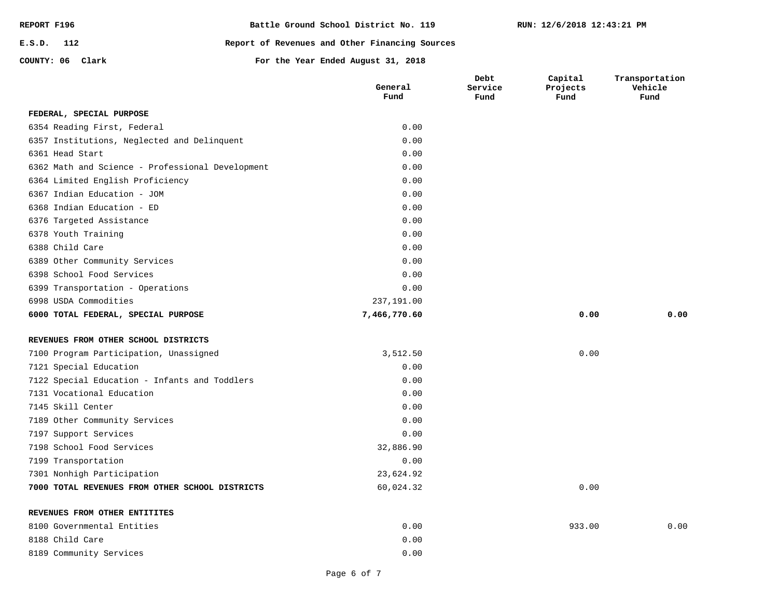| REPORT F196      | Battle Ground School District No. 119          |
|------------------|------------------------------------------------|
| E.S.D. 112       | Report of Revenues and Other Financing Sources |
| COUNTY: 06 Clark | For the Year Ended August 31, 2018             |

|                                                  | General<br>Fund | Debt<br>Service<br>Fund | Capital<br>Projects<br>Fund | Transportation<br>Vehicle<br>Fund |
|--------------------------------------------------|-----------------|-------------------------|-----------------------------|-----------------------------------|
| FEDERAL, SPECIAL PURPOSE                         |                 |                         |                             |                                   |
| 6354 Reading First, Federal                      | 0.00            |                         |                             |                                   |
| 6357 Institutions, Neglected and Delinquent      | 0.00            |                         |                             |                                   |
| 6361 Head Start                                  | 0.00            |                         |                             |                                   |
| 6362 Math and Science - Professional Development | 0.00            |                         |                             |                                   |
| 6364 Limited English Proficiency                 | 0.00            |                         |                             |                                   |
| 6367 Indian Education - JOM                      | 0.00            |                         |                             |                                   |
| 6368 Indian Education - ED                       | 0.00            |                         |                             |                                   |
| 6376 Targeted Assistance                         | 0.00            |                         |                             |                                   |
| 6378 Youth Training                              | 0.00            |                         |                             |                                   |
| 6388 Child Care                                  | 0.00            |                         |                             |                                   |
| 6389 Other Community Services                    | 0.00            |                         |                             |                                   |
| 6398 School Food Services                        | 0.00            |                         |                             |                                   |
| 6399 Transportation - Operations                 | 0.00            |                         |                             |                                   |
| 6998 USDA Commodities                            | 237,191.00      |                         |                             |                                   |
| 6000 TOTAL FEDERAL, SPECIAL PURPOSE              | 7,466,770.60    |                         | 0.00                        | 0.00                              |
| REVENUES FROM OTHER SCHOOL DISTRICTS             |                 |                         |                             |                                   |
| 7100 Program Participation, Unassigned           | 3,512.50        |                         | 0.00                        |                                   |
| 7121 Special Education                           | 0.00            |                         |                             |                                   |
| 7122 Special Education - Infants and Toddlers    | 0.00            |                         |                             |                                   |
| 7131 Vocational Education                        | 0.00            |                         |                             |                                   |
| 7145 Skill Center                                | 0.00            |                         |                             |                                   |
| 7189 Other Community Services                    | 0.00            |                         |                             |                                   |
| 7197 Support Services                            | 0.00            |                         |                             |                                   |
| 7198 School Food Services                        | 32,886.90       |                         |                             |                                   |
| 7199 Transportation                              | 0.00            |                         |                             |                                   |
| 7301 Nonhigh Participation                       | 23,624.92       |                         |                             |                                   |
| 7000 TOTAL REVENUES FROM OTHER SCHOOL DISTRICTS  | 60,024.32       |                         | 0.00                        |                                   |
| REVENUES FROM OTHER ENTITITES                    |                 |                         |                             |                                   |
| 8100 Governmental Entities                       | 0.00            |                         | 933.00                      | 0.00                              |
| 8188 Child Care                                  | 0.00            |                         |                             |                                   |
| 8189 Community Services                          | 0.00            |                         |                             |                                   |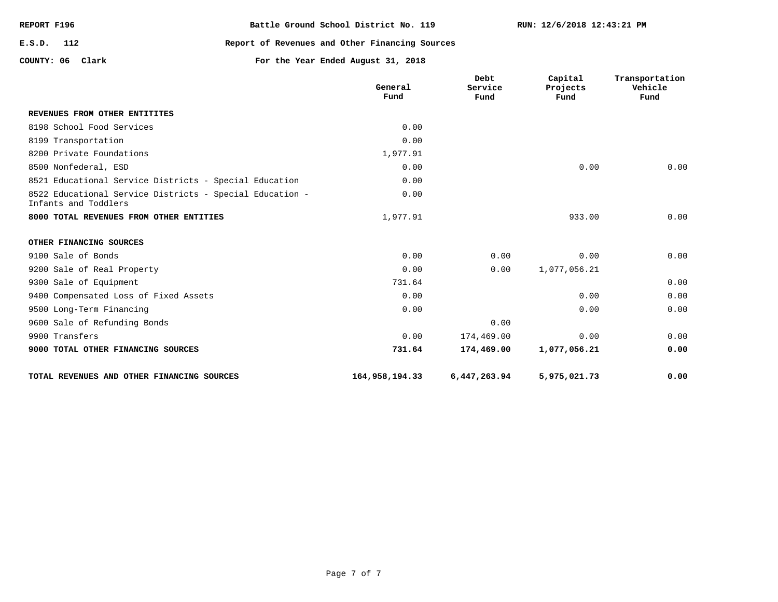| REPORT F196      | Battle Ground School District No. 119          |
|------------------|------------------------------------------------|
| E.S.D. 112       | Report of Revenues and Other Financing Sources |
| COUNTY: 06 Clark | For the Year Ended August 31, 2018             |

|                                                                                  | General<br>Fund | <b>Debt</b><br>Service<br>Fund | Capital<br>Projects<br>Fund | Transportation<br>Vehicle<br>Fund |
|----------------------------------------------------------------------------------|-----------------|--------------------------------|-----------------------------|-----------------------------------|
| REVENUES FROM OTHER ENTITITES                                                    |                 |                                |                             |                                   |
| 8198 School Food Services                                                        | 0.00            |                                |                             |                                   |
| 8199 Transportation                                                              | 0.00            |                                |                             |                                   |
| 8200 Private Foundations                                                         | 1,977.91        |                                |                             |                                   |
| 8500 Nonfederal, ESD                                                             | 0.00            |                                | 0.00                        | 0.00                              |
| 8521 Educational Service Districts - Special Education                           | 0.00            |                                |                             |                                   |
| 8522 Educational Service Districts - Special Education -<br>Infants and Toddlers | 0.00            |                                |                             |                                   |
| 8000 TOTAL REVENUES FROM OTHER ENTITIES                                          | 1,977.91        |                                | 933.00                      | 0.00                              |
| OTHER FINANCING SOURCES                                                          |                 |                                |                             |                                   |
| 9100 Sale of Bonds                                                               | 0.00            | 0.00                           | 0.00                        | 0.00                              |
| 9200 Sale of Real Property                                                       | 0.00            | 0.00                           | 1,077,056.21                |                                   |
| 9300 Sale of Equipment                                                           | 731.64          |                                |                             | 0.00                              |
| 9400 Compensated Loss of Fixed Assets                                            | 0.00            |                                | 0.00                        | 0.00                              |
| 9500 Long-Term Financing                                                         | 0.00            |                                | 0.00                        | 0.00                              |
| 9600 Sale of Refunding Bonds                                                     |                 | 0.00                           |                             |                                   |
| 9900 Transfers                                                                   | 0.00            | 174,469.00                     | 0.00                        | 0.00                              |
| 9000 TOTAL OTHER FINANCING SOURCES                                               | 731.64          | 174,469.00                     | 1,077,056.21                | 0.00                              |
| TOTAL REVENUES AND OTHER FINANCING SOURCES                                       | 164,958,194.33  | 6,447,263.94                   | 5,975,021.73                | 0.00                              |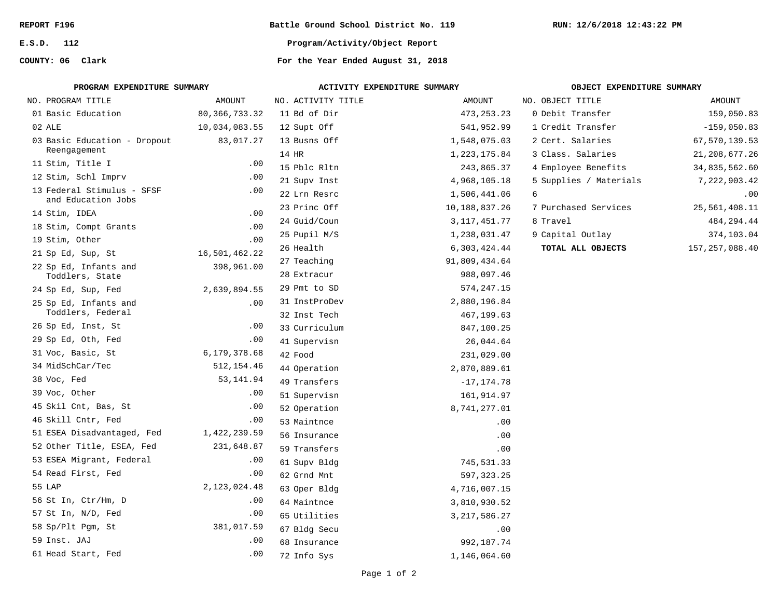**E.S.D. 112**

**COUNTY: 06**

**Battle Ground School District No. 119**

**RUN: 12/6/2018 12:43:22 PM**

**Program/Activity/Object Report**

For the Year Ended August 31, 2018

| PROGRAM EXPENDITURE SUMMARY                      |                 | ACTIVITY EXPENDITURE SUMMARY |                 | OBJECT EXPENDITURE SUMMARY |                  |  |  |
|--------------------------------------------------|-----------------|------------------------------|-----------------|----------------------------|------------------|--|--|
| NO. PROGRAM TITLE                                | <b>AMOUNT</b>   | NO. ACTIVITY TITLE           | AMOUNT          | NO. OBJECT TITLE           | AMOUNT           |  |  |
| 01 Basic Education                               | 80, 366, 733.32 | 11 Bd of Dir                 | 473, 253. 23    | 0 Debit Transfer           | 159,050.83       |  |  |
| 02 ALE                                           | 10,034,083.55   | 12 Supt Off                  | 541,952.99      | 1 Credit Transfer          | $-159,050.83$    |  |  |
| 03 Basic Education - Dropout                     | 83,017.27       | 13 Busns Off                 | 1,548,075.03    | 2 Cert. Salaries           | 67,570,139.53    |  |  |
| Reengagement                                     |                 | 14 HR                        | 1, 223, 175.84  | 3 Class. Salaries          | 21, 208, 677. 26 |  |  |
| 11 Stim, Title I                                 | .00             | 15 Pblc Rltn                 | 243,865.37      | 4 Employee Benefits        | 34,835,562.60    |  |  |
| 12 Stim, Schl Imprv                              | .00             | 21 Supv Inst                 | 4,968,105.18    | 5 Supplies / Materials     | 7,222,903.42     |  |  |
| 13 Federal Stimulus - SFSF<br>and Education Jobs | .00             | 22 Lrn Resrc                 | 1,506,441.06    | б.                         | .00              |  |  |
| 14 Stim, IDEA                                    | .00             | 23 Princ Off                 | 10,188,837.26   | 7 Purchased Services       | 25,561,408.11    |  |  |
| 18 Stim, Compt Grants                            | .00             | 24 Guid/Coun                 | 3, 117, 451.77  | 8 Travel                   | 484,294.44       |  |  |
| 19 Stim, Other                                   | .00             | 25 Pupil M/S                 | 1,238,031.47    | 9 Capital Outlay           | 374,103.04       |  |  |
| 21 Sp Ed, Sup, St                                | 16,501,462.22   | 26 Health                    | 6,303,424.44    | TOTAL ALL OBJECTS          | 157, 257, 088.40 |  |  |
| 22 Sp Ed, Infants and                            | 398,961.00      | 27 Teaching                  | 91,809,434.64   |                            |                  |  |  |
| Toddlers, State                                  |                 | 28 Extracur                  | 988,097.46      |                            |                  |  |  |
| 24 Sp Ed, Sup, Fed                               | 2,639,894.55    | 29 Pmt to SD                 | 574,247.15      |                            |                  |  |  |
| 25 Sp Ed, Infants and                            | .00             | 31 InstProDev                | 2,880,196.84    |                            |                  |  |  |
| Toddlers, Federal                                |                 | 32 Inst Tech                 | 467,199.63      |                            |                  |  |  |
| 26 Sp Ed, Inst, St                               | .00             | 33 Curriculum                | 847,100.25      |                            |                  |  |  |
| 29 Sp Ed, Oth, Fed                               | .00             | 41 Supervisn                 | 26,044.64       |                            |                  |  |  |
| 31 Voc, Basic, St                                | 6,179,378.68    | 42 Food                      | 231,029.00      |                            |                  |  |  |
| 34 MidSchCar/Tec                                 | 512, 154.46     | 44 Operation                 | 2,870,889.61    |                            |                  |  |  |
| 38 Voc, Fed                                      | 53,141.94       | 49 Transfers                 | $-17, 174.78$   |                            |                  |  |  |
| 39 Voc, Other                                    | .00             | 51 Supervisn                 | 161,914.97      |                            |                  |  |  |
| 45 Skil Cnt, Bas, St                             | .00             | 52 Operation                 | 8,741,277.01    |                            |                  |  |  |
| 46 Skill Cntr, Fed                               | .00             | 53 Maintnce                  | .00             |                            |                  |  |  |
| 51 ESEA Disadvantaged, Fed                       | 1,422,239.59    | 56 Insurance                 | .00             |                            |                  |  |  |
| 52 Other Title, ESEA, Fed                        | 231,648.87      | 59 Transfers                 | .00             |                            |                  |  |  |
| 53 ESEA Migrant, Federal                         | .00             | 61 Supv Bldg                 | 745,531.33      |                            |                  |  |  |
| 54 Read First, Fed                               | .00             | 62 Grnd Mnt                  | 597, 323.25     |                            |                  |  |  |
| 55 LAP                                           | 2,123,024.48    | 63 Oper Bldg                 | 4,716,007.15    |                            |                  |  |  |
| 56 St In, Ctr/Hm, D                              | .00             | 64 Maintnce                  | 3,810,930.52    |                            |                  |  |  |
| 57 St In, N/D, Fed                               | .00             | 65 Utilities                 | 3, 217, 586. 27 |                            |                  |  |  |
| 58 Sp/Plt Pgm, St                                | 381,017.59      | 67 Bldg Secu                 | .00             |                            |                  |  |  |
| 59 Inst. JAJ                                     | .00.            | 68 Insurance                 | 992,187.74      |                            |                  |  |  |
| 61 Head Start, Fed                               | .00             | 72 Info Sys                  | 1,146,064.60    |                            |                  |  |  |
|                                                  |                 |                              |                 |                            |                  |  |  |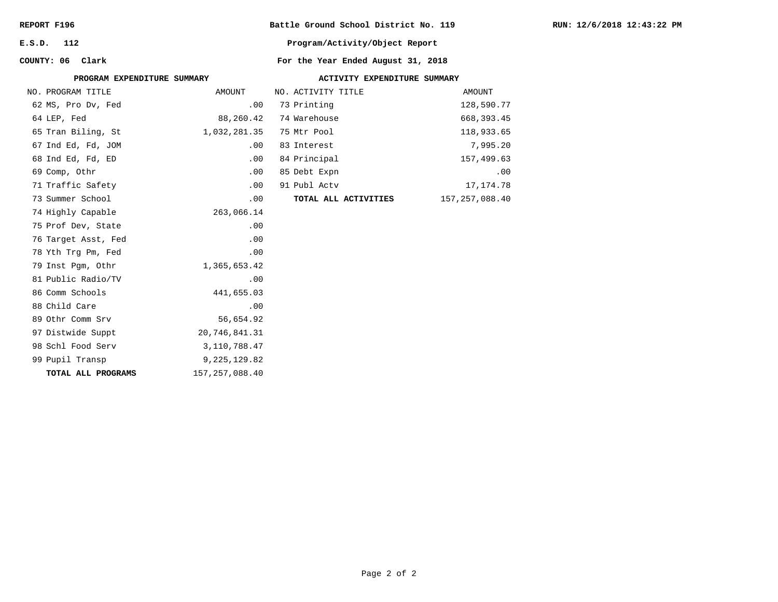| REPORT F196 |  |
|-------------|--|
|-------------|--|

**E.S.D. 112**

**COUNTY: 06**

**Battle Ground School District No. 119**

**Program/Activity/Object Report**

## For the Year Ended August 31, 2018

| PROGRAM EXPENDITURE SUMMARY |                  | ACTIVITY EXPENDITURE SUMMARY |                      |  |                  |  |  |
|-----------------------------|------------------|------------------------------|----------------------|--|------------------|--|--|
| NO. PROGRAM TITLE           | AMOUNT           |                              | NO. ACTIVITY TITLE   |  | AMOUNT           |  |  |
| 62 MS, Pro Dv, Fed          | .00              |                              | 73 Printing          |  | 128,590.77       |  |  |
| 64 LEP, Fed                 | 88,260.42        |                              | 74 Warehouse         |  | 668, 393.45      |  |  |
| 65 Tran Biling, St          | 1,032,281.35     |                              | 75 Mtr Pool          |  | 118,933.65       |  |  |
| 67 Ind Ed, Fd, JOM          | .00              |                              | 83 Interest          |  | 7,995.20         |  |  |
| 68 Ind Ed, Fd, ED           | .00              |                              | 84 Principal         |  | 157,499.63       |  |  |
| 69 Comp, Othr               | .00              |                              | 85 Debt Expn         |  | .00              |  |  |
| 71 Traffic Safety           | .00              |                              | 91 Publ Actv         |  | 17,174.78        |  |  |
| 73 Summer School            | .00              |                              | TOTAL ALL ACTIVITIES |  | 157, 257, 088.40 |  |  |
| 74 Highly Capable           | 263,066.14       |                              |                      |  |                  |  |  |
| 75 Prof Dev, State          | .00              |                              |                      |  |                  |  |  |
| 76 Target Asst, Fed         | .00              |                              |                      |  |                  |  |  |
| 78 Yth Trg Pm, Fed          | .00              |                              |                      |  |                  |  |  |
| 79 Inst Pgm, Othr           | 1,365,653.42     |                              |                      |  |                  |  |  |
| 81 Public Radio/TV          | .00              |                              |                      |  |                  |  |  |
| 86 Comm Schools             | 441,655.03       |                              |                      |  |                  |  |  |
| 88 Child Care               | .00              |                              |                      |  |                  |  |  |
| 89 Othr Comm Srv            | 56,654.92        |                              |                      |  |                  |  |  |
| 97 Distwide Suppt           | 20,746,841.31    |                              |                      |  |                  |  |  |
| 98 Schl Food Serv           | 3,110,788.47     |                              |                      |  |                  |  |  |
| 99 Pupil Transp             | 9, 225, 129.82   |                              |                      |  |                  |  |  |
| TOTAL ALL PROGRAMS          | 157, 257, 088.40 |                              |                      |  |                  |  |  |
|                             |                  |                              |                      |  |                  |  |  |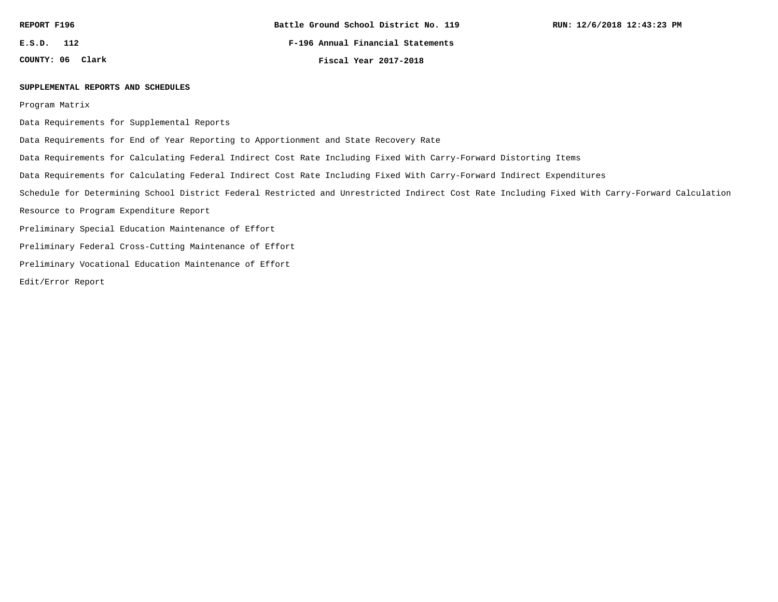**E.S.D. 112**

**COUNTY: 06**

**F-196 Annual Financial Statements**

**Clark Fiscal Year 2017-2018**

#### **SUPPLEMENTAL REPORTS AND SCHEDULES**

Program Matrix

Data Requirements for Supplemental Reports

Data Requirements for End of Year Reporting to Apportionment and State Recovery Rate

Data Requirements for Calculating Federal Indirect Cost Rate Including Fixed With Carry-Forward Distorting Items

Data Requirements for Calculating Federal Indirect Cost Rate Including Fixed With Carry-Forward Indirect Expenditures

Schedule for Determining School District Federal Restricted and Unrestricted Indirect Cost Rate Including Fixed With Carry-Forward Calculation

Resource to Program Expenditure Report

Preliminary Special Education Maintenance of Effort

Preliminary Federal Cross-Cutting Maintenance of Effort

Preliminary Vocational Education Maintenance of Effort

Edit/Error Report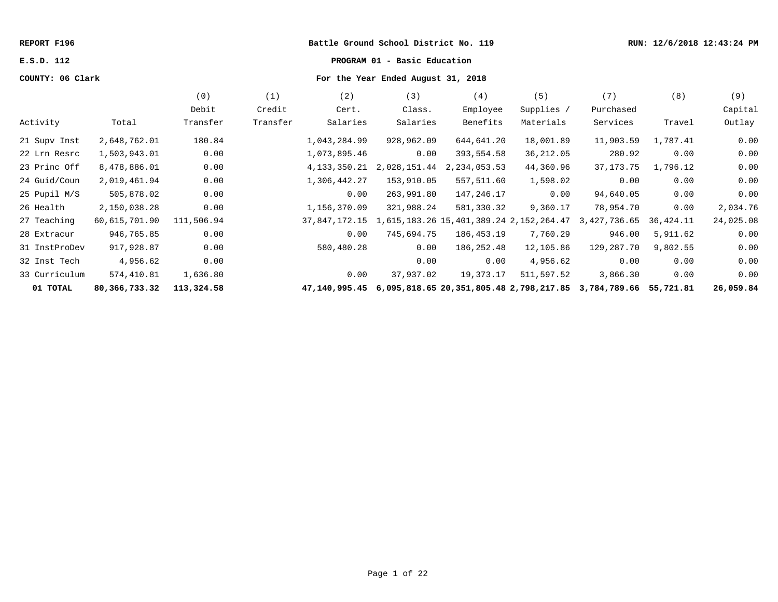#### **REPORT F196 Battle Ground School District No. 119 RUN: 12/6/2018 12:43:24 PM**

# **E.S.D. 112 PROGRAM 01 - Basic Education**

## **COUNTY: 06 Clark For the Year Ended August 31, 2018**

|               |               | (0)        | (1)      | (2)             | (3)          | (4)                                     | (5)        | (7)          | (8)       | (9)       |
|---------------|---------------|------------|----------|-----------------|--------------|-----------------------------------------|------------|--------------|-----------|-----------|
|               |               | Debit      | Credit   | Cert.           | Class.       | Employee                                | Supplies / | Purchased    |           | Capital   |
| Activity      | Total         | Transfer   | Transfer | Salaries        | Salaries     | Benefits                                | Materials  | Services     | Travel    | Outlay    |
| 21 Supv Inst  | 2,648,762.01  | 180.84     |          | 1,043,284.99    | 928,962.09   | 644,641.20                              | 18,001.89  | 11,903.59    | 1,787.41  | 0.00      |
| 22 Lrn Resrc  | 1,503,943.01  | 0.00       |          | 1,073,895.46    | 0.00         | 393,554.58                              | 36, 212.05 | 280.92       | 0.00      | 0.00      |
| 23 Princ Off  | 8,478,886.01  | 0.00       |          | 4, 133, 350. 21 | 2,028,151.44 | 2, 234, 053.53                          | 44,360.96  | 37, 173. 75  | 1,796.12  | 0.00      |
| 24 Guid/Coun  | 2,019,461.94  | 0.00       |          | 1,306,442.27    | 153,910.05   | 557,511.60                              | 1,598.02   | 0.00         | 0.00      | 0.00      |
| 25 Pupil M/S  | 505,878.02    | 0.00       |          | 0.00            | 263,991.80   | 147,246.17                              | 0.00       | 94,640.05    | 0.00      | 0.00      |
| 26 Health     | 2,150,038.28  | 0.00       |          | 1,156,370.09    | 321,988.24   | 581,330.32                              | 9,360.17   | 78,954.70    | 0.00      | 2,034.76  |
| 27 Teaching   | 60,615,701.90 | 111,506.94 |          | 37,847,172.15   |              | 1,615,183.26 15,401,389.24 2,152,264.47 |            | 3,427,736.65 | 36,424.11 | 24,025.08 |
| 28 Extracur   | 946,765.85    | 0.00       |          | 0.00            | 745,694.75   | 186,453.19                              | 7,760.29   | 946.00       | 5,911.62  | 0.00      |
| 31 InstProDev | 917,928.87    | 0.00       |          | 580,480.28      | 0.00         | 186,252.48                              | 12,105.86  | 129,287.70   | 9,802.55  | 0.00      |
| 32 Inst Tech  | 4,956.62      | 0.00       |          |                 | 0.00         | 0.00                                    | 4,956.62   | 0.00         | 0.00      | 0.00      |
| 33 Curriculum | 574,410.81    | 1,636.80   |          | 0.00            | 37,937.02    | 19,373.17                               | 511,597.52 | 3,866.30     | 0.00      | 0.00      |
| 01 TOTAL      | 80,366,733.32 | 113,324.58 |          | 47,140,995.45   |              | 6,095,818.65 20,351,805.48 2,798,217.85 |            | 3,784,789.66 | 55,721.81 | 26,059.84 |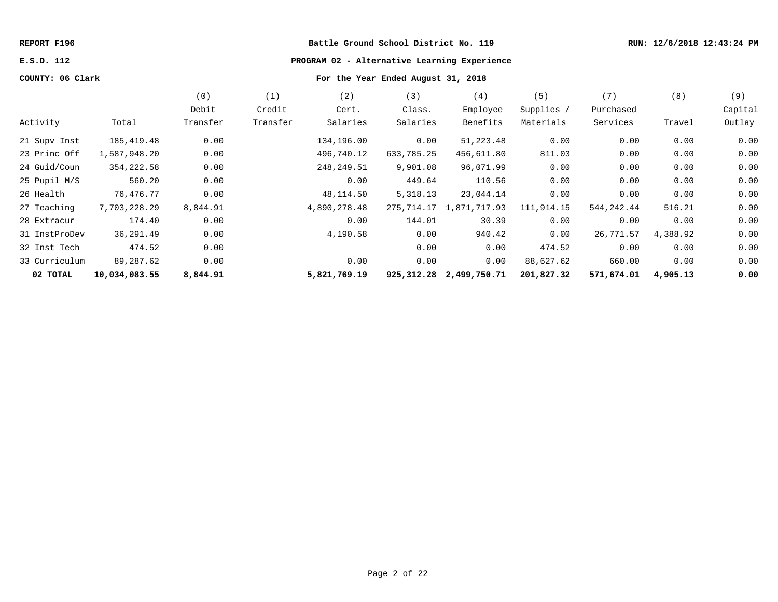#### **REPORT F196 Battle Ground School District No. 119 RUN: 12/6/2018 12:43:24 PM**

# **E.S.D. 112 PROGRAM 02 - Alternative Learning Experience**

# **COUNTY: 06 Clark For the Year Ended August 31, 2018**

|               |               | (0)      | (1)      | (2)          | (3)        | (4)                          | (5)        | (7)        | (8)      | (9)     |
|---------------|---------------|----------|----------|--------------|------------|------------------------------|------------|------------|----------|---------|
|               |               | Debit    | Credit   | Cert.        | Class.     | Employee                     | Supplies / | Purchased  |          | Capital |
| Activity      | Total         | Transfer | Transfer | Salaries     | Salaries   | Benefits                     | Materials  | Services   | Travel   | Outlay  |
| 21 Supv Inst  | 185,419.48    | 0.00     |          | 134,196.00   | 0.00       | 51,223.48                    | 0.00       | 0.00       | 0.00     | 0.00    |
| 23 Princ Off  | 1,587,948.20  | 0.00     |          | 496,740.12   | 633,785.25 | 456,611.80                   | 811.03     | 0.00       | 0.00     | 0.00    |
| 24 Guid/Coun  | 354, 222.58   | 0.00     |          | 248,249.51   | 9,901.08   | 96,071.99                    | 0.00       | 0.00       | 0.00     | 0.00    |
| 25 Pupil M/S  | 560.20        | 0.00     |          | 0.00         | 449.64     | 110.56                       | 0.00       | 0.00       | 0.00     | 0.00    |
| 26 Health     | 76,476.77     | 0.00     |          | 48,114.50    | 5,318.13   | 23,044.14                    | 0.00       | 0.00       | 0.00     | 0.00    |
| 27 Teaching   | 7,703,228.29  | 8,844.91 |          | 4,890,278.48 | 275,714.17 | 1,871,717.93                 | 111,914.15 | 544,242.44 | 516.21   | 0.00    |
| 28 Extracur   | 174.40        | 0.00     |          | 0.00         | 144.01     | 30.39                        | 0.00       | 0.00       | 0.00     | 0.00    |
| 31 InstProDev | 36,291.49     | 0.00     |          | 4,190.58     | 0.00       | 940.42                       | 0.00       | 26,771.57  | 4,388.92 | 0.00    |
| 32 Inst Tech  | 474.52        | 0.00     |          |              | 0.00       | 0.00                         | 474.52     | 0.00       | 0.00     | 0.00    |
| 33 Curriculum | 89,287.62     | 0.00     |          | 0.00         | 0.00       | 0.00                         | 88,627.62  | 660.00     | 0.00     | 0.00    |
| 02 TOTAL      | 10,034,083.55 | 8,844.91 |          | 5,821,769.19 |            | 925, 312. 28 2, 499, 750. 71 | 201,827.32 | 571,674.01 | 4,905.13 | 0.00    |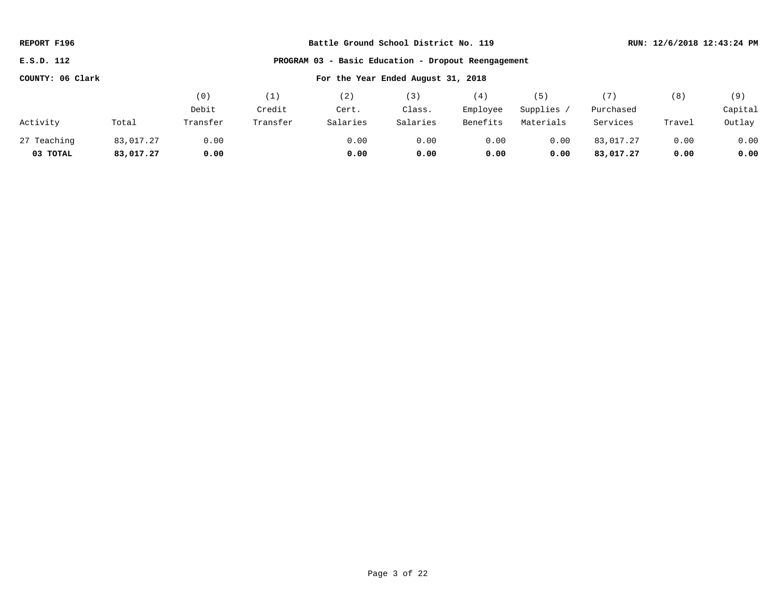| REPORT F196                                            |                                                     | Battle Ground School District No. 119 |          |          |          |          |            |           | RUN: 12/6/2018 12:43:24 PM |         |
|--------------------------------------------------------|-----------------------------------------------------|---------------------------------------|----------|----------|----------|----------|------------|-----------|----------------------------|---------|
| E.S.D. 112                                             | PROGRAM 03 - Basic Education - Dropout Reengagement |                                       |          |          |          |          |            |           |                            |         |
| COUNTY: 06 Clark<br>For the Year Ended August 31, 2018 |                                                     |                                       |          |          |          |          |            |           |                            |         |
|                                                        |                                                     | (0)                                   | (1)      | (2)      | (3)      | (4)      | (5)        | (7)       | (8)                        | (9)     |
|                                                        |                                                     | Debit                                 | Credit   | Cert.    | Class.   | Employee | Supplies / | Purchased |                            | Capital |
| Activity                                               | Total                                               | Transfer                              | Transfer | Salaries | Salaries | Benefits | Materials  | Services  | Travel                     | Outlay  |
| 27 Teaching                                            | 83,017.27                                           | 0.00                                  |          | 0.00     | 0.00     | 0.00     | 0.00       | 83,017.27 | 0.00                       | 0.00    |
| 03 TOTAL                                               | 83,017.27                                           | 0.00                                  |          | 0.00     | 0.00     | 0.00     | 0.00       | 83,017.27 | 0.00                       | 0.00    |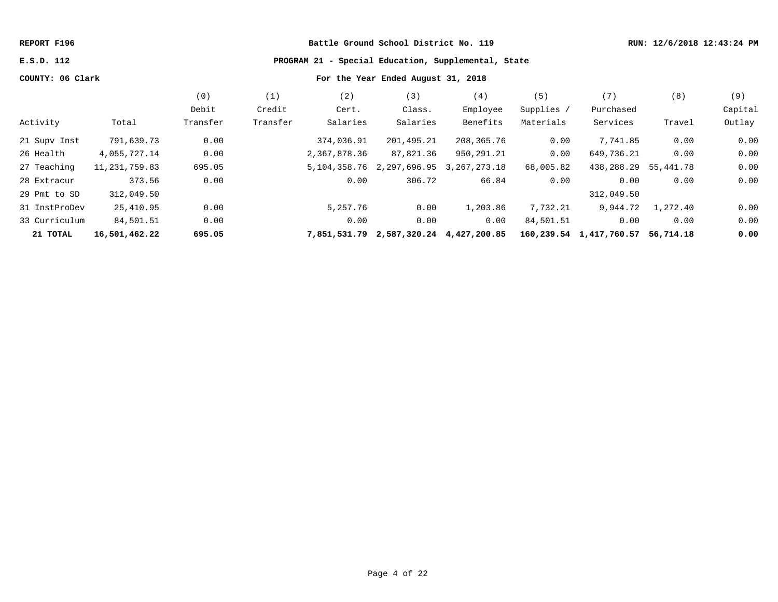## **REPORT F196 Battle Ground School District No. 119 RUN: 12/6/2018 12:43:24 PM**

## **E.S.D. 112 PROGRAM 21 - Special Education, Supplemental, State**

# **COUNTY: 06 Clark For the Year Ended August 31, 2018**

|               |               | (0)      |          | (2)          | (3)                       | (4)          | 〔5〕        | (7,                     | (8)       | (9)     |
|---------------|---------------|----------|----------|--------------|---------------------------|--------------|------------|-------------------------|-----------|---------|
|               |               | Debit    | Credit   | Cert.        | Class.                    | Employee     | Supplies / | Purchased               |           | Capital |
| Activity      | Total         | Transfer | Transfer | Salaries     | Salaries                  | Benefits     | Materials  | Services                | Travel    | Outlay  |
| 21 Supv Inst  | 791,639.73    | 0.00     |          | 374,036.91   | 201,495.21                | 208,365.76   | 0.00       | 7,741.85                | 0.00      | 0.00    |
| 26 Health     | 4,055,727.14  | 0.00     |          | 2,367,878.36 | 87,821.36                 | 950,291.21   | 0.00       | 649,736.21              | 0.00      | 0.00    |
| 27 Teaching   | 11,231,759.83 | 695.05   |          | 5,104,358.76 | 2,297,696.95              | 3,267,273.18 | 68,005.82  | 438,288.29              | 55,441.78 | 0.00    |
| 28 Extracur   | 373.56        | 0.00     |          | 0.00         | 306.72                    | 66.84        | 0.00       | 0.00                    | 0.00      | 0.00    |
| 29 Pmt to SD  | 312,049.50    |          |          |              |                           |              |            | 312,049.50              |           |         |
| 31 InstProDev | 25,410.95     | 0.00     |          | 5,257.76     | 0.00                      | 1,203.86     | 7,732.21   | 9,944.72                | 1,272.40  | 0.00    |
| 33 Curriculum | 84,501.51     | 0.00     |          | 0.00         | 0.00                      | 0.00         | 84,501.51  | 0.00                    | 0.00      | 0.00    |
| 21 TOTAL      | 16,501,462.22 | 695.05   |          | 7,851,531.79 | 2,587,320.24 4,427,200.85 |              |            | 160,239.54 1,417,760.57 | 56,714.18 | 0.00    |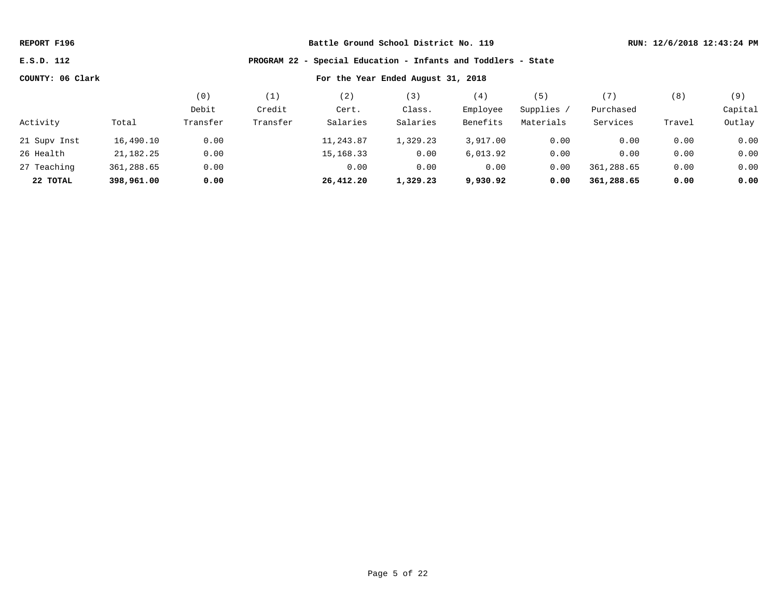**E.S.D. 112 PROGRAM 22 - Special Education - Infants and Toddlers - State**

|              |            | (0,      | (1)      | ' 2 )       | 【3】      | (4)      | (5)        | (7)        | (8)    | (9)     |
|--------------|------------|----------|----------|-------------|----------|----------|------------|------------|--------|---------|
|              |            | Debit    | Credit   | Cert.       | Class.   | Employee | Supplies / | Purchased  |        | Capital |
| Activity     | Total      | Transfer | Transfer | Salaries    | Salaries | Benefits | Materials  | Services   | Travel | Outlay  |
| 21 Supv Inst | 16,490.10  | 0.00     |          | 11,243.87   | 1,329.23 | 3,917.00 | 0.00       | 0.00       | 0.00   | 0.00    |
| 26 Health    | 21,182.25  | 0.00     |          | 15, 168. 33 | 0.00     | 6,013.92 | 0.00       | 0.00       | 0.00   | 0.00    |
| 27 Teaching  | 361,288.65 | 0.00     |          | 0.00        | 0.00     | 0.00     | 0.00       | 361,288.65 | 0.00   | 0.00    |
| 22 TOTAL     | 398,961.00 | 0.00     |          | 26,412.20   | 1,329.23 | 9,930.92 | 0.00       | 361,288.65 | 0.00   | 0.00    |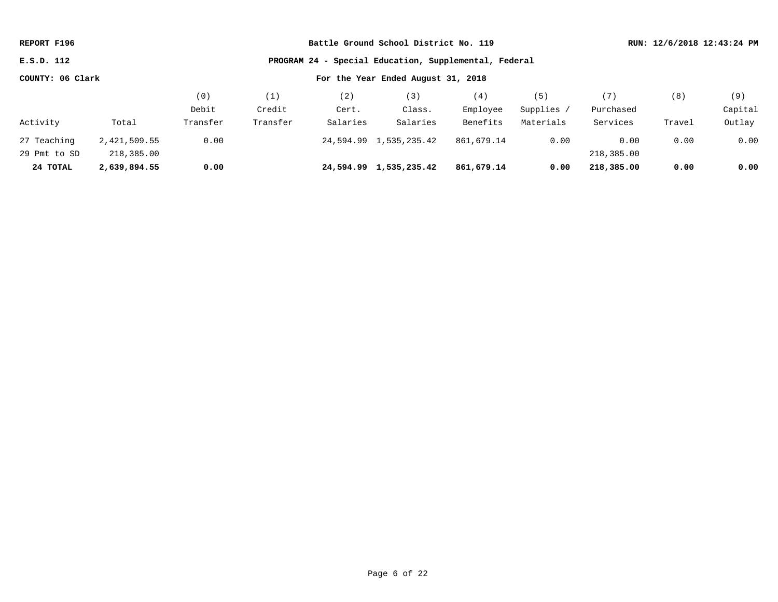| REPORT F196      |              |          | Battle Ground School District No. 119 |          |                                                       | RUN: 12/6/2018 12:43:24 PM |            |            |        |         |  |  |
|------------------|--------------|----------|---------------------------------------|----------|-------------------------------------------------------|----------------------------|------------|------------|--------|---------|--|--|
| E.S.D. 112       |              |          |                                       |          | PROGRAM 24 - Special Education, Supplemental, Federal |                            |            |            |        |         |  |  |
| COUNTY: 06 Clark |              |          | For the Year Ended August 31, 2018    |          |                                                       |                            |            |            |        |         |  |  |
|                  |              | (0)      | (1)                                   | (2)      | (3)                                                   | (4)                        | (5)        | (7)        | (8)    | (9)     |  |  |
|                  |              | Debit    | Credit                                | Cert.    | Class.                                                | Employee                   | Supplies / | Purchased  |        | Capital |  |  |
| Activity         | Total        | Transfer | Transfer                              | Salaries | Salaries                                              | Benefits                   | Materials  | Services   | Travel | Outlay  |  |  |
| 27 Teaching      | 2,421,509.55 | 0.00     |                                       |          | 24,594.99 1,535,235.42                                | 861,679.14                 | 0.00       | 0.00       | 0.00   | 0.00    |  |  |
| 29 Pmt to SD     | 218,385.00   |          |                                       |          |                                                       |                            |            | 218,385.00 |        |         |  |  |
| 24 TOTAL         | 2,639,894.55 | 0.00     |                                       |          | 24,594.99 1,535,235.42                                | 861,679.14                 | 0.00       | 218,385.00 | 0.00   | 0.00    |  |  |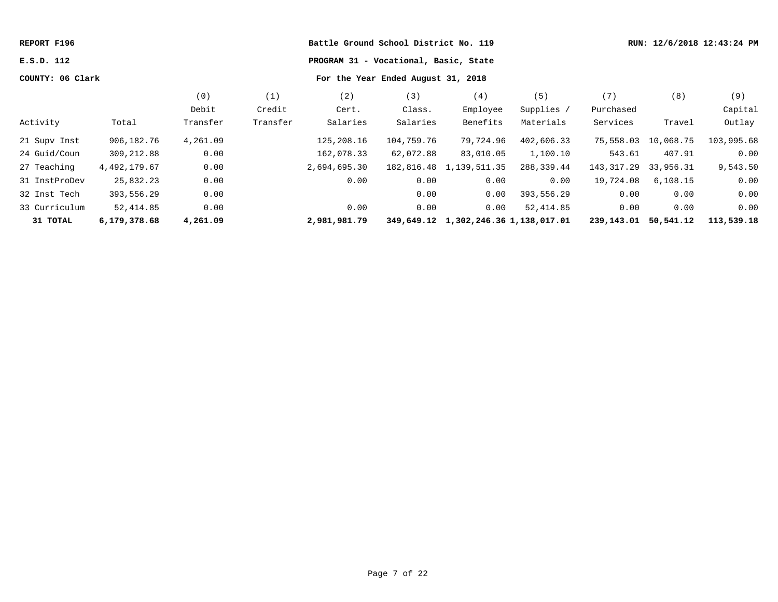| REPORT F196      |              |          |          | Battle Ground School District No. 119 |                                       |                                      | RUN: 12/6/2018 12:43:24 PM |                      |           |            |
|------------------|--------------|----------|----------|---------------------------------------|---------------------------------------|--------------------------------------|----------------------------|----------------------|-----------|------------|
| E.S.D. 112       |              |          |          |                                       | PROGRAM 31 - Vocational, Basic, State |                                      |                            |                      |           |            |
| COUNTY: 06 Clark |              |          |          |                                       | For the Year Ended August 31, 2018    |                                      |                            |                      |           |            |
|                  |              | (0)      | (1)      | (2)                                   | (3)                                   | (4)                                  | (5)                        | (7)                  | (8)       | (9)        |
|                  |              | Debit    | Credit   | Cert.                                 | Class.                                | Employee                             | Supplies /                 | Purchased            |           | Capital    |
| Activity         | Total        | Transfer | Transfer | Salaries                              | Salaries                              | Benefits                             | Materials                  | Services             | Travel    | Outlay     |
| 21 Supv Inst     | 906,182.76   | 4,261.09 |          | 125,208.16                            | 104,759.76                            | 79,724.96                            | 402,606.33                 | 75,558.03 10,068.75  |           | 103,995.68 |
| 24 Guid/Coun     | 309,212.88   | 0.00     |          | 162,078.33                            | 62,072.88                             | 83,010.05                            | 1,100.10                   | 543.61               | 407.91    | 0.00       |
| 27 Teaching      | 4,492,179.67 | 0.00     |          | 2,694,695.30                          |                                       | 182,816.48 1,139,511.35              | 288,339.44                 | 143,317.29           | 33,956.31 | 9,543.50   |
| 31 InstProDev    | 25,832.23    | 0.00     |          | 0.00                                  | 0.00                                  | 0.00                                 | 0.00                       | 19,724.08            | 6, 108.15 | 0.00       |
| 32 Inst Tech     | 393,556.29   | 0.00     |          |                                       | 0.00                                  | 0.00                                 | 393,556.29                 | 0.00                 | 0.00      | 0.00       |
| 33 Curriculum    | 52,414.85    | 0.00     |          | 0.00                                  | 0.00                                  | 0.00                                 | 52,414.85                  | 0.00                 | 0.00      | 0.00       |
| 31 TOTAL         | 6,179,378.68 | 4,261.09 |          | 2,981,981.79                          |                                       | 349,649.12 1,302,246.36 1,138,017.01 |                            | 239,143.01 50,541.12 |           | 113,539.18 |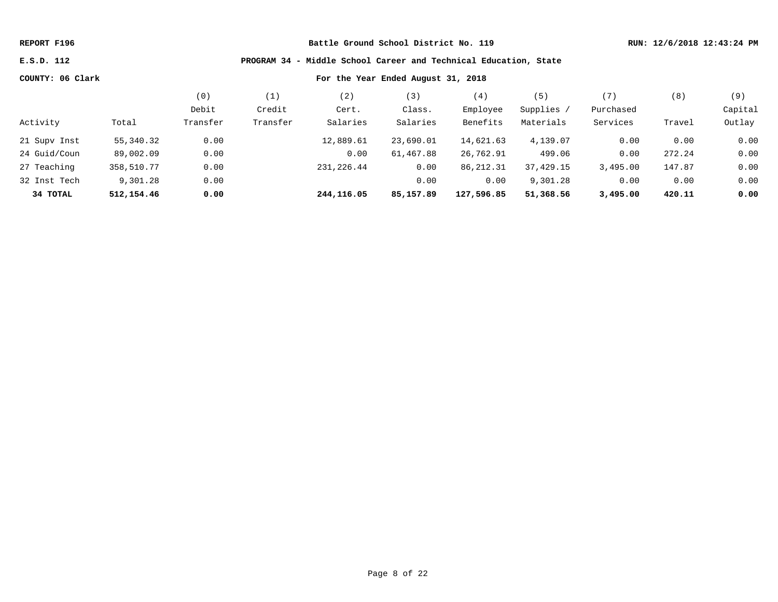**E.S.D. 112 PROGRAM 34 - Middle School Career and Technical Education, State**

|              |            | (0)      | $^{\prime}$ 1 | (2)        | (3)       | (4)        | (5)        | $^{\prime}$ 7 $^{\prime}$ | (8)    | (9)     |
|--------------|------------|----------|---------------|------------|-----------|------------|------------|---------------------------|--------|---------|
|              |            | Debit    | Credit        | Cert.      | Class.    | Employee   | Supplies / | Purchased                 |        | Capital |
| Activity     | Total      | Transfer | Transfer      | Salaries   | Salaries  | Benefits   | Materials  | Services                  | Travel | Outlay  |
| 21 Supv Inst | 55,340.32  | 0.00     |               | 12,889.61  | 23,690.01 | 14,621.63  | 4,139.07   | 0.00                      | 0.00   | 0.00    |
| 24 Guid/Coun | 89,002.09  | 0.00     |               | 0.00       | 61,467.88 | 26,762.91  | 499.06     | 0.00                      | 272.24 | 0.00    |
| 27 Teaching  | 358,510.77 | 0.00     |               | 231,226.44 | 0.00      | 86,212.31  | 37,429.15  | 3,495.00                  | 147.87 | 0.00    |
| 32 Inst Tech | 9,301.28   | 0.00     |               |            | 0.00      | 0.00       | 9,301.28   | 0.00                      | 0.00   | 0.00    |
| 34 TOTAL     | 512,154.46 | 0.00     |               | 244,116.05 | 85,157.89 | 127,596.85 | 51,368.56  | 3,495.00                  | 420.11 | 0.00    |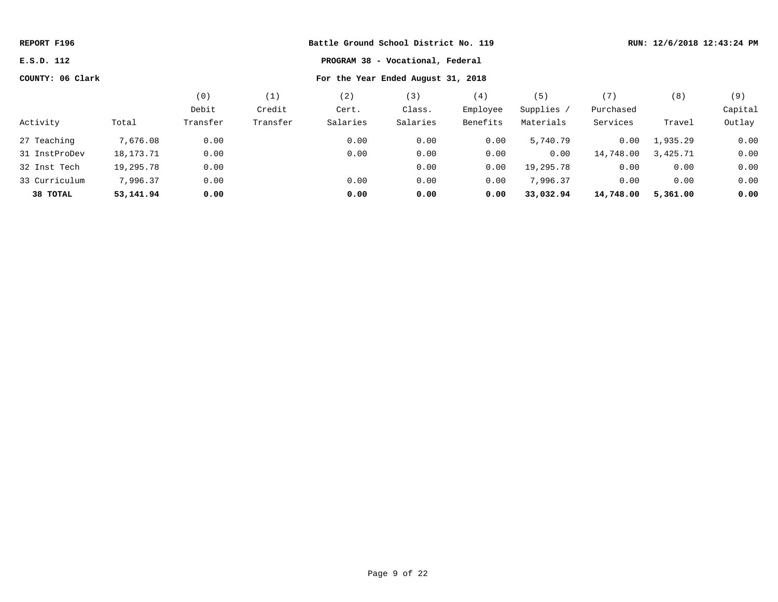| REPORT F196      |           |          | Battle Ground School District No. 119 |          | RUN: 12/6/2018 12:43:24 PM |          |            |           |          |         |
|------------------|-----------|----------|---------------------------------------|----------|----------------------------|----------|------------|-----------|----------|---------|
| E.S.D. 112       |           |          |                                       |          |                            |          |            |           |          |         |
| COUNTY: 06 Clark |           |          |                                       |          |                            |          |            |           |          |         |
|                  |           | (0)      | (1)                                   | (2)      | (3)                        | (4)      | (5)        | (7)       | (8)      | (9)     |
|                  |           | Debit    | Credit                                | Cert.    | Class.                     | Employee | Supplies / | Purchased |          | Capital |
| Activity         | Total     | Transfer | Transfer                              | Salaries | Salaries                   | Benefits | Materials  | Services  | Travel   | Outlay  |
| 27 Teaching      | 7,676.08  | 0.00     |                                       | 0.00     | 0.00                       | 0.00     | 5,740.79   | 0.00      | 1,935.29 | 0.00    |
| 31 InstProDev    | 18,173.71 | 0.00     |                                       | 0.00     | 0.00                       | 0.00     | 0.00       | 14,748.00 | 3,425.71 | 0.00    |
| 32 Inst Tech     | 19,295.78 | 0.00     |                                       |          | 0.00                       | 0.00     | 19,295.78  | 0.00      | 0.00     | 0.00    |
| 33 Curriculum    | 7,996.37  | 0.00     |                                       | 0.00     | 0.00                       | 0.00     | 7,996.37   | 0.00      | 0.00     | 0.00    |
| 38 TOTAL         | 53,141.94 | 0.00     |                                       | 0.00     | 0.00                       | 0.00     | 33,032.94  | 14,748.00 | 5,361.00 | 0.00    |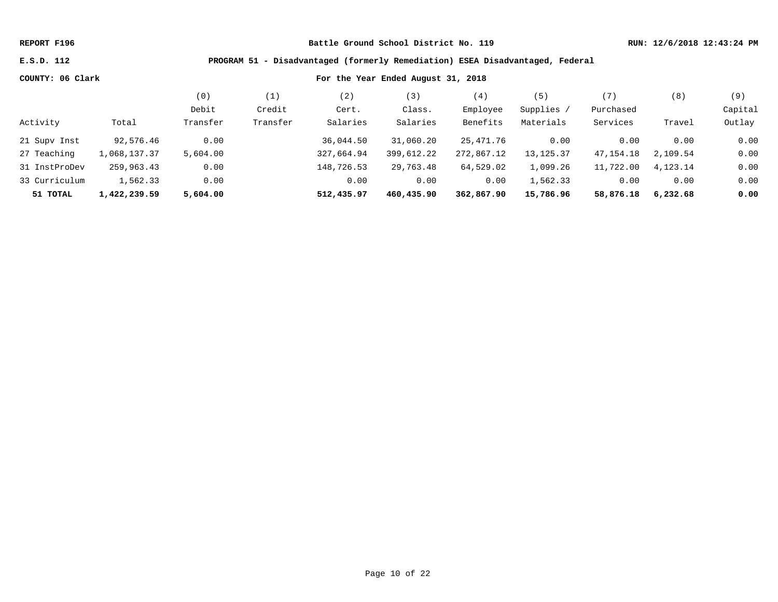### **E.S.D. 112 PROGRAM 51 - Disadvantaged (formerly Remediation) ESEA Disadvantaged, Federal**

|               |              | ΄Ο)      |          | 2)         | $3^{\circ}$ | (4)        | 5           | '7,         | (8)      | (9)     |
|---------------|--------------|----------|----------|------------|-------------|------------|-------------|-------------|----------|---------|
|               |              | Debit    | Credit   | Cert.      | Class.      | Employee   | Supplies /  | Purchased   |          | Capital |
| Activity      | Total        | Transfer | Transfer | Salaries   | Salaries    | Benefits   | Materials   | Services    | Travel   | Outlay  |
| 21 Supv Inst  | 92,576.46    | 0.00     |          | 36,044.50  | 31,060.20   | 25,471.76  | 0.00        | 0.00        | 0.00     | 0.00    |
| 27 Teaching   | 1,068,137.37 | 5,604.00 |          | 327,664.94 | 399,612.22  | 272,867.12 | 13, 125. 37 | 47, 154. 18 | 2,109.54 | 0.00    |
| 31 InstProDev | 259,963.43   | 0.00     |          | 148,726.53 | 29,763.48   | 64,529.02  | 1,099.26    | 11,722.00   | 4,123.14 | 0.00    |
| 33 Curriculum | 1,562.33     | 0.00     |          | 0.00       | 0.00        | 0.00       | 1,562.33    | 0.00        | 0.00     | 0.00    |
| 51 TOTAL      | 1,422,239.59 | 5,604.00 |          | 512,435.97 | 460,435.90  | 362,867.90 | 15,786.96   | 58,876.18   | 6,232.68 | 0.00    |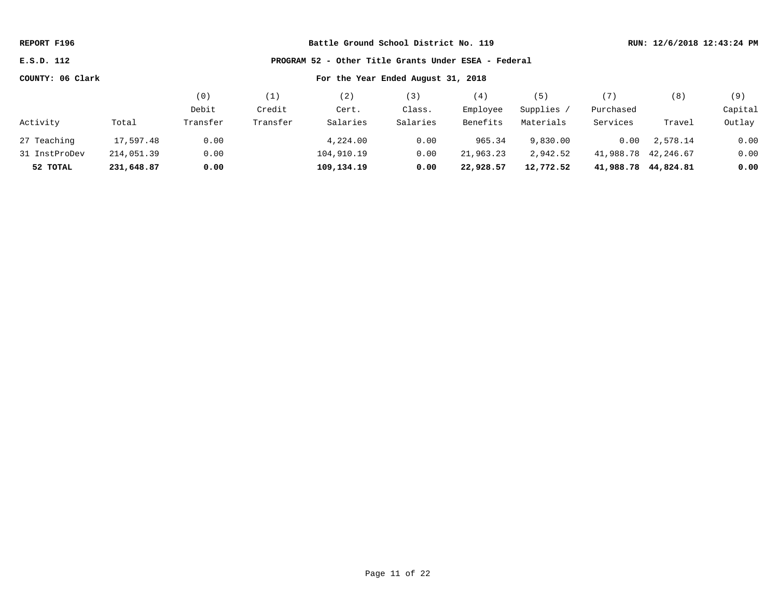**E.S.D. 112 PROGRAM 52 - Other Title Grants Under ESEA - Federal**

|               |            | (0)      | (1)      | (2)        | (3)      | (4)       | (5)       | (7)       | (8)                 | (9)     |
|---------------|------------|----------|----------|------------|----------|-----------|-----------|-----------|---------------------|---------|
|               |            | Debit    | Credit   | Cert.      | Class.   | Employee  | Supplies  | Purchased |                     | Capital |
| Activity      | Total      | Transfer | Transfer | Salaries   | Salaries | Benefits  | Materials | Services  | Travel              | Outlay  |
| 27 Teaching   | 17,597.48  | 0.00     |          | 4,224.00   | 0.00     | 965.34    | 9,830.00  | 0.00      | 2,578.14            | 0.00    |
| 31 InstProDev | 214,051.39 | 0.00     |          | 104,910.19 | 0.00     | 21,963.23 | 2,942.52  |           | 41,988.78 42,246.67 | 0.00    |
| 52 TOTAL      | 231,648.87 | 0.00     |          | 109,134.19 | 0.00     | 22,928.57 | 12,772.52 |           | 41,988.78 44,824.81 | 0.00    |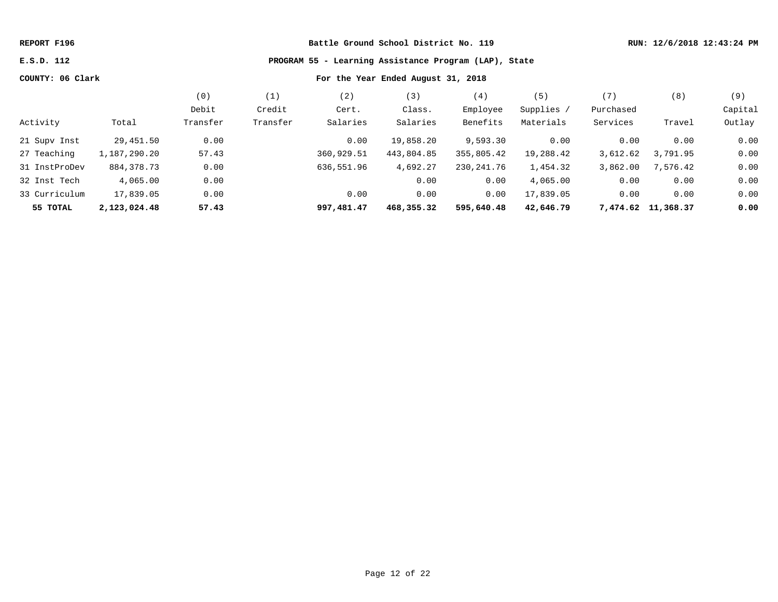# **E.S.D. 112 PROGRAM 55 - Learning Assistance Program (LAP), State**

|               |              | (0)      | (1)      | (2)        | (3)        | (4)        | (5)        | (7)       | (8)                | (9)     |
|---------------|--------------|----------|----------|------------|------------|------------|------------|-----------|--------------------|---------|
|               |              | Debit    | Credit   | Cert.      | Class.     | Employee   | Supplies / | Purchased |                    | Capital |
| Activity      | Total        | Transfer | Transfer | Salaries   | Salaries   | Benefits   | Materials  | Services  | Travel             | Outlay  |
| 21 Supv Inst  | 29,451.50    | 0.00     |          | 0.00       | 19,858.20  | 9,593.30   | 0.00       | 0.00      | 0.00               | 0.00    |
| 27 Teaching   | 1,187,290.20 | 57.43    |          | 360,929.51 | 443,804.85 | 355,805.42 | 19,288.42  | 3,612.62  | 3,791.95           | 0.00    |
| 31 InstProDev | 884, 378. 73 | 0.00     |          | 636,551.96 | 4,692.27   | 230,241.76 | 1,454.32   | 3,862.00  | 7,576.42           | 0.00    |
| 32 Inst Tech  | 4,065.00     | 0.00     |          |            | 0.00       | 0.00       | 4,065.00   | 0.00      | 0.00               | 0.00    |
| 33 Curriculum | 17,839.05    | 0.00     |          | 0.00       | 0.00       | 0.00       | 17,839.05  | 0.00      | 0.00               | 0.00    |
| 55 TOTAL      | 2,123,024.48 | 57.43    |          | 997,481.47 | 468,355.32 | 595,640.48 | 42,646.79  |           | 7,474.62 11,368.37 | 0.00    |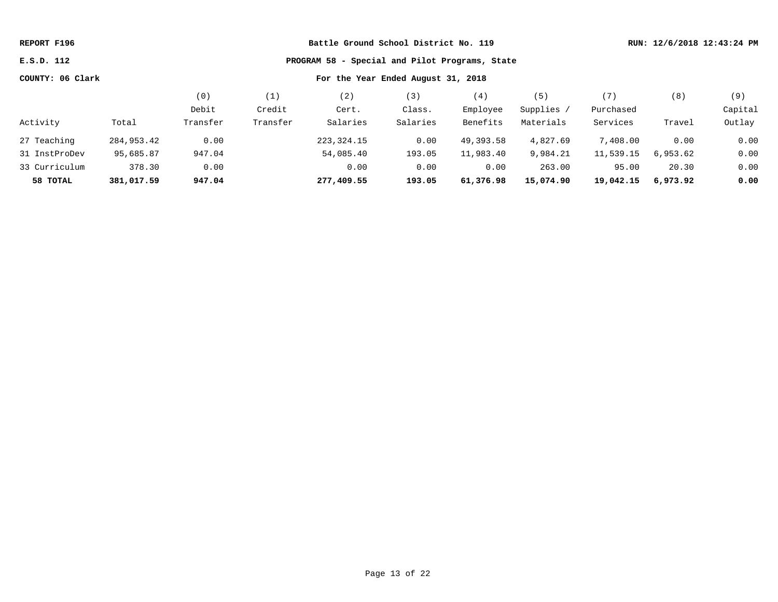| REPORT F196      |            |                                    |                                                | RUN: 12/6/2018 12:43:24 PM |          |           |            |           |          |         |  |  |
|------------------|------------|------------------------------------|------------------------------------------------|----------------------------|----------|-----------|------------|-----------|----------|---------|--|--|
| E.S.D. 112       |            |                                    | PROGRAM 58 - Special and Pilot Programs, State |                            |          |           |            |           |          |         |  |  |
| COUNTY: 06 Clark |            | For the Year Ended August 31, 2018 |                                                |                            |          |           |            |           |          |         |  |  |
|                  |            | (0)                                | (1)                                            | (2)                        | (3)      | (4)       | (5)        | (7)       | (8)      | (9)     |  |  |
|                  |            | Debit                              | Credit                                         | Cert.                      | Class.   | Employee  | Supplies / | Purchased |          | Capital |  |  |
| Activity         | Total      | Transfer                           | Transfer                                       | Salaries                   | Salaries | Benefits  | Materials  | Services  | Travel   | Outlay  |  |  |
| 27 Teaching      | 284,953.42 | 0.00                               |                                                | 223, 324. 15               | 0.00     | 49,393.58 | 4,827.69   | 7,408.00  | 0.00     | 0.00    |  |  |
| 31 InstProDev    | 95,685.87  | 947.04                             |                                                | 54,085.40                  | 193.05   | 11,983.40 | 9,984.21   | 11,539.15 | 6,953.62 | 0.00    |  |  |
| 33 Curriculum    | 378.30     | 0.00                               |                                                | 0.00                       | 0.00     | 0.00      | 263.00     | 95.00     | 20.30    | 0.00    |  |  |
| 58 TOTAL         | 381,017.59 | 947.04                             |                                                | 277,409.55                 | 193.05   | 61,376.98 | 15,074.90  | 19,042.15 | 6,973.92 | 0.00    |  |  |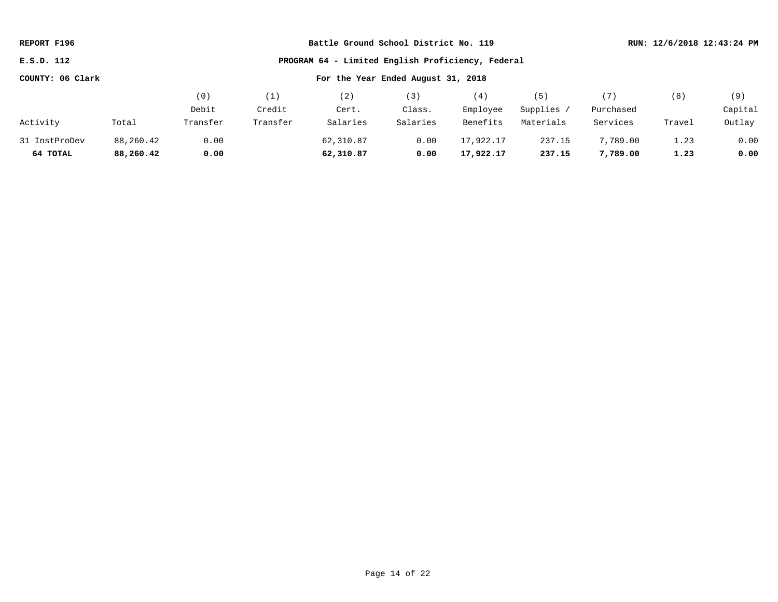| REPORT F196      |           |          | Battle Ground School District No. 119             |                                    |          |           |            |           | RUN: 12/6/2018 12:43:24 PM |         |  |  |
|------------------|-----------|----------|---------------------------------------------------|------------------------------------|----------|-----------|------------|-----------|----------------------------|---------|--|--|
| E.S.D. 112       |           |          | PROGRAM 64 - Limited English Proficiency, Federal |                                    |          |           |            |           |                            |         |  |  |
| COUNTY: 06 Clark |           |          |                                                   | For the Year Ended August 31, 2018 |          |           |            |           |                            |         |  |  |
|                  |           | (0)      | (1)                                               | (2)                                | (3)      | (4)       | (5)        | (7)       | (8)                        | (9)     |  |  |
|                  |           | Debit    | Credit                                            | Cert.                              | Class.   | Employee  | Supplies / | Purchased |                            | Capital |  |  |
| Activity         | Total     | Transfer | Transfer                                          | Salaries                           | Salaries | Benefits  | Materials  | Services  | Travel                     | Outlay  |  |  |
| 31 InstProDev    | 88,260.42 | 0.00     |                                                   | 62,310.87                          | 0.00     | 17,922.17 | 237.15     | 7,789.00  | 1.23                       | 0.00    |  |  |
| 64 TOTAL         | 88,260.42 | 0.00     |                                                   | 62,310.87                          | 0.00     | 17,922.17 | 237.15     | 7,789.00  | 1.23                       | 0.00    |  |  |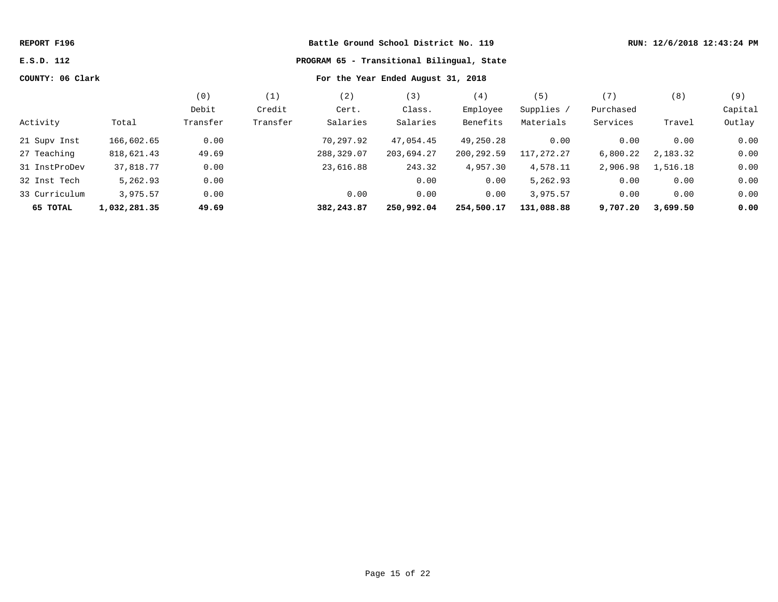|                  |          |          |            |            | RUN: 12/6/2018 12:43:24 PM |                                                                                                                           |           |          |         |
|------------------|----------|----------|------------|------------|----------------------------|---------------------------------------------------------------------------------------------------------------------------|-----------|----------|---------|
|                  |          |          |            |            |                            |                                                                                                                           |           |          |         |
| COUNTY: 06 Clark |          |          |            |            |                            |                                                                                                                           |           |          |         |
|                  | (0)      | (1)      | (2)        | (3)        | (4)                        | (5)                                                                                                                       | (7)       | (8)      | (9)     |
|                  | Debit    | Credit   | Cert.      | Class.     | Employee                   | Supplies /                                                                                                                | Purchased |          | Capital |
| Total            | Transfer | Transfer | Salaries   | Salaries   | Benefits                   | Materials                                                                                                                 | Services  | Travel   | Outlay  |
| 166,602.65       | 0.00     |          | 70,297.92  | 47,054.45  | 49,250.28                  | 0.00                                                                                                                      | 0.00      | 0.00     | 0.00    |
| 818,621.43       | 49.69    |          | 288,329.07 | 203,694.27 | 200,292.59                 | 117,272.27                                                                                                                | 6,800.22  | 2,183.32 | 0.00    |
| 37,818.77        | 0.00     |          | 23,616.88  | 243.32     | 4,957.30                   | 4,578.11                                                                                                                  | 2,906.98  | 1,516.18 | 0.00    |
| 5,262.93         | 0.00     |          |            | 0.00       | 0.00                       | 5,262.93                                                                                                                  | 0.00      | 0.00     | 0.00    |
| 3,975.57         | 0.00     |          | 0.00       | 0.00       | 0.00                       | 3,975.57                                                                                                                  | 0.00      | 0.00     | 0.00    |
| 1,032,281.35     | 49.69    |          | 382,243.87 | 250,992.04 | 254,500.17                 | 131,088.88                                                                                                                | 9,707.20  | 3,699.50 | 0.00    |
|                  |          |          |            |            |                            | Battle Ground School District No. 119<br>PROGRAM 65 - Transitional Bilingual, State<br>For the Year Ended August 31, 2018 |           |          |         |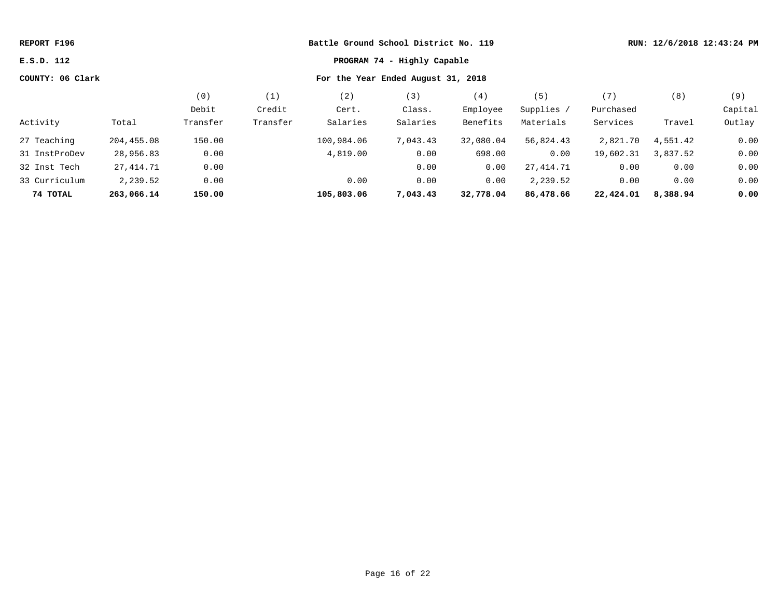| REPORT F196                               |            |                                    |          | Battle Ground School District No. 119 |          |           |            |           | RUN: 12/6/2018 12:43:24 PM |         |
|-------------------------------------------|------------|------------------------------------|----------|---------------------------------------|----------|-----------|------------|-----------|----------------------------|---------|
| E.S.D. 112<br>PROGRAM 74 - Highly Capable |            |                                    |          |                                       |          |           |            |           |                            |         |
| COUNTY: 06 Clark                          |            | For the Year Ended August 31, 2018 |          |                                       |          |           |            |           |                            |         |
|                                           |            | (0)                                | (1)      | (2)                                   | (3)      | (4)       | (5)        | (7)       | (8)                        | (9)     |
|                                           |            | Debit                              | Credit   | Cert.                                 | Class.   | Employee  | Supplies / | Purchased |                            | Capital |
| Activity                                  | Total      | Transfer                           | Transfer | Salaries                              | Salaries | Benefits  | Materials  | Services  | Travel                     | Outlay  |
| 27 Teaching                               | 204,455.08 | 150.00                             |          | 100,984.06                            | 7,043.43 | 32,080.04 | 56,824.43  | 2,821.70  | 4,551.42                   | 0.00    |
| 31 InstProDev                             | 28,956.83  | 0.00                               |          | 4,819.00                              | 0.00     | 698.00    | 0.00       | 19,602.31 | 3,837.52                   | 0.00    |
| 32 Inst Tech                              | 27,414.71  | 0.00                               |          |                                       | 0.00     | 0.00      | 27,414.71  | 0.00      | 0.00                       | 0.00    |
| 33 Curriculum                             | 2,239.52   | 0.00                               |          | 0.00                                  | 0.00     | 0.00      | 2,239.52   | 0.00      | 0.00                       | 0.00    |
| 74 TOTAL                                  | 263,066.14 | 150.00                             |          | 105,803.06                            | 7,043.43 | 32,778.04 | 86,478.66  | 22,424.01 | 8,388.94                   | 0.00    |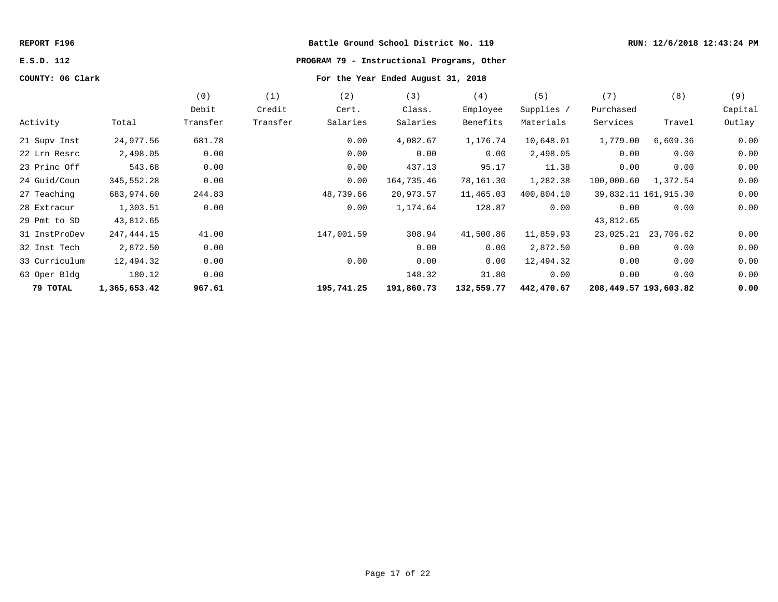# **E.S.D. 112 PROGRAM 79 - Instructional Programs, Other**

|               |              | (0)      | (1)      | (2)        | (3)        | (4)        | (5)        | (7)                   | (8)                  | (9)     |
|---------------|--------------|----------|----------|------------|------------|------------|------------|-----------------------|----------------------|---------|
|               |              | Debit    | Credit   | Cert.      | Class.     | Employee   | Supplies / | Purchased             |                      | Capital |
| Activity      | Total        | Transfer | Transfer | Salaries   | Salaries   | Benefits   | Materials  | Services              | Travel               | Outlay  |
| 21 Supv Inst  | 24,977.56    | 681.78   |          | 0.00       | 4,082.67   | 1,176.74   | 10,648.01  | 1,779.00              | 6,609.36             | 0.00    |
| 22 Lrn Resrc  | 2,498.05     | 0.00     |          | 0.00       | 0.00       | 0.00       | 2,498.05   | 0.00                  | 0.00                 | 0.00    |
| 23 Princ Off  | 543.68       | 0.00     |          | 0.00       | 437.13     | 95.17      | 11.38      | 0.00                  | 0.00                 | 0.00    |
| 24 Guid/Coun  | 345,552.28   | 0.00     |          | 0.00       | 164,735.46 | 78,161.30  | 1,282.38   | 100,000.60            | 1,372.54             | 0.00    |
| 27 Teaching   | 683,974.60   | 244.83   |          | 48,739.66  | 20,973.57  | 11,465.03  | 400,804.10 |                       | 39,832.11 161,915.30 | 0.00    |
| 28 Extracur   | 1,303.51     | 0.00     |          | 0.00       | 1,174.64   | 128.87     | 0.00       | 0.00                  | 0.00                 | 0.00    |
| 29 Pmt to SD  | 43,812.65    |          |          |            |            |            |            | 43,812.65             |                      |         |
| 31 InstProDev | 247,444.15   | 41.00    |          | 147,001.59 | 308.94     | 41,500.86  | 11,859.93  |                       | 23,025.21 23,706.62  | 0.00    |
| 32 Inst Tech  | 2,872.50     | 0.00     |          |            | 0.00       | 0.00       | 2,872.50   | 0.00                  | 0.00                 | 0.00    |
| 33 Curriculum | 12,494.32    | 0.00     |          | 0.00       | 0.00       | 0.00       | 12,494.32  | 0.00                  | 0.00                 | 0.00    |
| 63 Oper Bldg  | 180.12       | 0.00     |          |            | 148.32     | 31.80      | 0.00       | 0.00                  | 0.00                 | 0.00    |
| 79 TOTAL      | 1,365,653.42 | 967.61   |          | 195,741.25 | 191,860.73 | 132,559.77 | 442,470.67 | 208,449.57 193,603.82 |                      | 0.00    |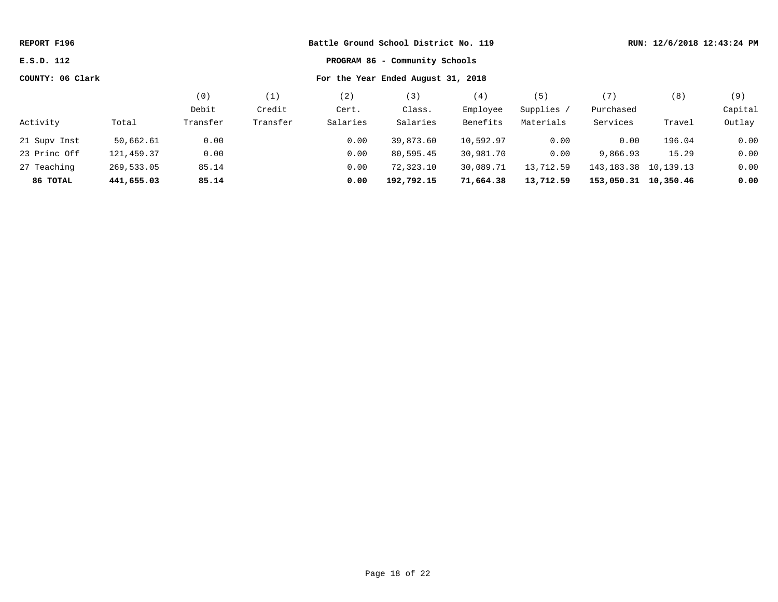| REPORT F196                                  | Battle Ground School District No. 119 |          |          |                                    |            | RUN: 12/6/2018 12:43:24 PM |            |                          |        |         |
|----------------------------------------------|---------------------------------------|----------|----------|------------------------------------|------------|----------------------------|------------|--------------------------|--------|---------|
| PROGRAM 86 - Community Schools<br>E.S.D. 112 |                                       |          |          |                                    |            |                            |            |                          |        |         |
| COUNTY: 06 Clark                             |                                       |          |          | For the Year Ended August 31, 2018 |            |                            |            |                          |        |         |
|                                              |                                       | (0)      | (1)      | (2)                                | (3)        | (4)                        | (5)        | (7)                      | (8)    | (9)     |
|                                              |                                       | Debit    | Credit   | Cert.                              | Class.     | Employee                   | Supplies / | Purchased                |        | Capital |
| Activity                                     | Total                                 | Transfer | Transfer | Salaries                           | Salaries   | Benefits                   | Materials  | Services                 | Travel | Outlay  |
| 21 Supv Inst                                 | 50,662.61                             | 0.00     |          | 0.00                               | 39,873.60  | 10,592.97                  | 0.00       | 0.00                     | 196.04 | 0.00    |
| 23 Princ Off                                 | 121,459.37                            | 0.00     |          | 0.00                               | 80,595.45  | 30,981.70                  | 0.00       | 9,866.93                 | 15.29  | 0.00    |
| 27 Teaching                                  | 269,533.05                            | 85.14    |          | 0.00                               | 72,323.10  | 30,089.71                  | 13,712.59  | 143, 183. 38 10, 139. 13 |        | 0.00    |
| 86 ТОТАL                                     | 441,655.03                            | 85.14    |          | 0.00                               | 192,792.15 | 71,664.38                  | 13,712.59  | 153,050.31 10,350.46     |        | 0.00    |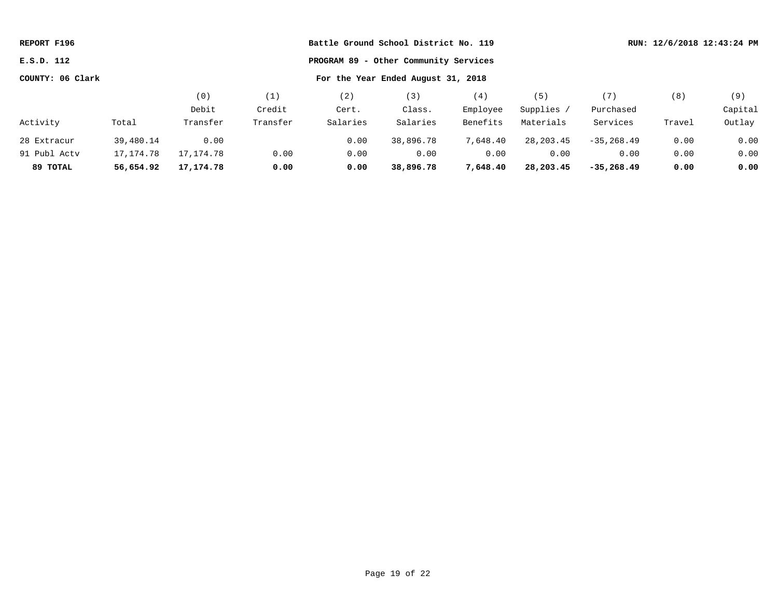| REPORT F196                                         |           |                                    |          | Battle Ground School District No. 119 |           |          |             |                |        | RUN: 12/6/2018 12:43:24 PM |
|-----------------------------------------------------|-----------|------------------------------------|----------|---------------------------------------|-----------|----------|-------------|----------------|--------|----------------------------|
| E.S.D. 112<br>PROGRAM 89 - Other Community Services |           |                                    |          |                                       |           |          |             |                |        |                            |
| COUNTY: 06 Clark                                    |           | For the Year Ended August 31, 2018 |          |                                       |           |          |             |                |        |                            |
|                                                     |           | (0)                                | (1)      | (2)                                   | (3)       | (4)      | (5)         | (7)            | (8)    | (9)                        |
|                                                     |           | Debit                              | Credit   | Cert.                                 | Class.    | Employee | Supplies /  | Purchased      |        | Capital                    |
| Activity                                            | Total     | Transfer                           | Transfer | Salaries                              | Salaries  | Benefits | Materials   | Services       | Travel | Outlay                     |
| 28 Extracur                                         | 39,480.14 | 0.00                               |          | 0.00                                  | 38,896.78 | 7,648.40 | 28, 203. 45 | $-35, 268, 49$ | 0.00   | 0.00                       |
| 91 Publ Acty                                        | 17,174.78 | 17,174.78                          | 0.00     | 0.00                                  | 0.00      | 0.00     | 0.00        | 0.00           | 0.00   | 0.00                       |
| 89 TOTAL                                            | 56,654.92 | 17,174.78                          | 0.00     | 0.00                                  | 38,896.78 | 7,648.40 | 28,203.45   | $-35,268.49$   | 0.00   | 0.00                       |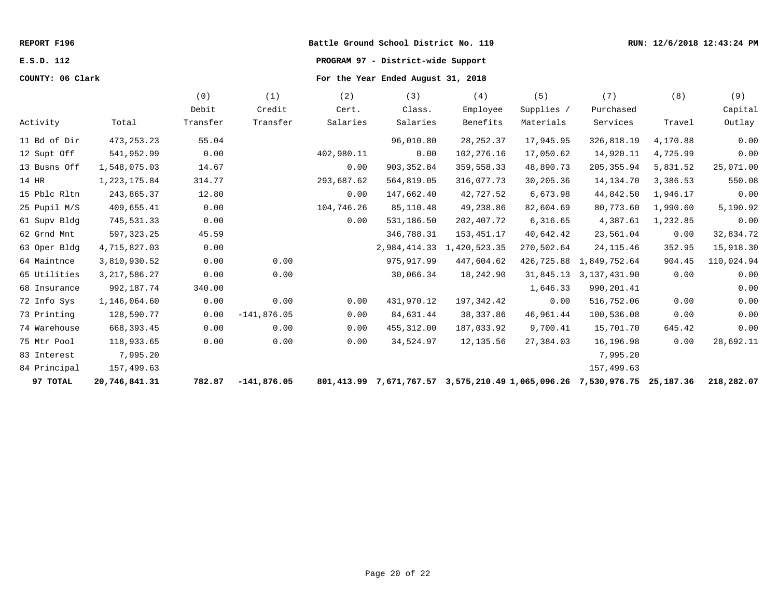# **E.S.D. 112 PROGRAM 97 - District-wide Support**

|              |                 | (0)      | (1)           | (2)        | (3)          | (4)                                                            | (5)        | (7)            | (8)       | (9)        |
|--------------|-----------------|----------|---------------|------------|--------------|----------------------------------------------------------------|------------|----------------|-----------|------------|
|              |                 | Debit    | Credit        | Cert.      | Class.       | Employee                                                       | Supplies / | Purchased      |           | Capital    |
| Activity     | Total           | Transfer | Transfer      | Salaries   | Salaries     | Benefits                                                       | Materials  | Services       | Travel    | Outlay     |
| 11 Bd of Dir | 473, 253. 23    | 55.04    |               |            | 96,010.80    | 28, 252.37                                                     | 17,945.95  | 326,818.19     | 4,170.88  | 0.00       |
| 12 Supt Off  | 541,952.99      | 0.00     |               | 402,980.11 | 0.00         | 102,276.16                                                     | 17,050.62  | 14,920.11      | 4,725.99  | 0.00       |
| 13 Busns Off | 1,548,075.03    | 14.67    |               | 0.00       | 903, 352.84  | 359,558.33                                                     | 48,890.73  | 205, 355.94    | 5,831.52  | 25,071.00  |
| 14 HR        | 1, 223, 175.84  | 314.77   |               | 293,687.62 | 564,819.05   | 316,077.73                                                     | 30,205.36  | 14, 134. 70    | 3,386.53  | 550.08     |
| 15 Pblc Rltn | 243,865.37      | 12.80    |               | 0.00       | 147,662.40   | 42,727.52                                                      | 6,673.98   | 44,842.50      | 1,946.17  | 0.00       |
| 25 Pupil M/S | 409,655.41      | 0.00     |               | 104,746.26 | 85,110.48    | 49,238.86                                                      | 82,604.69  | 80,773.60      | 1,990.60  | 5,190.92   |
| 61 Supv Bldg | 745,531.33      | 0.00     |               | 0.00       | 531,186.50   | 202,407.72                                                     | 6, 316.65  | 4,387.61       | 1,232.85  | 0.00       |
| 62 Grnd Mnt  | 597, 323.25     | 45.59    |               |            | 346,788.31   | 153,451.17                                                     | 40,642.42  | 23,561.04      | 0.00      | 32,834.72  |
| 63 Oper Bldg | 4,715,827.03    | 0.00     |               |            | 2,984,414.33 | 1,420,523.35                                                   | 270,502.64 | 24, 115.46     | 352.95    | 15,918.30  |
| 64 Maintnce  | 3,810,930.52    | 0.00     | 0.00          |            | 975, 917.99  | 447,604.62                                                     | 426,725.88 | 1,849,752.64   | 904.45    | 110,024.94 |
| 65 Utilities | 3, 217, 586. 27 | 0.00     | 0.00          |            | 30,066.34    | 18,242.90                                                      | 31,845.13  | 3, 137, 431.90 | 0.00      | 0.00       |
| 68 Insurance | 992,187.74      | 340.00   |               |            |              |                                                                | 1,646.33   | 990, 201.41    |           | 0.00       |
| 72 Info Sys  | 1,146,064.60    | 0.00     | 0.00          | 0.00       | 431,970.12   | 197,342.42                                                     | 0.00       | 516,752.06     | 0.00      | 0.00       |
| 73 Printing  | 128,590.77      | 0.00     | $-141,876.05$ | 0.00       | 84,631.44    | 38, 337.86                                                     | 46,961.44  | 100,536.08     | 0.00      | 0.00       |
| 74 Warehouse | 668, 393.45     | 0.00     | 0.00          | 0.00       | 455,312.00   | 187,033.92                                                     | 9,700.41   | 15,701.70      | 645.42    | 0.00       |
| 75 Mtr Pool  | 118,933.65      | 0.00     | 0.00          | 0.00       | 34,524.97    | 12,135.56                                                      | 27,384.03  | 16,196.98      | 0.00      | 28,692.11  |
| 83 Interest  | 7,995.20        |          |               |            |              |                                                                |            | 7,995.20       |           |            |
| 84 Principal | 157,499.63      |          |               |            |              |                                                                |            | 157,499.63     |           |            |
| 97 TOTAL     | 20,746,841.31   | 782.87   | $-141,876.05$ |            |              | 801,413.99 7,671,767.57 3,575,210.49 1,065,096.26 7,530,976.75 |            |                | 25,187.36 | 218,282.07 |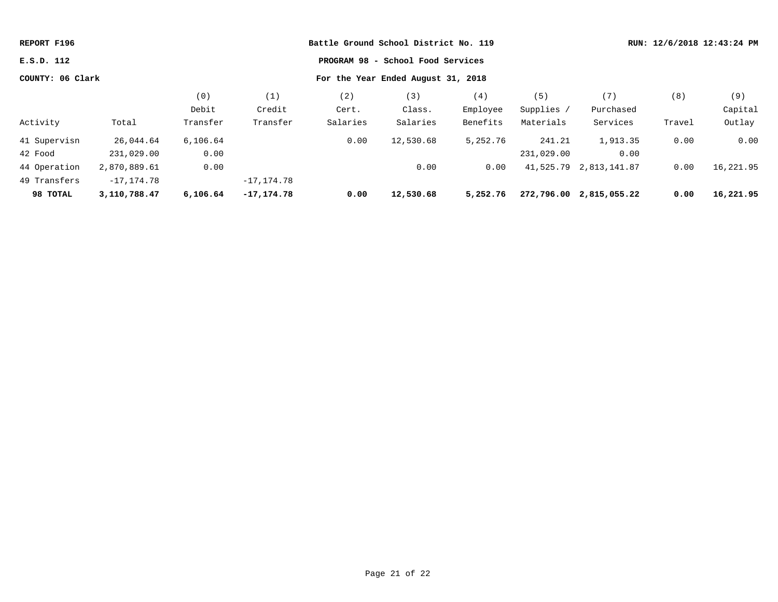| REPORT F196                                            |               |          |               | Battle Ground School District No. 119 |                                   |          |            |                         |        | RUN: 12/6/2018 12:43:24 PM |
|--------------------------------------------------------|---------------|----------|---------------|---------------------------------------|-----------------------------------|----------|------------|-------------------------|--------|----------------------------|
| E.S.D. 112                                             |               |          |               |                                       | PROGRAM 98 - School Food Services |          |            |                         |        |                            |
| COUNTY: 06 Clark<br>For the Year Ended August 31, 2018 |               |          |               |                                       |                                   |          |            |                         |        |                            |
|                                                        |               | (0)      | (1)           | (2)                                   | (3)                               | (4)      | (5)        | (7)                     | (8)    | (9)                        |
|                                                        |               | Debit    | Credit        | Cert.                                 | Class.                            | Employee | Supplies / | Purchased               |        | Capital                    |
| Activity                                               | Total         | Transfer | Transfer      | Salaries                              | Salaries                          | Benefits | Materials  | Services                | Travel | Outlay                     |
| 41 Supervisn                                           | 26,044.64     | 6,106.64 |               | 0.00                                  | 12,530.68                         | 5,252.76 | 241.21     | 1,913.35                | 0.00   | 0.00                       |
| 42 Food                                                | 231,029.00    | 0.00     |               |                                       |                                   |          | 231,029.00 | 0.00                    |        |                            |
| 44 Operation                                           | 2,870,889.61  | 0.00     |               |                                       | 0.00                              | 0.00     |            | 41,525.79 2,813,141.87  | 0.00   | 16,221.95                  |
| 49 Transfers                                           | $-17, 174.78$ |          | $-17, 174.78$ |                                       |                                   |          |            |                         |        |                            |
| 98 TOTAL                                               | 3,110,788.47  | 6,106.64 | $-17, 174.78$ | 0.00                                  | 12,530.68                         | 5,252.76 |            | 272,796.00 2,815,055.22 | 0.00   | 16,221.95                  |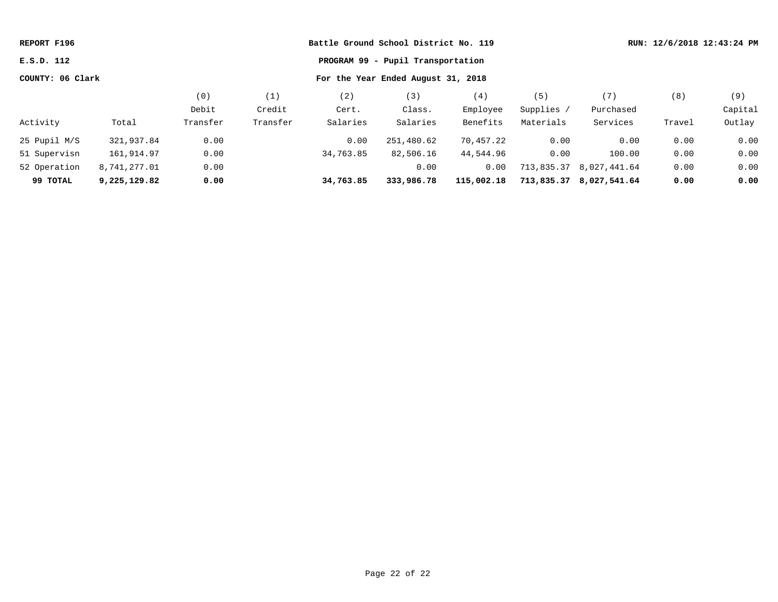| REPORT F196                                            |              |          |          |           | Battle Ground School District No. 119 |            |            |                         |        | RUN: 12/6/2018 12:43:24 PM |
|--------------------------------------------------------|--------------|----------|----------|-----------|---------------------------------------|------------|------------|-------------------------|--------|----------------------------|
| E.S.D. 112                                             |              |          |          |           | PROGRAM 99 - Pupil Transportation     |            |            |                         |        |                            |
| COUNTY: 06 Clark<br>For the Year Ended August 31, 2018 |              |          |          |           |                                       |            |            |                         |        |                            |
|                                                        |              | (0)      | (1)      | (2)       | (3)                                   | (4)        | (5)        | (7)                     | (8)    | (9)                        |
|                                                        |              | Debit    | Credit   | Cert.     | Class.                                | Employee   | Supplies / | Purchased               |        | Capital                    |
| Activity                                               | Total        | Transfer | Transfer | Salaries  | Salaries                              | Benefits   | Materials  | Services                | Travel | Outlay                     |
| 25 Pupil M/S                                           | 321,937.84   | 0.00     |          | 0.00      | 251,480.62                            | 70,457.22  | 0.00       | 0.00                    | 0.00   | 0.00                       |
| 51 Supervisn                                           | 161,914.97   | 0.00     |          | 34,763.85 | 82,506.16                             | 44,544.96  | 0.00       | 100.00                  | 0.00   | 0.00                       |
| 52 Operation                                           | 8,741,277.01 | 0.00     |          |           | 0.00                                  | 0.00       |            | 713,835.37 8,027,441.64 | 0.00   | 0.00                       |
| 99 TOTAL                                               | 9,225,129.82 | 0.00     |          | 34,763.85 | 333,986.78                            | 115,002.18 |            | 713,835.37 8,027,541.64 | 0.00   | 0.00                       |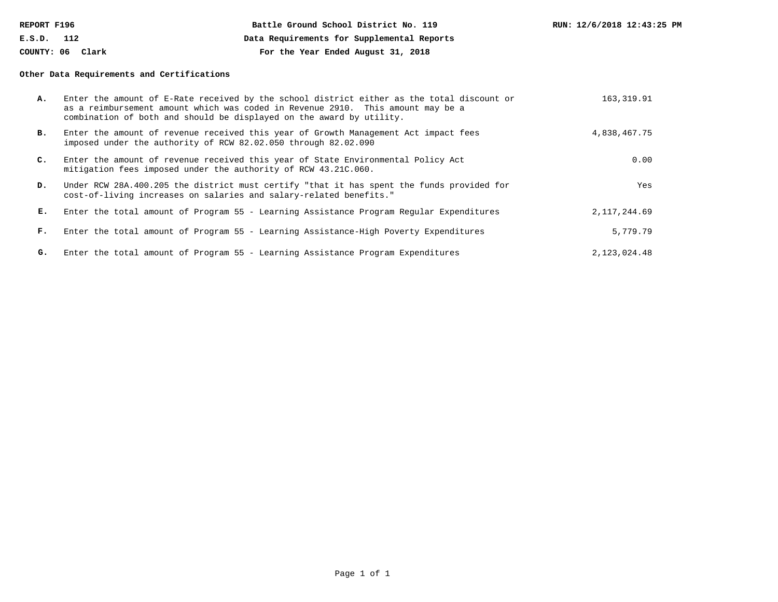| REPORT F196      | Battle Ground School District No. 119      | RUN: 12/6/2018 12:43:25 PM |
|------------------|--------------------------------------------|----------------------------|
| E.S.D.<br>112    | Data Requirements for Supplemental Reports |                            |
| COUNTY: 06 Clark | For the Year Ended August 31, 2018         |                            |

### **Other Data Requirements and Certifications**

| А.             | Enter the amount of E-Rate received by the school district either as the total discount or<br>as a reimbursement amount which was coded in Revenue 2910. This amount may be a<br>combination of both and should be displayed on the award by utility. | 163,319.91   |
|----------------|-------------------------------------------------------------------------------------------------------------------------------------------------------------------------------------------------------------------------------------------------------|--------------|
| в.             | Enter the amount of revenue received this year of Growth Management Act impact fees<br>imposed under the authority of RCW 82.02.050 through 82.02.090                                                                                                 | 4,838,467.75 |
| $\mathbf{C}$ . | Enter the amount of revenue received this year of State Environmental Policy Act<br>mitigation fees imposed under the authority of RCW 43.21C.060.                                                                                                    | 0.00         |
| D.             | Under RCW 28A.400.205 the district must certify "that it has spent the funds provided for<br>cost-of-living increases on salaries and salary-related benefits."                                                                                       | Yes          |
| Е.             | Enter the total amount of Program 55 - Learning Assistance Program Regular Expenditures                                                                                                                                                               | 2,117,244.69 |
| F.             | Enter the total amount of Program 55 - Learning Assistance-High Poverty Expenditures                                                                                                                                                                  | 5,779.79     |
| G.             | Enter the total amount of Program 55 - Learning Assistance Program Expenditures                                                                                                                                                                       | 2,123,024.48 |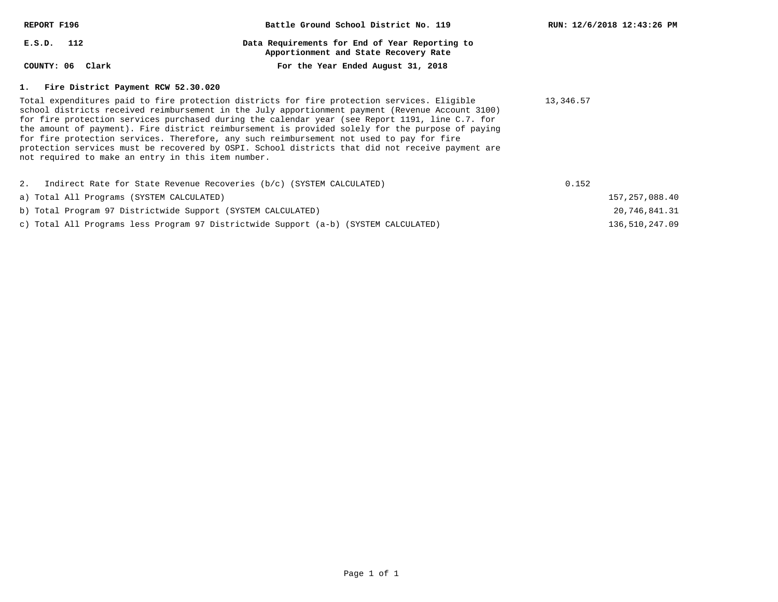| REPORT F196                                                  | Battle Ground School District No. 119                                                                                                                                                                                                                                                                                                                                                                                                                                                                                                                                                                  | RUN: 12/6/2018 12:43:26 PM |
|--------------------------------------------------------------|--------------------------------------------------------------------------------------------------------------------------------------------------------------------------------------------------------------------------------------------------------------------------------------------------------------------------------------------------------------------------------------------------------------------------------------------------------------------------------------------------------------------------------------------------------------------------------------------------------|----------------------------|
| $E.S.D.$ 112                                                 | Data Requirements for End of Year Reporting to<br>Apportionment and State Recovery Rate                                                                                                                                                                                                                                                                                                                                                                                                                                                                                                                |                            |
| COUNTY: 06 Clark                                             | For the Year Ended August 31, 2018                                                                                                                                                                                                                                                                                                                                                                                                                                                                                                                                                                     |                            |
| 1. Fire District Payment RCW 52.30.020                       |                                                                                                                                                                                                                                                                                                                                                                                                                                                                                                                                                                                                        |                            |
| not required to make an entry in this item number.           | Total expenditures paid to fire protection districts for fire protection services. Eligible<br>school districts received reimbursement in the July apportionment payment (Revenue Account 3100)<br>for fire protection services purchased during the calendar year (see Report 1191, line C.7. for<br>the amount of payment). Fire district reimbursement is provided solely for the purpose of paying<br>for fire protection services. Therefore, any such reimbursement not used to pay for fire<br>protection services must be recovered by OSPI. School districts that did not receive payment are | 13,346.57                  |
|                                                              | 2. Indirect Rate for State Revenue Recoveries (b/c) (SYSTEM CALCULATED)                                                                                                                                                                                                                                                                                                                                                                                                                                                                                                                                | 0.152                      |
| a) Total All Programs (SYSTEM CALCULATED)                    |                                                                                                                                                                                                                                                                                                                                                                                                                                                                                                                                                                                                        | 157, 257, 088.40           |
| b) Total Program 97 Districtwide Support (SYSTEM CALCULATED) |                                                                                                                                                                                                                                                                                                                                                                                                                                                                                                                                                                                                        | 20,746,841.31              |

136,510,247.09

c) Total All Programs less Program 97 Districtwide Support (a-b) (SYSTEM CALCULATED)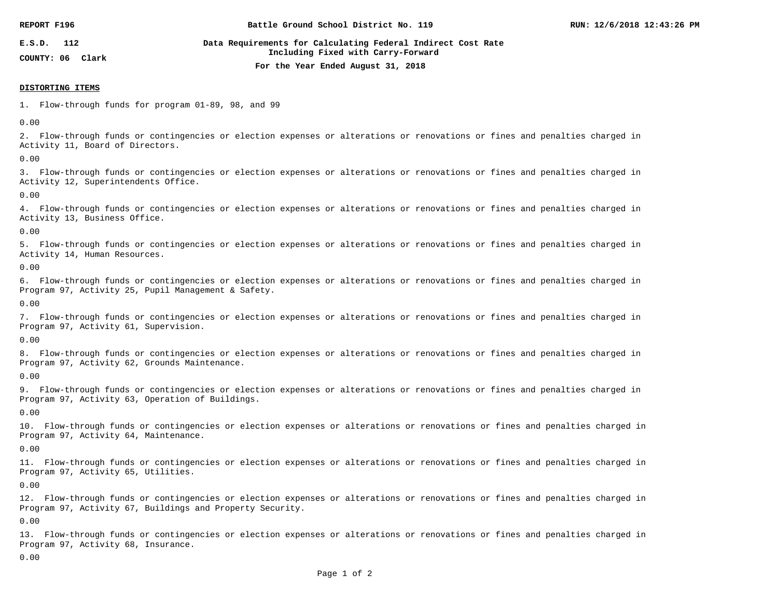| REPORT F196                          | Battle Ground School District No. 119                                                              | RUN: 12/6/2018 12:43:26 PM |
|--------------------------------------|----------------------------------------------------------------------------------------------------|----------------------------|
| E.S.D.<br>112<br>COUNTY: 06<br>Clark | Data Requirements for Calculating Federal Indirect Cost Rate<br>Including Fixed with Carry-Forward |                            |
|                                      | For the Year Ended August 31, 2018                                                                 |                            |

#### **DISTORTING ITEMS**

1. Flow-through funds for program 01-89, 98, and 99

0.00

2. Flow-through funds or contingencies or election expenses or alterations or renovations or fines and penalties charged in Activity 11, Board of Directors.

0.00

3. Flow-through funds or contingencies or election expenses or alterations or renovations or fines and penalties charged in Activity 12, Superintendents Office.

0.00

4. Flow-through funds or contingencies or election expenses or alterations or renovations or fines and penalties charged in Activity 13, Business Office.

0.00

5. Flow-through funds or contingencies or election expenses or alterations or renovations or fines and penalties charged in Activity 14, Human Resources.

0.00

6. Flow-through funds or contingencies or election expenses or alterations or renovations or fines and penalties charged in Program 97, Activity 25, Pupil Management & Safety.

0.00

7. Flow-through funds or contingencies or election expenses or alterations or renovations or fines and penalties charged in Program 97, Activity 61, Supervision.

0.00

8. Flow-through funds or contingencies or election expenses or alterations or renovations or fines and penalties charged in Program 97, Activity 62, Grounds Maintenance.

0.00

9. Flow-through funds or contingencies or election expenses or alterations or renovations or fines and penalties charged in Program 97, Activity 63, Operation of Buildings.

0.00

10. Flow-through funds or contingencies or election expenses or alterations or renovations or fines and penalties charged in Program 97, Activity 64, Maintenance.

0.00

11. Flow-through funds or contingencies or election expenses or alterations or renovations or fines and penalties charged in Program 97, Activity 65, Utilities.

0.00

12. Flow-through funds or contingencies or election expenses or alterations or renovations or fines and penalties charged in Program 97, Activity 67, Buildings and Property Security.

0.00

13. Flow-through funds or contingencies or election expenses or alterations or renovations or fines and penalties charged in Program 97, Activity 68, Insurance.

0.00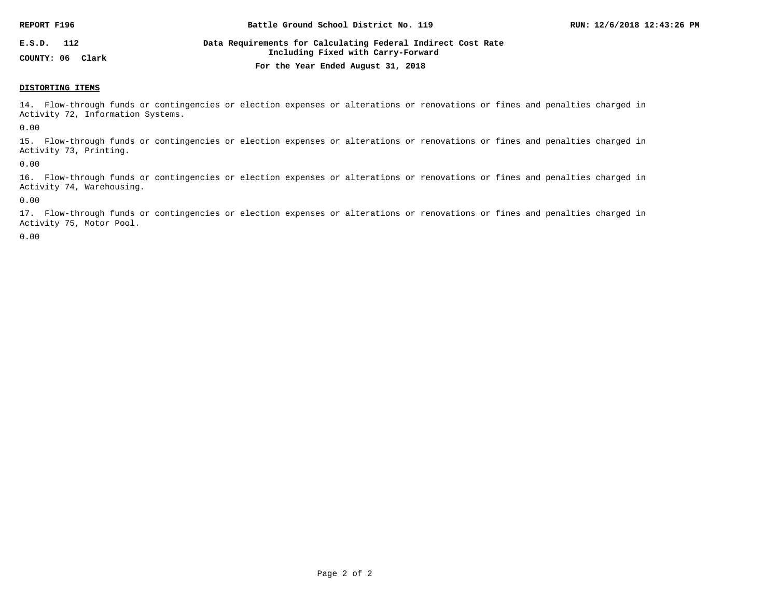| REPORT F196      | Battle Ground School District No. 119                                                              | RUN: 12/6/2018 12:43:26 PM |
|------------------|----------------------------------------------------------------------------------------------------|----------------------------|
| E.S.D.<br>112    | Data Requirements for Calculating Federal Indirect Cost Rate<br>Including Fixed with Carry-Forward |                            |
| COUNTY: 06 Clark | For the Year Ended August 31, 2018                                                                 |                            |

#### **DISTORTING ITEMS**

14. Flow-through funds or contingencies or election expenses or alterations or renovations or fines and penalties charged in Activity 72, Information Systems.

0.00

15. Flow-through funds or contingencies or election expenses or alterations or renovations or fines and penalties charged in Activity 73, Printing.

0.00

16. Flow-through funds or contingencies or election expenses or alterations or renovations or fines and penalties charged in Activity 74, Warehousing.

0.00

17. Flow-through funds or contingencies or election expenses or alterations or renovations or fines and penalties charged in Activity 75, Motor Pool.

0.00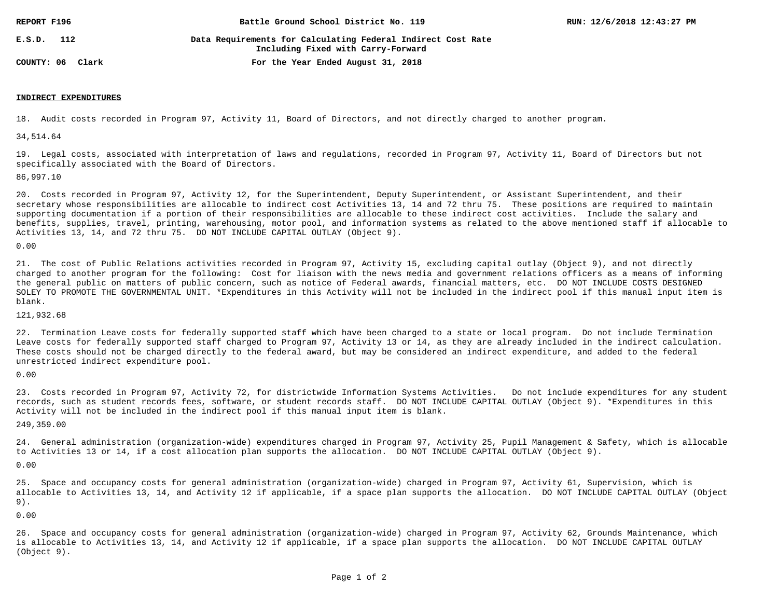| REPORT F196      | Battle Ground School District No. 119                                                              | RUN: 12/6/2018 12:43:27 PM |
|------------------|----------------------------------------------------------------------------------------------------|----------------------------|
| E.S.D.<br>112    | Data Requirements for Calculating Federal Indirect Cost Rate<br>Including Fixed with Carry-Forward |                            |
| COUNTY: 06 Clark | For the Year Ended August 31, 2018                                                                 |                            |

### **INDIRECT EXPENDITURES**

18. Audit costs recorded in Program 97, Activity 11, Board of Directors, and not directly charged to another program.

34,514.64

19. Legal costs, associated with interpretation of laws and regulations, recorded in Program 97, Activity 11, Board of Directors but not specifically associated with the Board of Directors.

86,997.10

20. Costs recorded in Program 97, Activity 12, for the Superintendent, Deputy Superintendent, or Assistant Superintendent, and their secretary whose responsibilities are allocable to indirect cost Activities 13, 14 and 72 thru 75. These positions are required to maintain supporting documentation if a portion of their responsibilities are allocable to these indirect cost activities. Include the salary and benefits, supplies, travel, printing, warehousing, motor pool, and information systems as related to the above mentioned staff if allocable to Activities 13, 14, and 72 thru 75. DO NOT INCLUDE CAPITAL OUTLAY (Object 9).

0.00

21. The cost of Public Relations activities recorded in Program 97, Activity 15, excluding capital outlay (Object 9), and not directly charged to another program for the following: Cost for liaison with the news media and government relations officers as a means of informing the general public on matters of public concern, such as notice of Federal awards, financial matters, etc. DO NOT INCLUDE COSTS DESIGNED SOLEY TO PROMOTE THE GOVERNMENTAL UNIT. \*Expenditures in this Activity will not be included in the indirect pool if this manual input item is blank.

121,932.68

22. Termination Leave costs for federally supported staff which have been charged to a state or local program. Do not include Termination Leave costs for federally supported staff charged to Program 97, Activity 13 or 14, as they are already included in the indirect calculation. These costs should not be charged directly to the federal award, but may be considered an indirect expenditure, and added to the federal unrestricted indirect expenditure pool.

0.00

23. Costs recorded in Program 97, Activity 72, for districtwide Information Systems Activities. Do not include expenditures for any student records, such as student records fees, software, or student records staff. DO NOT INCLUDE CAPITAL OUTLAY (Object 9). \*Expenditures in this Activity will not be included in the indirect pool if this manual input item is blank.

249,359.00

24. General administration (organization-wide) expenditures charged in Program 97, Activity 25, Pupil Management & Safety, which is allocable to Activities 13 or 14, if a cost allocation plan supports the allocation. DO NOT INCLUDE CAPITAL OUTLAY (Object 9).

0.00

25. Space and occupancy costs for general administration (organization-wide) charged in Program 97, Activity 61, Supervision, which is allocable to Activities 13, 14, and Activity 12 if applicable, if a space plan supports the allocation. DO NOT INCLUDE CAPITAL OUTLAY (Object 9).

0.00

26. Space and occupancy costs for general administration (organization-wide) charged in Program 97, Activity 62, Grounds Maintenance, which is allocable to Activities 13, 14, and Activity 12 if applicable, if a space plan supports the allocation. DO NOT INCLUDE CAPITAL OUTLAY (Object 9).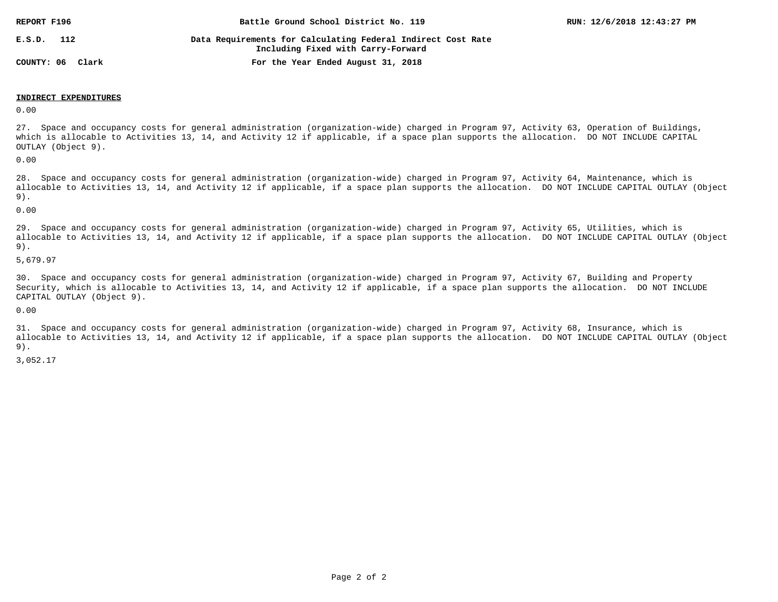| REPORT F196         | Battle Ground School District No. 119                                                              | RUN: 12/6/2018 12:43:27 PM |
|---------------------|----------------------------------------------------------------------------------------------------|----------------------------|
| E.S.D.<br>112       | Data Requirements for Calculating Federal Indirect Cost Rate<br>Including Fixed with Carry-Forward |                            |
| COUNTY: 06<br>Clark | For the Year Ended August 31, 2018                                                                 |                            |

### **INDIRECT EXPENDITURES**

0.00

27. Space and occupancy costs for general administration (organization-wide) charged in Program 97, Activity 63, Operation of Buildings, which is allocable to Activities 13, 14, and Activity 12 if applicable, if a space plan supports the allocation. DO NOT INCLUDE CAPITAL OUTLAY (Object 9).

0.00

28. Space and occupancy costs for general administration (organization-wide) charged in Program 97, Activity 64, Maintenance, which is allocable to Activities 13, 14, and Activity 12 if applicable, if a space plan supports the allocation. DO NOT INCLUDE CAPITAL OUTLAY (Object 9).

0.00

29. Space and occupancy costs for general administration (organization-wide) charged in Program 97, Activity 65, Utilities, which is allocable to Activities 13, 14, and Activity 12 if applicable, if a space plan supports the allocation. DO NOT INCLUDE CAPITAL OUTLAY (Object 9).

5,679.97

30. Space and occupancy costs for general administration (organization-wide) charged in Program 97, Activity 67, Building and Property Security, which is allocable to Activities 13, 14, and Activity 12 if applicable, if a space plan supports the allocation. DO NOT INCLUDE CAPITAL OUTLAY (Object 9).

0.00

31. Space and occupancy costs for general administration (organization-wide) charged in Program 97, Activity 68, Insurance, which is allocable to Activities 13, 14, and Activity 12 if applicable, if a space plan supports the allocation. DO NOT INCLUDE CAPITAL OUTLAY (Object 9).

3,052.17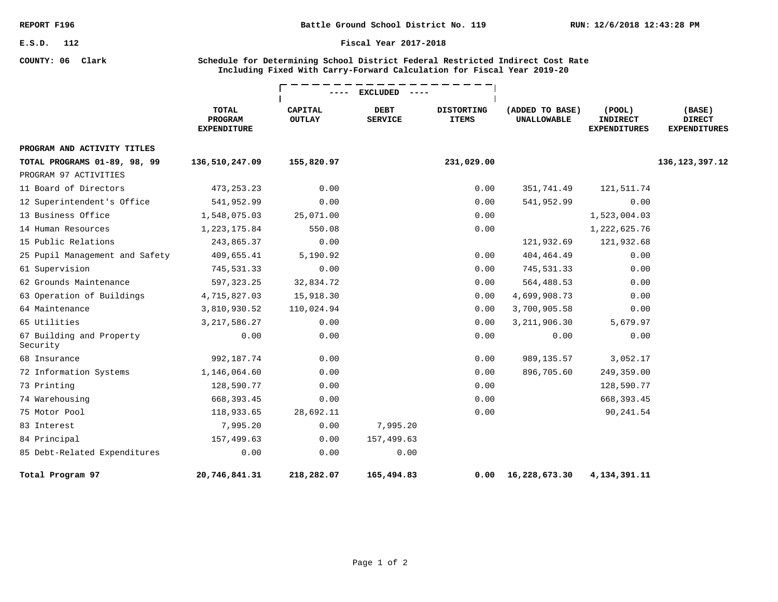**COUNTY: 06 Clark**

#### **Fiscal Year 2017-2018**

### **Schedule for Determining School District Federal Restricted Indirect Cost Rate Including Fixed With Carry-Forward Calculation for Fiscal Year 2019-20**

|                                      |                                               | <b>EXCLUDED</b>                 |                               |                                   |                                       |                                                        |                                                |
|--------------------------------------|-----------------------------------------------|---------------------------------|-------------------------------|-----------------------------------|---------------------------------------|--------------------------------------------------------|------------------------------------------------|
|                                      | <b>TOTAL</b><br>PROGRAM<br><b>EXPENDITURE</b> | <b>CAPITAL</b><br><b>OUTLAY</b> | <b>DEBT</b><br><b>SERVICE</b> | <b>DISTORTING</b><br><b>ITEMS</b> | (ADDED TO BASE)<br><b>UNALLOWABLE</b> | $($ POOL $)$<br><b>INDIRECT</b><br><b>EXPENDITURES</b> | (BASE)<br><b>DIRECT</b><br><b>EXPENDITURES</b> |
| PROGRAM AND ACTIVITY TITLES          |                                               |                                 |                               |                                   |                                       |                                                        |                                                |
| TOTAL PROGRAMS 01-89, 98, 99         | 136,510,247.09                                | 155,820.97                      |                               | 231,029.00                        |                                       |                                                        | 136, 123, 397. 12                              |
| PROGRAM 97 ACTIVITIES                |                                               |                                 |                               |                                   |                                       |                                                        |                                                |
| 11 Board of Directors                | 473, 253. 23                                  | 0.00                            |                               | 0.00                              | 351,741.49                            | 121,511.74                                             |                                                |
| 12 Superintendent's Office           | 541,952.99                                    | 0.00                            |                               | 0.00                              | 541,952.99                            | 0.00                                                   |                                                |
| 13 Business Office                   | 1,548,075.03                                  | 25,071.00                       |                               | 0.00                              |                                       | 1,523,004.03                                           |                                                |
| 14 Human Resources                   | 1, 223, 175.84                                | 550.08                          |                               | 0.00                              |                                       | 1,222,625.76                                           |                                                |
| 15 Public Relations                  | 243,865.37                                    | 0.00                            |                               |                                   | 121,932.69                            | 121,932.68                                             |                                                |
| 25 Pupil Management and Safety       | 409,655.41                                    | 5,190.92                        |                               | 0.00                              | 404, 464. 49                          | 0.00                                                   |                                                |
| 61 Supervision                       | 745,531.33                                    | 0.00                            |                               | 0.00                              | 745,531.33                            | 0.00                                                   |                                                |
| 62 Grounds Maintenance               | 597, 323.25                                   | 32,834.72                       |                               | 0.00                              | 564,488.53                            | 0.00                                                   |                                                |
| 63 Operation of Buildings            | 4,715,827.03                                  | 15,918.30                       |                               | 0.00                              | 4,699,908.73                          | 0.00                                                   |                                                |
| 64 Maintenance                       | 3,810,930.52                                  | 110,024.94                      |                               | 0.00                              | 3,700,905.58                          | 0.00                                                   |                                                |
| 65 Utilities                         | 3, 217, 586.27                                | 0.00                            |                               | 0.00                              | 3, 211, 906.30                        | 5,679.97                                               |                                                |
| 67 Building and Property<br>Security | 0.00                                          | 0.00                            |                               | 0.00                              | 0.00                                  | 0.00                                                   |                                                |
| 68 Insurance                         | 992,187.74                                    | 0.00                            |                               | 0.00                              | 989,135.57                            | 3,052.17                                               |                                                |
| 72 Information Systems               | 1,146,064.60                                  | 0.00                            |                               | 0.00                              | 896,705.60                            | 249,359.00                                             |                                                |
| 73 Printing                          | 128,590.77                                    | 0.00                            |                               | 0.00                              |                                       | 128,590.77                                             |                                                |
| 74 Warehousing                       | 668, 393.45                                   | 0.00                            |                               | 0.00                              |                                       | 668, 393.45                                            |                                                |
| 75 Motor Pool                        | 118,933.65                                    | 28,692.11                       |                               | 0.00                              |                                       | 90,241.54                                              |                                                |
| 83 Interest                          | 7,995.20                                      | 0.00                            | 7,995.20                      |                                   |                                       |                                                        |                                                |
| 84 Principal                         | 157,499.63                                    | 0.00                            | 157,499.63                    |                                   |                                       |                                                        |                                                |
| 85 Debt-Related Expenditures         | 0.00                                          | 0.00                            | 0.00                          |                                   |                                       |                                                        |                                                |
| Total Program 97                     | 20,746,841.31                                 | 218,282.07                      | 165,494.83                    | 0.00                              | 16,228,673.30                         | 4,134,391.11                                           |                                                |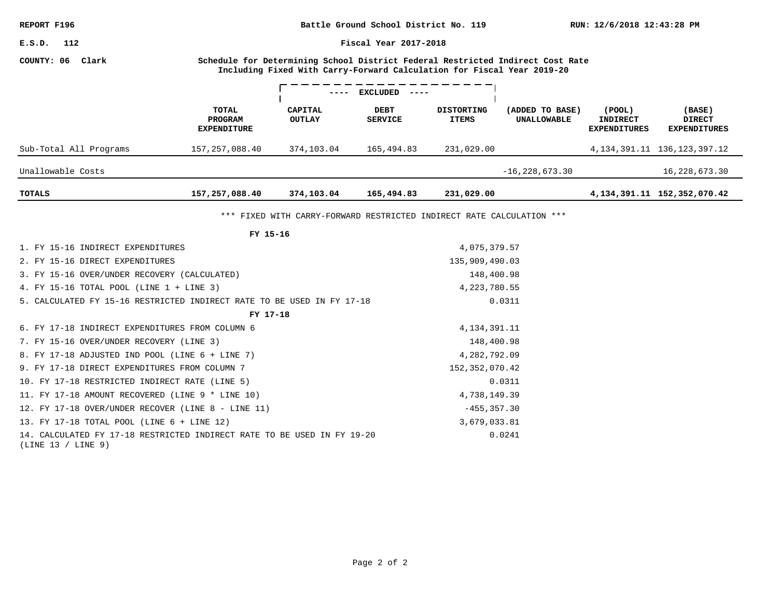**RUN: 12/6/2018 12:43:28 PM Battle Ground School District No. 119**

**Fiscal Year 2017-2018**

# **COUNTY: 06 Clark**

**Schedule for Determining School District Federal Restricted Indirect Cost Rate Including Fixed With Carry-Forward Calculation for Fiscal Year 2019-20**

|                        |                                        | $- - - -$                | <b>EXCLUDED</b><br>$- - - - -$ |                                   |                                       |                                                  |                                                |
|------------------------|----------------------------------------|--------------------------|--------------------------------|-----------------------------------|---------------------------------------|--------------------------------------------------|------------------------------------------------|
|                        | TOTAL<br>PROGRAM<br><b>EXPENDITURE</b> | CAPITAL<br><b>OUTLAY</b> | <b>DEBT</b><br><b>SERVICE</b>  | <b>DISTORTING</b><br><b>ITEMS</b> | (ADDED TO BASE)<br><b>UNALLOWABLE</b> | (POOL)<br><b>INDIRECT</b><br><b>EXPENDITURES</b> | (BASE)<br><b>DIRECT</b><br><b>EXPENDITURES</b> |
| Sub-Total All Programs | 157, 257, 088.40                       | 374,103.04               | 165,494.83                     | 231,029.00                        |                                       |                                                  | 4, 134, 391, 11 136, 123, 397, 12              |
| Unallowable Costs      |                                        |                          |                                |                                   | $-16, 228, 673.30$                    |                                                  | 16,228,673.30                                  |
| TOTALS                 | 157,257,088.40                         | 374,103.04               | 165,494.83                     | 231,029.00                        |                                       |                                                  | 4, 134, 391, 11 152, 352, 070, 42              |

\*\*\* FIXED WITH CARRY-FORWARD RESTRICTED INDIRECT RATE CALCULATION \*\*\*

| FY 15-16                                                                                      |                  |
|-----------------------------------------------------------------------------------------------|------------------|
| 1. FY 15-16 INDIRECT EXPENDITURES                                                             | 4,075,379.57     |
| 2. FY 15-16 DIRECT EXPENDITURES                                                               | 135,909,490.03   |
| 3. FY 15-16 OVER/UNDER RECOVERY (CALCULATED)                                                  | 148,400.98       |
| 4. FY 15-16 TOTAL POOL (LINE $1 +$ LINE 3)                                                    | 4,223,780.55     |
| 5. CALCULATED FY 15-16 RESTRICTED INDIRECT RATE TO BE USED IN FY 17-18                        | 0.0311           |
| FY 17-18                                                                                      |                  |
| 6. FY 17-18 INDIRECT EXPENDITURES FROM COLUMN 6                                               | 4, 134, 391. 11  |
| 7. FY 15-16 OVER/UNDER RECOVERY (LINE 3)                                                      | 148,400.98       |
| 8. FY 17-18 ADJUSTED IND POOL (LINE 6 + LINE 7)                                               | 4,282,792.09     |
| 9. FY 17-18 DIRECT EXPENDITURES FROM COLUMN 7                                                 | 152, 352, 070.42 |
| 10. FY 17-18 RESTRICTED INDIRECT RATE (LINE 5)                                                | 0.0311           |
| 11. FY 17-18 AMOUNT RECOVERED (LINE 9 * LINE 10)                                              | 4,738,149.39     |
| 12. FY 17-18 OVER/UNDER RECOVER (LINE 8 - LINE 11)                                            | $-455, 357.30$   |
| 13. FY 17-18 TOTAL POOL (LINE 6 + LINE 12)                                                    | 3,679,033.81     |
| 14. CALCULATED FY 17-18 RESTRICTED INDIRECT RATE TO BE USED IN FY 19-20<br>(LINE 13 / LINE 9) | 0.0241           |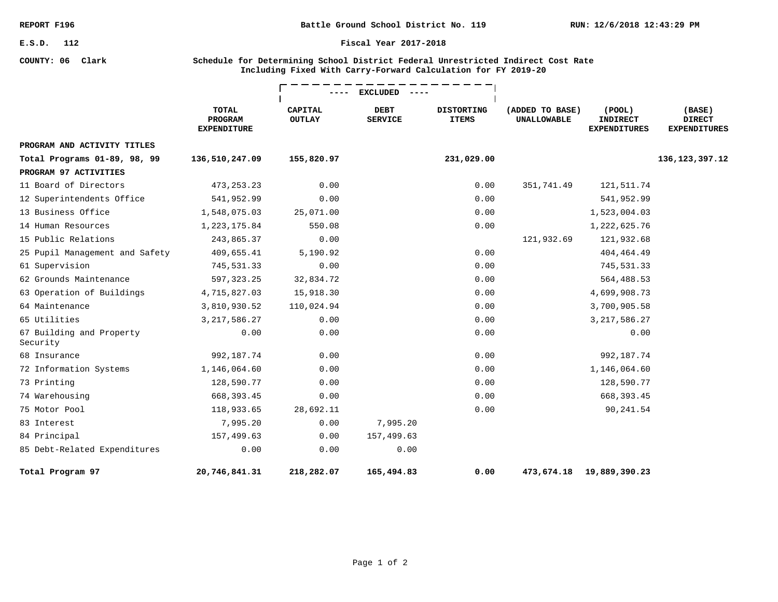**COUNTY: 06 Clark**

**Battle Ground School District No. 119**

#### **Fiscal Year 2017-2018**

### **Schedule for Determining School District Federal Unrestricted Indirect Cost Rate Including Fixed With Carry-Forward Calculation for FY 2019-20**

|                                      |                                               | <b>EXCLUDED</b>                 |                               |                                   |                                       |                                                        |                                                |
|--------------------------------------|-----------------------------------------------|---------------------------------|-------------------------------|-----------------------------------|---------------------------------------|--------------------------------------------------------|------------------------------------------------|
|                                      | <b>TOTAL</b><br>PROGRAM<br><b>EXPENDITURE</b> | <b>CAPITAL</b><br><b>OUTLAY</b> | <b>DEBT</b><br><b>SERVICE</b> | <b>DISTORTING</b><br><b>ITEMS</b> | (ADDED TO BASE)<br><b>UNALLOWABLE</b> | $($ POOL $)$<br><b>INDIRECT</b><br><b>EXPENDITURES</b> | (BASE)<br><b>DIRECT</b><br><b>EXPENDITURES</b> |
| PROGRAM AND ACTIVITY TITLES          |                                               |                                 |                               |                                   |                                       |                                                        |                                                |
| Total Programs 01-89, 98, 99         | 136,510,247.09                                | 155,820.97                      |                               | 231,029.00                        |                                       |                                                        | 136, 123, 397. 12                              |
| PROGRAM 97 ACTIVITIES                |                                               |                                 |                               |                                   |                                       |                                                        |                                                |
| 11 Board of Directors                | 473, 253. 23                                  | 0.00                            |                               | 0.00                              | 351,741.49                            | 121,511.74                                             |                                                |
| 12 Superintendents Office            | 541,952.99                                    | 0.00                            |                               | 0.00                              |                                       | 541,952.99                                             |                                                |
| 13 Business Office                   | 1,548,075.03                                  | 25,071.00                       |                               | 0.00                              |                                       | 1,523,004.03                                           |                                                |
| 14 Human Resources                   | 1,223,175.84                                  | 550.08                          |                               | 0.00                              |                                       | 1,222,625.76                                           |                                                |
| 15 Public Relations                  | 243,865.37                                    | 0.00                            |                               |                                   | 121,932.69                            | 121,932.68                                             |                                                |
| 25 Pupil Management and Safety       | 409,655.41                                    | 5,190.92                        |                               | 0.00                              |                                       | 404, 464. 49                                           |                                                |
| 61 Supervision                       | 745,531.33                                    | 0.00                            |                               | 0.00                              |                                       | 745,531.33                                             |                                                |
| 62 Grounds Maintenance               | 597, 323.25                                   | 32,834.72                       |                               | 0.00                              |                                       | 564,488.53                                             |                                                |
| 63 Operation of Buildings            | 4,715,827.03                                  | 15,918.30                       |                               | 0.00                              |                                       | 4,699,908.73                                           |                                                |
| 64 Maintenance                       | 3,810,930.52                                  | 110,024.94                      |                               | 0.00                              |                                       | 3,700,905.58                                           |                                                |
| 65 Utilities                         | 3, 217, 586.27                                | 0.00                            |                               | 0.00                              |                                       | 3, 217, 586.27                                         |                                                |
| 67 Building and Property<br>Security | 0.00                                          | 0.00                            |                               | 0.00                              |                                       | 0.00                                                   |                                                |
| 68 Insurance                         | 992, 187. 74                                  | 0.00                            |                               | 0.00                              |                                       | 992, 187. 74                                           |                                                |
| 72 Information Systems               | 1,146,064.60                                  | 0.00                            |                               | 0.00                              |                                       | 1,146,064.60                                           |                                                |
| 73 Printing                          | 128,590.77                                    | 0.00                            |                               | 0.00                              |                                       | 128,590.77                                             |                                                |
| 74 Warehousing                       | 668, 393.45                                   | 0.00                            |                               | 0.00                              |                                       | 668, 393.45                                            |                                                |
| 75 Motor Pool                        | 118,933.65                                    | 28,692.11                       |                               | 0.00                              |                                       | 90,241.54                                              |                                                |
| 83 Interest                          | 7,995.20                                      | 0.00                            | 7,995.20                      |                                   |                                       |                                                        |                                                |
| 84 Principal                         | 157,499.63                                    | 0.00                            | 157,499.63                    |                                   |                                       |                                                        |                                                |
| 85 Debt-Related Expenditures         | 0.00                                          | 0.00                            | 0.00                          |                                   |                                       |                                                        |                                                |
| Total Program 97                     | 20,746,841.31                                 | 218,282.07                      | 165,494.83                    | 0.00                              | 473,674.18                            | 19,889,390.23                                          |                                                |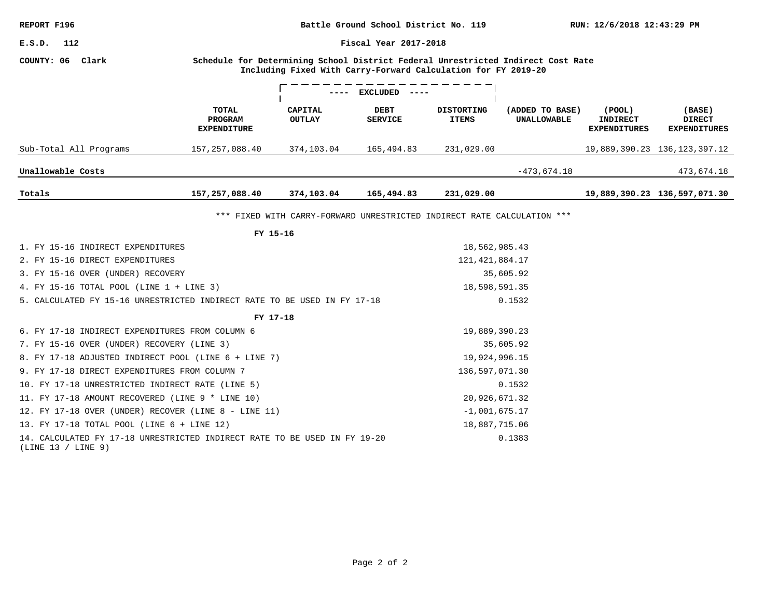| REPORT F196                                                                                                                                                              |                                        |                                                                         | RUN: 12/6/2018 12:43:29 PM |                                   |                                       |                                                  |                                                |  |  |
|--------------------------------------------------------------------------------------------------------------------------------------------------------------------------|----------------------------------------|-------------------------------------------------------------------------|----------------------------|-----------------------------------|---------------------------------------|--------------------------------------------------|------------------------------------------------|--|--|
| E.S.D.<br>112<br>Fiscal Year 2017-2018                                                                                                                                   |                                        |                                                                         |                            |                                   |                                       |                                                  |                                                |  |  |
| COUNTY: 06<br>Clark<br>Schedule for Determining School District Federal Unrestricted Indirect Cost Rate<br>Including Fixed With Carry-Forward Calculation for FY 2019-20 |                                        |                                                                         |                            |                                   |                                       |                                                  |                                                |  |  |
|                                                                                                                                                                          |                                        |                                                                         | <b>EXCLUDED</b>            |                                   |                                       |                                                  |                                                |  |  |
|                                                                                                                                                                          | TOTAL<br>PROGRAM<br><b>EXPENDITURE</b> | <b>CAPITAL</b><br><b>OUTLAY</b>                                         | DEBT<br><b>SERVICE</b>     | <b>DISTORTING</b><br><b>ITEMS</b> | (ADDED TO BASE)<br><b>UNALLOWABLE</b> | (POOL)<br><b>INDIRECT</b><br><b>EXPENDITURES</b> | (BASE)<br><b>DIRECT</b><br><b>EXPENDITURES</b> |  |  |
| Sub-Total All Programs                                                                                                                                                   | 157, 257, 088.40                       | 374,103.04                                                              | 165,494.83                 | 231,029.00                        |                                       |                                                  | 19,889,390.23 136,123,397.12                   |  |  |
| Unallowable Costs                                                                                                                                                        |                                        |                                                                         |                            |                                   | $-473,674.18$                         |                                                  | 473,674.18                                     |  |  |
| Totals                                                                                                                                                                   | 157,257,088.40                         | 374,103.04                                                              | 165,494.83                 | 231,029.00                        |                                       |                                                  | 19,889,390.23 136,597,071.30                   |  |  |
|                                                                                                                                                                          |                                        | *** FIXED WITH CARRY-FORWARD UNRESTRICTED INDIRECT RATE CALCULATION *** |                            |                                   |                                       |                                                  |                                                |  |  |
|                                                                                                                                                                          | FY 15-16                               |                                                                         |                            |                                   |                                       |                                                  |                                                |  |  |
| 1. FY 15-16 INDIRECT EXPENDITURES                                                                                                                                        |                                        |                                                                         |                            | 18,562,985.43                     |                                       |                                                  |                                                |  |  |
| 2. FY 15-16 DIRECT EXPENDITURES                                                                                                                                          |                                        |                                                                         |                            | 121, 421, 884. 17                 |                                       |                                                  |                                                |  |  |
| 3. FY 15-16 OVER (UNDER) RECOVERY                                                                                                                                        |                                        |                                                                         |                            | 35,605.92                         |                                       |                                                  |                                                |  |  |
| 4. FY 15-16 TOTAL POOL (LINE $1 +$ LINE 3)                                                                                                                               |                                        |                                                                         |                            | 18,598,591.35                     |                                       |                                                  |                                                |  |  |
| 5. CALCULATED FY 15-16 UNRESTRICTED INDIRECT RATE TO BE USED IN FY 17-18                                                                                                 |                                        |                                                                         | 0.1532                     |                                   |                                       |                                                  |                                                |  |  |
|                                                                                                                                                                          | FY 17-18                               |                                                                         |                            |                                   |                                       |                                                  |                                                |  |  |
| 6. FY 17-18 INDIRECT EXPENDITURES FROM COLUMN 6                                                                                                                          |                                        |                                                                         |                            | 19,889,390.23                     |                                       |                                                  |                                                |  |  |
| 7. FY 15-16 OVER (UNDER) RECOVERY (LINE 3)                                                                                                                               |                                        |                                                                         |                            |                                   | 35,605.92                             |                                                  |                                                |  |  |
| 8. FY 17-18 ADJUSTED INDIRECT POOL (LINE 6 + LINE 7)                                                                                                                     |                                        |                                                                         |                            | 19,924,996.15                     |                                       |                                                  |                                                |  |  |
| 9. FY 17-18 DIRECT EXPENDITURES FROM COLUMN 7                                                                                                                            |                                        |                                                                         |                            | 136,597,071.30                    |                                       |                                                  |                                                |  |  |
| 10. FY 17-18 UNRESTRICTED INDIRECT RATE (LINE 5)                                                                                                                         |                                        |                                                                         |                            |                                   | 0.1532                                |                                                  |                                                |  |  |
| 11. FY 17-18 AMOUNT RECOVERED (LINE 9 * LINE 10)<br>20,926,671.32                                                                                                        |                                        |                                                                         |                            |                                   |                                       |                                                  |                                                |  |  |
| 12. FY 17-18 OVER (UNDER) RECOVER (LINE 8 - LINE 11)<br>$-1,001,675.17$                                                                                                  |                                        |                                                                         |                            |                                   |                                       |                                                  |                                                |  |  |
| 13. FY 17-18 TOTAL POOL (LINE 6 + LINE 12)                                                                                                                               |                                        |                                                                         |                            | 18,887,715.06                     |                                       |                                                  |                                                |  |  |
| 14. CALCULATED FY 17-18 UNRESTRICTED INDIRECT RATE TO BE USED IN FY 19-20<br>(LINE 13 / LINE 9)                                                                          |                                        |                                                                         |                            |                                   | 0.1383                                |                                                  |                                                |  |  |
|                                                                                                                                                                          |                                        |                                                                         |                            |                                   |                                       |                                                  |                                                |  |  |
|                                                                                                                                                                          |                                        |                                                                         |                            |                                   |                                       |                                                  |                                                |  |  |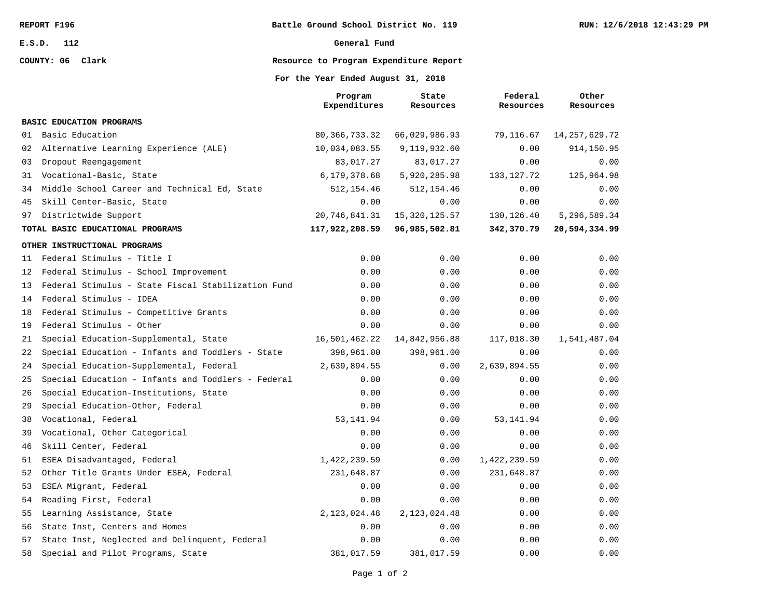**COUNTY: 06 Clark**

#### **General Fund**

# **Resource to Program Expenditure Report**

### **For the Year Ended August 31, 2018**

|    |                                                    | Program<br>Expenditures | State<br>Resources | Federal<br>Resources | Other<br>Resources |
|----|----------------------------------------------------|-------------------------|--------------------|----------------------|--------------------|
|    | <b>BASIC EDUCATION PROGRAMS</b>                    |                         |                    |                      |                    |
| 01 | Basic Education                                    | 80, 366, 733. 32        | 66,029,986.93      | 79,116.67            | 14, 257, 629. 72   |
| 02 | Alternative Learning Experience (ALE)              | 10,034,083.55           | 9,119,932.60       | 0.00                 | 914,150.95         |
| 03 | Dropout Reengagement                               | 83,017.27               | 83,017.27          | 0.00                 | 0.00               |
| 31 | Vocational-Basic, State                            | 6,179,378.68            | 5,920,285.98       | 133, 127. 72         | 125,964.98         |
| 34 | Middle School Career and Technical Ed, State       | 512, 154.46             | 512, 154.46        | 0.00                 | 0.00               |
| 45 | Skill Center-Basic, State                          | 0.00                    | 0.00               | 0.00                 | 0.00               |
| 97 | Districtwide Support                               | 20,746,841.31           | 15, 320, 125.57    | 130, 126.40          | 5,296,589.34       |
|    | TOTAL BASIC EDUCATIONAL PROGRAMS                   | 117,922,208.59          | 96,985,502.81      | 342,370.79           | 20,594,334.99      |
|    | OTHER INSTRUCTIONAL PROGRAMS                       |                         |                    |                      |                    |
| 11 | Federal Stimulus - Title I                         | 0.00                    | 0.00               | 0.00                 | 0.00               |
| 12 | Federal Stimulus - School Improvement              | 0.00                    | 0.00               | 0.00                 | 0.00               |
| 13 | Federal Stimulus - State Fiscal Stabilization Fund | 0.00                    | 0.00               | 0.00                 | 0.00               |
| 14 | Federal Stimulus - IDEA                            | 0.00                    | 0.00               | 0.00                 | 0.00               |
| 18 | Federal Stimulus - Competitive Grants              | 0.00                    | 0.00               | 0.00                 | 0.00               |
| 19 | Federal Stimulus - Other                           | 0.00                    | 0.00               | 0.00                 | 0.00               |
| 21 | Special Education-Supplemental, State              | 16,501,462.22           | 14,842,956.88      | 117,018.30           | 1,541,487.04       |
| 22 | Special Education - Infants and Toddlers - State   | 398,961.00              | 398,961.00         | 0.00                 | 0.00               |
| 24 | Special Education-Supplemental, Federal            | 2,639,894.55            | 0.00               | 2,639,894.55         | 0.00               |
| 25 | Special Education - Infants and Toddlers - Federal | 0.00                    | 0.00               | 0.00                 | 0.00               |
| 26 | Special Education-Institutions, State              | 0.00                    | 0.00               | 0.00                 | 0.00               |
| 29 | Special Education-Other, Federal                   | 0.00                    | 0.00               | 0.00                 | 0.00               |
| 38 | Vocational, Federal                                | 53, 141.94              | 0.00               | 53, 141.94           | 0.00               |
| 39 | Vocational, Other Categorical                      | 0.00                    | 0.00               | 0.00                 | 0.00               |
| 46 | Skill Center, Federal                              | 0.00                    | 0.00               | 0.00                 | 0.00               |
| 51 | ESEA Disadvantaged, Federal                        | 1,422,239.59            | 0.00               | 1,422,239.59         | 0.00               |
| 52 | Other Title Grants Under ESEA, Federal             | 231,648.87              | 0.00               | 231,648.87           | 0.00               |
| 53 | ESEA Migrant, Federal                              | 0.00                    | 0.00               | 0.00                 | 0.00               |
| 54 | Reading First, Federal                             | 0.00                    | 0.00               | 0.00                 | 0.00               |
| 55 | Learning Assistance, State                         | 2, 123, 024.48          | 2, 123, 024.48     | 0.00                 | 0.00               |
| 56 | State Inst, Centers and Homes                      | 0.00                    | 0.00               | 0.00                 | 0.00               |
| 57 | State Inst, Neglected and Delinquent, Federal      | 0.00                    | 0.00               | 0.00                 | 0.00               |
| 58 | Special and Pilot Programs, State                  | 381,017.59              | 381,017.59         | 0.00                 | 0.00               |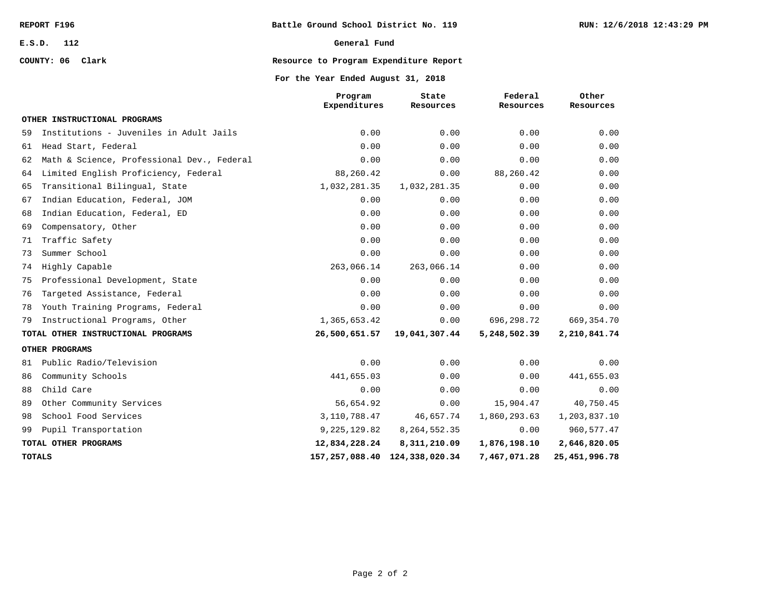## **COUNTY: 06 Clark**

### **General Fund**

# **Resource to Program Expenditure Report**

### **For the Year Ended August 31, 2018**

|    |                                            | Program<br>Expenditures | State<br>Resources | Federal<br>Resources | Other<br>Resources |
|----|--------------------------------------------|-------------------------|--------------------|----------------------|--------------------|
|    | OTHER INSTRUCTIONAL PROGRAMS               |                         |                    |                      |                    |
| 59 | Institutions - Juveniles in Adult Jails    | 0.00                    | 0.00               | 0.00                 | 0.00               |
| 61 | Head Start, Federal                        | 0.00                    | 0.00               | 0.00                 | 0.00               |
| 62 | Math & Science, Professional Dev., Federal | 0.00                    | 0.00               | 0.00                 | 0.00               |
| 64 | Limited English Proficiency, Federal       | 88,260.42               | 0.00               | 88,260.42            | 0.00               |
| 65 | Transitional Bilingual, State              | 1,032,281.35            | 1,032,281.35       | 0.00                 | 0.00               |
| 67 | Indian Education, Federal, JOM             | 0.00                    | 0.00               | 0.00                 | 0.00               |
| 68 | Indian Education, Federal, ED              | 0.00                    | 0.00               | 0.00                 | 0.00               |
| 69 | Compensatory, Other                        | 0.00                    | 0.00               | 0.00                 | 0.00               |
| 71 | Traffic Safety                             | 0.00                    | 0.00               | 0.00                 | 0.00               |
| 73 | Summer School                              | 0.00                    | 0.00               | 0.00                 | 0.00               |
| 74 | Highly Capable                             | 263,066.14              | 263,066.14         | 0.00                 | 0.00               |
| 75 | Professional Development, State            | 0.00                    | 0.00               | 0.00                 | 0.00               |
| 76 | Targeted Assistance, Federal               | 0.00                    | 0.00               | 0.00                 | 0.00               |
| 78 | Youth Training Programs, Federal           | 0.00                    | 0.00               | 0.00                 | 0.00               |
| 79 | Instructional Programs, Other              | 1,365,653.42            | 0.00               | 696,298.72           | 669, 354. 70       |
|    | TOTAL OTHER INSTRUCTIONAL PROGRAMS         | 26,500,651.57           | 19,041,307.44      | 5,248,502.39         | 2,210,841.74       |
|    | OTHER PROGRAMS                             |                         |                    |                      |                    |
| 81 | Public Radio/Television                    | 0.00                    | 0.00               | 0.00                 | 0.00               |
| 86 | Community Schools                          | 441,655.03              | 0.00               | 0.00                 | 441,655.03         |
| 88 | Child Care                                 | 0.00                    | 0.00               | 0.00                 | 0.00               |
| 89 | Other Community Services                   | 56,654.92               | 0.00               | 15,904.47            | 40,750.45          |
| 98 | School Food Services                       | 3,110,788.47            | 46,657.74          | 1,860,293.63         | 1,203,837.10       |
| 99 | Pupil Transportation                       | 9, 225, 129.82          | 8, 264, 552. 35    | 0.00                 | 960,577.47         |
|    | TOTAL OTHER PROGRAMS                       | 12,834,228.24           | 8,311,210.09       | 1,876,198.10         | 2,646,820.05       |
|    | <b>TOTALS</b>                              | 157,257,088.40          | 124,338,020.34     | 7,467,071.28         | 25, 451, 996. 78   |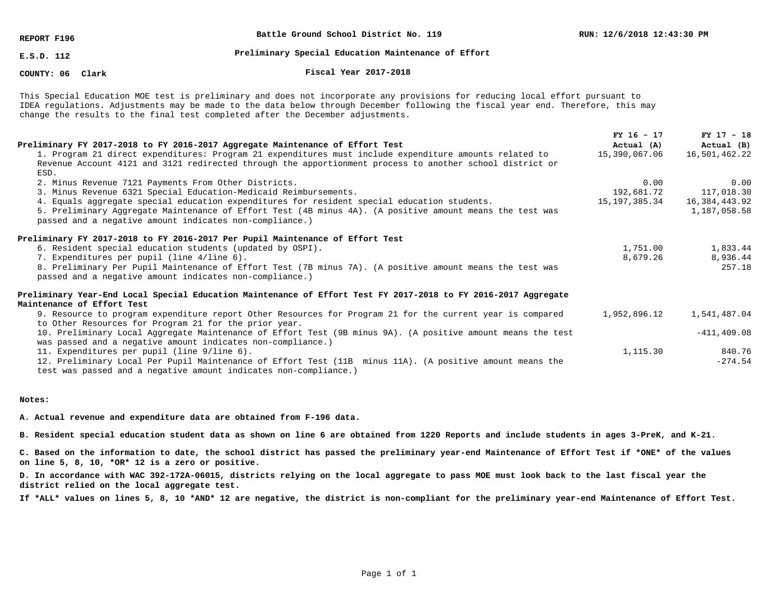**REPORT F196**

**Battle Ground School District No. 119**

**E.S.D. 112**

# **Preliminary Special Education Maintenance of Effort**

**COUNTY: 06**

**Clark Fiscal Year 2017-2018**

This Special Education MOE test is preliminary and does not incorporate any provisions for reducing local effort pursuant to IDEA regulations. Adjustments may be made to the data below through December following the fiscal year end. Therefore, this may change the results to the final test completed after the December adjustments.

|                                                                                                                | $FY$ 16 - 17  | $FY$ 17 - 18   |
|----------------------------------------------------------------------------------------------------------------|---------------|----------------|
| Preliminary FY 2017-2018 to FY 2016-2017 Aggregate Maintenance of Effort Test                                  | Actual (A)    | Actual (B)     |
| 1. Program 21 direct expenditures: Program 21 expenditures must include expenditure amounts related to         | 15,390,067.06 | 16,501,462.22  |
| Revenue Account 4121 and 3121 redirected through the apportionment process to another school district or       |               |                |
| ESD.                                                                                                           |               |                |
| 2. Minus Revenue 7121 Payments From Other Districts.                                                           | 0.00          | 0.00           |
| 3. Minus Revenue 6321 Special Education-Medicaid Reimbursements.                                               | 192,681.72    | 117,018.30     |
| 4. Equals aggregate special education expenditures for resident special education students.                    | 15,197,385.34 | 16,384,443.92  |
| 5. Preliminary Aggregate Maintenance of Effort Test (4B minus 4A). (A positive amount means the test was       |               | 1,187,058.58   |
| passed and a negative amount indicates non-compliance.)                                                        |               |                |
| Preliminary FY 2017-2018 to FY 2016-2017 Per Pupil Maintenance of Effort Test                                  |               |                |
| 6. Resident special education students (updated by OSPI).                                                      | 1,751.00      | 1,833.44       |
| 7. Expenditures per pupil (line 4/line 6).                                                                     | 8,679.26      | 8,936.44       |
| 8. Preliminary Per Pupil Maintenance of Effort Test (7B minus 7A). (A positive amount means the test was       |               | 257.18         |
| passed and a negative amount indicates non-compliance.)                                                        |               |                |
| Preliminary Year-End Local Special Education Maintenance of Effort Test FY 2017-2018 to FY 2016-2017 Aggregate |               |                |
| Maintenance of Effort Test                                                                                     |               |                |
| 9. Resource to program expenditure report Other Resources for Program 21 for the current year is compared      | 1,952,896.12  | 1,541,487.04   |
| to Other Resources for Program 21 for the prior year.                                                          |               |                |
| 10. Preliminary Local Aggregate Maintenance of Effort Test (9B minus 9A). (A positive amount means the test    |               | $-411, 409.08$ |
| was passed and a negative amount indicates non-compliance.)                                                    |               |                |
| 11. Expenditures per pupil (line 9/line 6).                                                                    | 1,115.30      | 840.76         |
| 12. Preliminary Local Per Pupil Maintenance of Effort Test (11B) minus 11A). (A positive amount means the      |               | $-274.54$      |
| test was passed and a negative amount indicates non-compliance.)                                               |               |                |

#### **Notes:**

**A. Actual revenue and expenditure data are obtained from F-196 data.**

**B. Resident special education student data as shown on line 6 are obtained from 1220 Reports and include students in ages 3-PreK, and K-21.**

**C. Based on the information to date, the school district has passed the preliminary year-end Maintenance of Effort Test if \*ONE\* of the values on line 5, 8, 10, \*OR\* 12 is a zero or positive.**

**D. In accordance with WAC 392-172A-06015, districts relying on the local aggregate to pass MOE must look back to the last fiscal year the district relied on the local aggregate test.**

**If \*ALL\* values on lines 5, 8, 10 \*AND\* 12 are negative, the district is non-compliant for the preliminary year-end Maintenance of Effort Test.**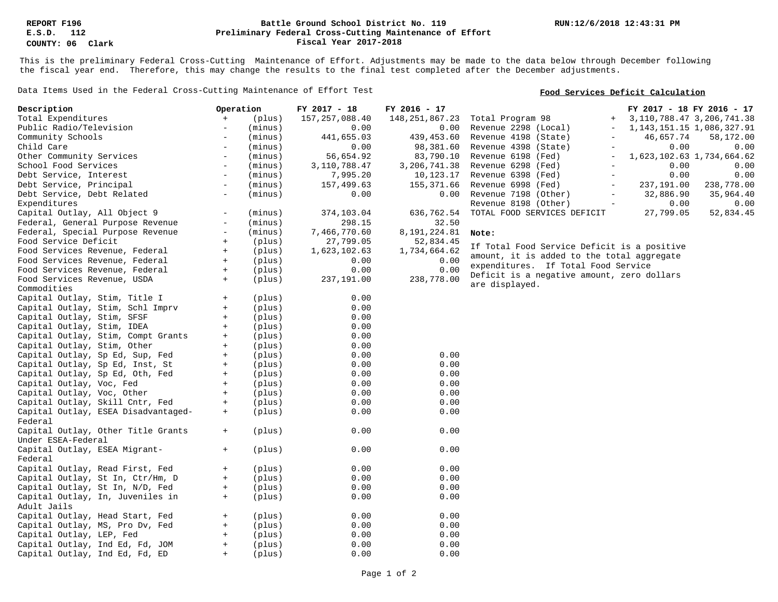### **Preliminary Federal Cross-Cutting Maintenance of Effort Battle Ground School District No. 119 Fiscal Year 2017-2018**

This is the preliminary Federal Cross-Cutting Maintenance of Effort. Adjustments may be made to the data below through December following the fiscal year end. Therefore, this may change the results to the final test completed after the December adjustments.

Data Items Used in the Federal Cross-Cutting Maintenance of Effort Test

### **Food Services Deficit Calculation**

| Total Expenditures<br>$+$<br>157, 257, 088.40<br>148, 251, 867. 23<br>Total Program 98<br>3, 110, 788. 47 3, 206, 741. 38<br>(plus)<br>$+$<br>Public Radio/Television<br>(minus)<br>0.00<br>Revenue 2298 (Local)<br>1, 143, 151. 15 1, 086, 327. 91<br>$\overline{\phantom{a}}$<br>0.00<br>$\overline{\phantom{a}}$<br>Community Schools<br>(minus)<br>441,655.03<br>439,453.60<br>Revenue 4198 (State)<br>46,657.74<br>58,172.00<br>$\overline{\phantom{a}}$<br>$\overline{\phantom{a}}$<br>Child Care<br>0.00<br>98,381.60<br>Revenue 4398 (State)<br>0.00<br>0.00<br>(minus)<br>$\overline{\phantom{a}}$<br>$\overline{\phantom{a}}$<br>1,623,102.63 1,734,664.62<br>Other Community Services<br>(minus)<br>56,654.92<br>83,790.10<br>Revenue 6198 (Fed)<br>$\overline{\phantom{m}}$<br>School Food Services<br>3, 110, 788.47<br>0.00<br>0.00<br>(minus)<br>3,206,741.38<br>Revenue 6298 (Fed)<br>$\overline{\phantom{a}}$<br>$\qquad \qquad -$<br>0.00<br>0.00<br>Debt Service, Interest<br>(minus)<br>$\overline{\phantom{a}}$<br>7,995.20<br>10,123.17<br>Revenue 6398 (Fed)<br>$\overline{\phantom{a}}$<br>Debt Service, Principal<br>(minus)<br>157,499.63<br>Revenue 6998 (Fed)<br>237,191.00<br>238,778.00<br>$\overline{\phantom{a}}$<br>155,371.66<br>$\overline{\phantom{a}}$<br>Debt Service, Debt Related<br>(minus)<br>0.00<br>32,886.90<br>0.00<br>Revenue 7198 (Other)<br>35,964.40<br>$\overline{\phantom{a}}$<br>Expenditures<br>Revenue 8198 (Other)<br>0.00<br>0.00<br>$\overline{\phantom{a}}$<br>52,834.45<br>Capital Outlay, All Object 9<br>27,799.05<br>(minus)<br>374,103.04<br>636,762.54<br>TOTAL FOOD SERVICES DEFICIT<br>Federal, General Purpose Revenue<br>32.50<br>$\overline{\phantom{a}}$<br>(minus)<br>298.15<br>Federal, Special Purpose Revenue<br>(minus)<br>7,466,770.60<br>8,191,224.81<br>$\overline{\phantom{a}}$<br>Note:<br>Food Service Deficit<br>(plus)<br>27,799.05<br>52,834.45<br>$+$<br>If Total Food Service Deficit is a positive<br>Food Services Revenue, Federal<br>(plus)<br>1,623,102.63<br>1,734,664.62<br>$+$<br>amount, it is added to the total aggregate<br>Food Services Revenue, Federal<br>(plus)<br>0.00<br>$+$<br>0.00<br>expenditures. If Total Food Service<br>0.00<br>0.00<br>Food Services Revenue, Federal<br>(plus)<br>$+$<br>Deficit is a negative amount, zero dollars<br>Food Services Revenue, USDA<br>(plus)<br>237,191.00<br>238,778.00<br>$+$<br>are displayed.<br>Commodities<br>Capital Outlay, Stim, Title I<br>0.00<br>(plus)<br>$+$<br>Capital Outlay, Stim, Schl Imprv<br>0.00<br>(plus)<br>$+$<br>0.00<br>Capital Outlay, Stim, SFSF<br>(plus)<br>$+$<br>Capital Outlay, Stim, IDEA<br>(plus)<br>0.00<br>$\pm$<br>0.00<br>Capital Outlay, Stim, Compt Grants<br>(plus)<br>$+$<br>Capital Outlay, Stim, Other<br>(plus)<br>0.00<br>$+$<br>0.00<br>Capital Outlay, Sp Ed, Sup, Fed<br>(plus)<br>0.00<br>$+$<br>0.00<br>0.00<br>Capital Outlay, Sp Ed, Inst, St<br>(plus)<br>$^+$<br>Capital Outlay, Sp Ed, Oth, Fed<br>(plus)<br>0.00<br>0.00<br>$+$<br>Capital Outlay, Voc, Fed<br>(plus)<br>0.00<br>0.00<br>$+$<br>Capital Outlay, Voc, Other<br>(plus)<br>0.00<br>0.00<br>$+$<br>0.00<br>Capital Outlay, Skill Cntr, Fed<br>(plus)<br>0.00<br>$+$<br>Capital Outlay, ESEA Disadvantaged-<br>(plus)<br>0.00<br>0.00<br>$+$<br>Federal<br>Capital Outlay, Other Title Grants<br>0.00<br>0.00<br>(plus)<br>$+$<br>Under ESEA-Federal<br>Capital Outlay, ESEA Migrant-<br>0.00<br>0.00<br>(plus)<br>$+$<br>Federal<br>Capital Outlay, Read First, Fed<br>0.00<br>0.00<br>(plus)<br>$+$<br>0.00<br>Capital Outlay, St In, Ctr/Hm, D<br>(plus)<br>0.00<br>$+$<br>0.00<br>Capital Outlay, St In, N/D, Fed<br>(plus)<br>0.00<br>$+$<br>Capital Outlay, In, Juveniles in<br>0.00<br>0.00<br>(plus)<br>$+$<br>Adult Jails<br>Capital Outlay, Head Start, Fed<br>0.00<br>0.00<br>$+$<br>(plus)<br>0.00<br>Capital Outlay, MS, Pro Dv, Fed<br>(plus)<br>0.00<br>$+$<br>(plus)<br>0.00<br>0.00<br>Capital Outlay, LEP, Fed<br>$+$<br>Capital Outlay, Ind Ed, Fd, JOM<br>(plus)<br>0.00<br>0.00<br>$+$<br>0.00<br>0.00<br>Capital Outlay, Ind Ed, Fd, ED<br>(plus)<br>$+$ | Description | Operation | FY 2017 - 18 | FY 2016 - 17 | FY 2017 - 18 FY 2016 - 17 |  |
|----------------------------------------------------------------------------------------------------------------------------------------------------------------------------------------------------------------------------------------------------------------------------------------------------------------------------------------------------------------------------------------------------------------------------------------------------------------------------------------------------------------------------------------------------------------------------------------------------------------------------------------------------------------------------------------------------------------------------------------------------------------------------------------------------------------------------------------------------------------------------------------------------------------------------------------------------------------------------------------------------------------------------------------------------------------------------------------------------------------------------------------------------------------------------------------------------------------------------------------------------------------------------------------------------------------------------------------------------------------------------------------------------------------------------------------------------------------------------------------------------------------------------------------------------------------------------------------------------------------------------------------------------------------------------------------------------------------------------------------------------------------------------------------------------------------------------------------------------------------------------------------------------------------------------------------------------------------------------------------------------------------------------------------------------------------------------------------------------------------------------------------------------------------------------------------------------------------------------------------------------------------------------------------------------------------------------------------------------------------------------------------------------------------------------------------------------------------------------------------------------------------------------------------------------------------------------------------------------------------------------------------------------------------------------------------------------------------------------------------------------------------------------------------------------------------------------------------------------------------------------------------------------------------------------------------------------------------------------------------------------------------------------------------------------------------------------------------------------------------------------------------------------------------------------------------------------------------------------------------------------------------------------------------------------------------------------------------------------------------------------------------------------------------------------------------------------------------------------------------------------------------------------------------------------------------------------------------------------------------------------------------------------------------------------------------------------------------------------------------------------------------------------------------------------------------------------------------------------------------------------------------------------------------------------------------------------------------------------------------------------------------------------------------------------------------------------------------------------------------------------------------------------------|-------------|-----------|--------------|--------------|---------------------------|--|
|                                                                                                                                                                                                                                                                                                                                                                                                                                                                                                                                                                                                                                                                                                                                                                                                                                                                                                                                                                                                                                                                                                                                                                                                                                                                                                                                                                                                                                                                                                                                                                                                                                                                                                                                                                                                                                                                                                                                                                                                                                                                                                                                                                                                                                                                                                                                                                                                                                                                                                                                                                                                                                                                                                                                                                                                                                                                                                                                                                                                                                                                                                                                                                                                                                                                                                                                                                                                                                                                                                                                                                                                                                                                                                                                                                                                                                                                                                                                                                                                                                                                                                                                                          |             |           |              |              |                           |  |
|                                                                                                                                                                                                                                                                                                                                                                                                                                                                                                                                                                                                                                                                                                                                                                                                                                                                                                                                                                                                                                                                                                                                                                                                                                                                                                                                                                                                                                                                                                                                                                                                                                                                                                                                                                                                                                                                                                                                                                                                                                                                                                                                                                                                                                                                                                                                                                                                                                                                                                                                                                                                                                                                                                                                                                                                                                                                                                                                                                                                                                                                                                                                                                                                                                                                                                                                                                                                                                                                                                                                                                                                                                                                                                                                                                                                                                                                                                                                                                                                                                                                                                                                                          |             |           |              |              |                           |  |
|                                                                                                                                                                                                                                                                                                                                                                                                                                                                                                                                                                                                                                                                                                                                                                                                                                                                                                                                                                                                                                                                                                                                                                                                                                                                                                                                                                                                                                                                                                                                                                                                                                                                                                                                                                                                                                                                                                                                                                                                                                                                                                                                                                                                                                                                                                                                                                                                                                                                                                                                                                                                                                                                                                                                                                                                                                                                                                                                                                                                                                                                                                                                                                                                                                                                                                                                                                                                                                                                                                                                                                                                                                                                                                                                                                                                                                                                                                                                                                                                                                                                                                                                                          |             |           |              |              |                           |  |
|                                                                                                                                                                                                                                                                                                                                                                                                                                                                                                                                                                                                                                                                                                                                                                                                                                                                                                                                                                                                                                                                                                                                                                                                                                                                                                                                                                                                                                                                                                                                                                                                                                                                                                                                                                                                                                                                                                                                                                                                                                                                                                                                                                                                                                                                                                                                                                                                                                                                                                                                                                                                                                                                                                                                                                                                                                                                                                                                                                                                                                                                                                                                                                                                                                                                                                                                                                                                                                                                                                                                                                                                                                                                                                                                                                                                                                                                                                                                                                                                                                                                                                                                                          |             |           |              |              |                           |  |
|                                                                                                                                                                                                                                                                                                                                                                                                                                                                                                                                                                                                                                                                                                                                                                                                                                                                                                                                                                                                                                                                                                                                                                                                                                                                                                                                                                                                                                                                                                                                                                                                                                                                                                                                                                                                                                                                                                                                                                                                                                                                                                                                                                                                                                                                                                                                                                                                                                                                                                                                                                                                                                                                                                                                                                                                                                                                                                                                                                                                                                                                                                                                                                                                                                                                                                                                                                                                                                                                                                                                                                                                                                                                                                                                                                                                                                                                                                                                                                                                                                                                                                                                                          |             |           |              |              |                           |  |
|                                                                                                                                                                                                                                                                                                                                                                                                                                                                                                                                                                                                                                                                                                                                                                                                                                                                                                                                                                                                                                                                                                                                                                                                                                                                                                                                                                                                                                                                                                                                                                                                                                                                                                                                                                                                                                                                                                                                                                                                                                                                                                                                                                                                                                                                                                                                                                                                                                                                                                                                                                                                                                                                                                                                                                                                                                                                                                                                                                                                                                                                                                                                                                                                                                                                                                                                                                                                                                                                                                                                                                                                                                                                                                                                                                                                                                                                                                                                                                                                                                                                                                                                                          |             |           |              |              |                           |  |
|                                                                                                                                                                                                                                                                                                                                                                                                                                                                                                                                                                                                                                                                                                                                                                                                                                                                                                                                                                                                                                                                                                                                                                                                                                                                                                                                                                                                                                                                                                                                                                                                                                                                                                                                                                                                                                                                                                                                                                                                                                                                                                                                                                                                                                                                                                                                                                                                                                                                                                                                                                                                                                                                                                                                                                                                                                                                                                                                                                                                                                                                                                                                                                                                                                                                                                                                                                                                                                                                                                                                                                                                                                                                                                                                                                                                                                                                                                                                                                                                                                                                                                                                                          |             |           |              |              |                           |  |
|                                                                                                                                                                                                                                                                                                                                                                                                                                                                                                                                                                                                                                                                                                                                                                                                                                                                                                                                                                                                                                                                                                                                                                                                                                                                                                                                                                                                                                                                                                                                                                                                                                                                                                                                                                                                                                                                                                                                                                                                                                                                                                                                                                                                                                                                                                                                                                                                                                                                                                                                                                                                                                                                                                                                                                                                                                                                                                                                                                                                                                                                                                                                                                                                                                                                                                                                                                                                                                                                                                                                                                                                                                                                                                                                                                                                                                                                                                                                                                                                                                                                                                                                                          |             |           |              |              |                           |  |
|                                                                                                                                                                                                                                                                                                                                                                                                                                                                                                                                                                                                                                                                                                                                                                                                                                                                                                                                                                                                                                                                                                                                                                                                                                                                                                                                                                                                                                                                                                                                                                                                                                                                                                                                                                                                                                                                                                                                                                                                                                                                                                                                                                                                                                                                                                                                                                                                                                                                                                                                                                                                                                                                                                                                                                                                                                                                                                                                                                                                                                                                                                                                                                                                                                                                                                                                                                                                                                                                                                                                                                                                                                                                                                                                                                                                                                                                                                                                                                                                                                                                                                                                                          |             |           |              |              |                           |  |
|                                                                                                                                                                                                                                                                                                                                                                                                                                                                                                                                                                                                                                                                                                                                                                                                                                                                                                                                                                                                                                                                                                                                                                                                                                                                                                                                                                                                                                                                                                                                                                                                                                                                                                                                                                                                                                                                                                                                                                                                                                                                                                                                                                                                                                                                                                                                                                                                                                                                                                                                                                                                                                                                                                                                                                                                                                                                                                                                                                                                                                                                                                                                                                                                                                                                                                                                                                                                                                                                                                                                                                                                                                                                                                                                                                                                                                                                                                                                                                                                                                                                                                                                                          |             |           |              |              |                           |  |
|                                                                                                                                                                                                                                                                                                                                                                                                                                                                                                                                                                                                                                                                                                                                                                                                                                                                                                                                                                                                                                                                                                                                                                                                                                                                                                                                                                                                                                                                                                                                                                                                                                                                                                                                                                                                                                                                                                                                                                                                                                                                                                                                                                                                                                                                                                                                                                                                                                                                                                                                                                                                                                                                                                                                                                                                                                                                                                                                                                                                                                                                                                                                                                                                                                                                                                                                                                                                                                                                                                                                                                                                                                                                                                                                                                                                                                                                                                                                                                                                                                                                                                                                                          |             |           |              |              |                           |  |
|                                                                                                                                                                                                                                                                                                                                                                                                                                                                                                                                                                                                                                                                                                                                                                                                                                                                                                                                                                                                                                                                                                                                                                                                                                                                                                                                                                                                                                                                                                                                                                                                                                                                                                                                                                                                                                                                                                                                                                                                                                                                                                                                                                                                                                                                                                                                                                                                                                                                                                                                                                                                                                                                                                                                                                                                                                                                                                                                                                                                                                                                                                                                                                                                                                                                                                                                                                                                                                                                                                                                                                                                                                                                                                                                                                                                                                                                                                                                                                                                                                                                                                                                                          |             |           |              |              |                           |  |
|                                                                                                                                                                                                                                                                                                                                                                                                                                                                                                                                                                                                                                                                                                                                                                                                                                                                                                                                                                                                                                                                                                                                                                                                                                                                                                                                                                                                                                                                                                                                                                                                                                                                                                                                                                                                                                                                                                                                                                                                                                                                                                                                                                                                                                                                                                                                                                                                                                                                                                                                                                                                                                                                                                                                                                                                                                                                                                                                                                                                                                                                                                                                                                                                                                                                                                                                                                                                                                                                                                                                                                                                                                                                                                                                                                                                                                                                                                                                                                                                                                                                                                                                                          |             |           |              |              |                           |  |
|                                                                                                                                                                                                                                                                                                                                                                                                                                                                                                                                                                                                                                                                                                                                                                                                                                                                                                                                                                                                                                                                                                                                                                                                                                                                                                                                                                                                                                                                                                                                                                                                                                                                                                                                                                                                                                                                                                                                                                                                                                                                                                                                                                                                                                                                                                                                                                                                                                                                                                                                                                                                                                                                                                                                                                                                                                                                                                                                                                                                                                                                                                                                                                                                                                                                                                                                                                                                                                                                                                                                                                                                                                                                                                                                                                                                                                                                                                                                                                                                                                                                                                                                                          |             |           |              |              |                           |  |
|                                                                                                                                                                                                                                                                                                                                                                                                                                                                                                                                                                                                                                                                                                                                                                                                                                                                                                                                                                                                                                                                                                                                                                                                                                                                                                                                                                                                                                                                                                                                                                                                                                                                                                                                                                                                                                                                                                                                                                                                                                                                                                                                                                                                                                                                                                                                                                                                                                                                                                                                                                                                                                                                                                                                                                                                                                                                                                                                                                                                                                                                                                                                                                                                                                                                                                                                                                                                                                                                                                                                                                                                                                                                                                                                                                                                                                                                                                                                                                                                                                                                                                                                                          |             |           |              |              |                           |  |
|                                                                                                                                                                                                                                                                                                                                                                                                                                                                                                                                                                                                                                                                                                                                                                                                                                                                                                                                                                                                                                                                                                                                                                                                                                                                                                                                                                                                                                                                                                                                                                                                                                                                                                                                                                                                                                                                                                                                                                                                                                                                                                                                                                                                                                                                                                                                                                                                                                                                                                                                                                                                                                                                                                                                                                                                                                                                                                                                                                                                                                                                                                                                                                                                                                                                                                                                                                                                                                                                                                                                                                                                                                                                                                                                                                                                                                                                                                                                                                                                                                                                                                                                                          |             |           |              |              |                           |  |
|                                                                                                                                                                                                                                                                                                                                                                                                                                                                                                                                                                                                                                                                                                                                                                                                                                                                                                                                                                                                                                                                                                                                                                                                                                                                                                                                                                                                                                                                                                                                                                                                                                                                                                                                                                                                                                                                                                                                                                                                                                                                                                                                                                                                                                                                                                                                                                                                                                                                                                                                                                                                                                                                                                                                                                                                                                                                                                                                                                                                                                                                                                                                                                                                                                                                                                                                                                                                                                                                                                                                                                                                                                                                                                                                                                                                                                                                                                                                                                                                                                                                                                                                                          |             |           |              |              |                           |  |
|                                                                                                                                                                                                                                                                                                                                                                                                                                                                                                                                                                                                                                                                                                                                                                                                                                                                                                                                                                                                                                                                                                                                                                                                                                                                                                                                                                                                                                                                                                                                                                                                                                                                                                                                                                                                                                                                                                                                                                                                                                                                                                                                                                                                                                                                                                                                                                                                                                                                                                                                                                                                                                                                                                                                                                                                                                                                                                                                                                                                                                                                                                                                                                                                                                                                                                                                                                                                                                                                                                                                                                                                                                                                                                                                                                                                                                                                                                                                                                                                                                                                                                                                                          |             |           |              |              |                           |  |
|                                                                                                                                                                                                                                                                                                                                                                                                                                                                                                                                                                                                                                                                                                                                                                                                                                                                                                                                                                                                                                                                                                                                                                                                                                                                                                                                                                                                                                                                                                                                                                                                                                                                                                                                                                                                                                                                                                                                                                                                                                                                                                                                                                                                                                                                                                                                                                                                                                                                                                                                                                                                                                                                                                                                                                                                                                                                                                                                                                                                                                                                                                                                                                                                                                                                                                                                                                                                                                                                                                                                                                                                                                                                                                                                                                                                                                                                                                                                                                                                                                                                                                                                                          |             |           |              |              |                           |  |
|                                                                                                                                                                                                                                                                                                                                                                                                                                                                                                                                                                                                                                                                                                                                                                                                                                                                                                                                                                                                                                                                                                                                                                                                                                                                                                                                                                                                                                                                                                                                                                                                                                                                                                                                                                                                                                                                                                                                                                                                                                                                                                                                                                                                                                                                                                                                                                                                                                                                                                                                                                                                                                                                                                                                                                                                                                                                                                                                                                                                                                                                                                                                                                                                                                                                                                                                                                                                                                                                                                                                                                                                                                                                                                                                                                                                                                                                                                                                                                                                                                                                                                                                                          |             |           |              |              |                           |  |
|                                                                                                                                                                                                                                                                                                                                                                                                                                                                                                                                                                                                                                                                                                                                                                                                                                                                                                                                                                                                                                                                                                                                                                                                                                                                                                                                                                                                                                                                                                                                                                                                                                                                                                                                                                                                                                                                                                                                                                                                                                                                                                                                                                                                                                                                                                                                                                                                                                                                                                                                                                                                                                                                                                                                                                                                                                                                                                                                                                                                                                                                                                                                                                                                                                                                                                                                                                                                                                                                                                                                                                                                                                                                                                                                                                                                                                                                                                                                                                                                                                                                                                                                                          |             |           |              |              |                           |  |
|                                                                                                                                                                                                                                                                                                                                                                                                                                                                                                                                                                                                                                                                                                                                                                                                                                                                                                                                                                                                                                                                                                                                                                                                                                                                                                                                                                                                                                                                                                                                                                                                                                                                                                                                                                                                                                                                                                                                                                                                                                                                                                                                                                                                                                                                                                                                                                                                                                                                                                                                                                                                                                                                                                                                                                                                                                                                                                                                                                                                                                                                                                                                                                                                                                                                                                                                                                                                                                                                                                                                                                                                                                                                                                                                                                                                                                                                                                                                                                                                                                                                                                                                                          |             |           |              |              |                           |  |
|                                                                                                                                                                                                                                                                                                                                                                                                                                                                                                                                                                                                                                                                                                                                                                                                                                                                                                                                                                                                                                                                                                                                                                                                                                                                                                                                                                                                                                                                                                                                                                                                                                                                                                                                                                                                                                                                                                                                                                                                                                                                                                                                                                                                                                                                                                                                                                                                                                                                                                                                                                                                                                                                                                                                                                                                                                                                                                                                                                                                                                                                                                                                                                                                                                                                                                                                                                                                                                                                                                                                                                                                                                                                                                                                                                                                                                                                                                                                                                                                                                                                                                                                                          |             |           |              |              |                           |  |
|                                                                                                                                                                                                                                                                                                                                                                                                                                                                                                                                                                                                                                                                                                                                                                                                                                                                                                                                                                                                                                                                                                                                                                                                                                                                                                                                                                                                                                                                                                                                                                                                                                                                                                                                                                                                                                                                                                                                                                                                                                                                                                                                                                                                                                                                                                                                                                                                                                                                                                                                                                                                                                                                                                                                                                                                                                                                                                                                                                                                                                                                                                                                                                                                                                                                                                                                                                                                                                                                                                                                                                                                                                                                                                                                                                                                                                                                                                                                                                                                                                                                                                                                                          |             |           |              |              |                           |  |
|                                                                                                                                                                                                                                                                                                                                                                                                                                                                                                                                                                                                                                                                                                                                                                                                                                                                                                                                                                                                                                                                                                                                                                                                                                                                                                                                                                                                                                                                                                                                                                                                                                                                                                                                                                                                                                                                                                                                                                                                                                                                                                                                                                                                                                                                                                                                                                                                                                                                                                                                                                                                                                                                                                                                                                                                                                                                                                                                                                                                                                                                                                                                                                                                                                                                                                                                                                                                                                                                                                                                                                                                                                                                                                                                                                                                                                                                                                                                                                                                                                                                                                                                                          |             |           |              |              |                           |  |
|                                                                                                                                                                                                                                                                                                                                                                                                                                                                                                                                                                                                                                                                                                                                                                                                                                                                                                                                                                                                                                                                                                                                                                                                                                                                                                                                                                                                                                                                                                                                                                                                                                                                                                                                                                                                                                                                                                                                                                                                                                                                                                                                                                                                                                                                                                                                                                                                                                                                                                                                                                                                                                                                                                                                                                                                                                                                                                                                                                                                                                                                                                                                                                                                                                                                                                                                                                                                                                                                                                                                                                                                                                                                                                                                                                                                                                                                                                                                                                                                                                                                                                                                                          |             |           |              |              |                           |  |
|                                                                                                                                                                                                                                                                                                                                                                                                                                                                                                                                                                                                                                                                                                                                                                                                                                                                                                                                                                                                                                                                                                                                                                                                                                                                                                                                                                                                                                                                                                                                                                                                                                                                                                                                                                                                                                                                                                                                                                                                                                                                                                                                                                                                                                                                                                                                                                                                                                                                                                                                                                                                                                                                                                                                                                                                                                                                                                                                                                                                                                                                                                                                                                                                                                                                                                                                                                                                                                                                                                                                                                                                                                                                                                                                                                                                                                                                                                                                                                                                                                                                                                                                                          |             |           |              |              |                           |  |
|                                                                                                                                                                                                                                                                                                                                                                                                                                                                                                                                                                                                                                                                                                                                                                                                                                                                                                                                                                                                                                                                                                                                                                                                                                                                                                                                                                                                                                                                                                                                                                                                                                                                                                                                                                                                                                                                                                                                                                                                                                                                                                                                                                                                                                                                                                                                                                                                                                                                                                                                                                                                                                                                                                                                                                                                                                                                                                                                                                                                                                                                                                                                                                                                                                                                                                                                                                                                                                                                                                                                                                                                                                                                                                                                                                                                                                                                                                                                                                                                                                                                                                                                                          |             |           |              |              |                           |  |
|                                                                                                                                                                                                                                                                                                                                                                                                                                                                                                                                                                                                                                                                                                                                                                                                                                                                                                                                                                                                                                                                                                                                                                                                                                                                                                                                                                                                                                                                                                                                                                                                                                                                                                                                                                                                                                                                                                                                                                                                                                                                                                                                                                                                                                                                                                                                                                                                                                                                                                                                                                                                                                                                                                                                                                                                                                                                                                                                                                                                                                                                                                                                                                                                                                                                                                                                                                                                                                                                                                                                                                                                                                                                                                                                                                                                                                                                                                                                                                                                                                                                                                                                                          |             |           |              |              |                           |  |
|                                                                                                                                                                                                                                                                                                                                                                                                                                                                                                                                                                                                                                                                                                                                                                                                                                                                                                                                                                                                                                                                                                                                                                                                                                                                                                                                                                                                                                                                                                                                                                                                                                                                                                                                                                                                                                                                                                                                                                                                                                                                                                                                                                                                                                                                                                                                                                                                                                                                                                                                                                                                                                                                                                                                                                                                                                                                                                                                                                                                                                                                                                                                                                                                                                                                                                                                                                                                                                                                                                                                                                                                                                                                                                                                                                                                                                                                                                                                                                                                                                                                                                                                                          |             |           |              |              |                           |  |
|                                                                                                                                                                                                                                                                                                                                                                                                                                                                                                                                                                                                                                                                                                                                                                                                                                                                                                                                                                                                                                                                                                                                                                                                                                                                                                                                                                                                                                                                                                                                                                                                                                                                                                                                                                                                                                                                                                                                                                                                                                                                                                                                                                                                                                                                                                                                                                                                                                                                                                                                                                                                                                                                                                                                                                                                                                                                                                                                                                                                                                                                                                                                                                                                                                                                                                                                                                                                                                                                                                                                                                                                                                                                                                                                                                                                                                                                                                                                                                                                                                                                                                                                                          |             |           |              |              |                           |  |
|                                                                                                                                                                                                                                                                                                                                                                                                                                                                                                                                                                                                                                                                                                                                                                                                                                                                                                                                                                                                                                                                                                                                                                                                                                                                                                                                                                                                                                                                                                                                                                                                                                                                                                                                                                                                                                                                                                                                                                                                                                                                                                                                                                                                                                                                                                                                                                                                                                                                                                                                                                                                                                                                                                                                                                                                                                                                                                                                                                                                                                                                                                                                                                                                                                                                                                                                                                                                                                                                                                                                                                                                                                                                                                                                                                                                                                                                                                                                                                                                                                                                                                                                                          |             |           |              |              |                           |  |
|                                                                                                                                                                                                                                                                                                                                                                                                                                                                                                                                                                                                                                                                                                                                                                                                                                                                                                                                                                                                                                                                                                                                                                                                                                                                                                                                                                                                                                                                                                                                                                                                                                                                                                                                                                                                                                                                                                                                                                                                                                                                                                                                                                                                                                                                                                                                                                                                                                                                                                                                                                                                                                                                                                                                                                                                                                                                                                                                                                                                                                                                                                                                                                                                                                                                                                                                                                                                                                                                                                                                                                                                                                                                                                                                                                                                                                                                                                                                                                                                                                                                                                                                                          |             |           |              |              |                           |  |
|                                                                                                                                                                                                                                                                                                                                                                                                                                                                                                                                                                                                                                                                                                                                                                                                                                                                                                                                                                                                                                                                                                                                                                                                                                                                                                                                                                                                                                                                                                                                                                                                                                                                                                                                                                                                                                                                                                                                                                                                                                                                                                                                                                                                                                                                                                                                                                                                                                                                                                                                                                                                                                                                                                                                                                                                                                                                                                                                                                                                                                                                                                                                                                                                                                                                                                                                                                                                                                                                                                                                                                                                                                                                                                                                                                                                                                                                                                                                                                                                                                                                                                                                                          |             |           |              |              |                           |  |
|                                                                                                                                                                                                                                                                                                                                                                                                                                                                                                                                                                                                                                                                                                                                                                                                                                                                                                                                                                                                                                                                                                                                                                                                                                                                                                                                                                                                                                                                                                                                                                                                                                                                                                                                                                                                                                                                                                                                                                                                                                                                                                                                                                                                                                                                                                                                                                                                                                                                                                                                                                                                                                                                                                                                                                                                                                                                                                                                                                                                                                                                                                                                                                                                                                                                                                                                                                                                                                                                                                                                                                                                                                                                                                                                                                                                                                                                                                                                                                                                                                                                                                                                                          |             |           |              |              |                           |  |
|                                                                                                                                                                                                                                                                                                                                                                                                                                                                                                                                                                                                                                                                                                                                                                                                                                                                                                                                                                                                                                                                                                                                                                                                                                                                                                                                                                                                                                                                                                                                                                                                                                                                                                                                                                                                                                                                                                                                                                                                                                                                                                                                                                                                                                                                                                                                                                                                                                                                                                                                                                                                                                                                                                                                                                                                                                                                                                                                                                                                                                                                                                                                                                                                                                                                                                                                                                                                                                                                                                                                                                                                                                                                                                                                                                                                                                                                                                                                                                                                                                                                                                                                                          |             |           |              |              |                           |  |
|                                                                                                                                                                                                                                                                                                                                                                                                                                                                                                                                                                                                                                                                                                                                                                                                                                                                                                                                                                                                                                                                                                                                                                                                                                                                                                                                                                                                                                                                                                                                                                                                                                                                                                                                                                                                                                                                                                                                                                                                                                                                                                                                                                                                                                                                                                                                                                                                                                                                                                                                                                                                                                                                                                                                                                                                                                                                                                                                                                                                                                                                                                                                                                                                                                                                                                                                                                                                                                                                                                                                                                                                                                                                                                                                                                                                                                                                                                                                                                                                                                                                                                                                                          |             |           |              |              |                           |  |
|                                                                                                                                                                                                                                                                                                                                                                                                                                                                                                                                                                                                                                                                                                                                                                                                                                                                                                                                                                                                                                                                                                                                                                                                                                                                                                                                                                                                                                                                                                                                                                                                                                                                                                                                                                                                                                                                                                                                                                                                                                                                                                                                                                                                                                                                                                                                                                                                                                                                                                                                                                                                                                                                                                                                                                                                                                                                                                                                                                                                                                                                                                                                                                                                                                                                                                                                                                                                                                                                                                                                                                                                                                                                                                                                                                                                                                                                                                                                                                                                                                                                                                                                                          |             |           |              |              |                           |  |
|                                                                                                                                                                                                                                                                                                                                                                                                                                                                                                                                                                                                                                                                                                                                                                                                                                                                                                                                                                                                                                                                                                                                                                                                                                                                                                                                                                                                                                                                                                                                                                                                                                                                                                                                                                                                                                                                                                                                                                                                                                                                                                                                                                                                                                                                                                                                                                                                                                                                                                                                                                                                                                                                                                                                                                                                                                                                                                                                                                                                                                                                                                                                                                                                                                                                                                                                                                                                                                                                                                                                                                                                                                                                                                                                                                                                                                                                                                                                                                                                                                                                                                                                                          |             |           |              |              |                           |  |
|                                                                                                                                                                                                                                                                                                                                                                                                                                                                                                                                                                                                                                                                                                                                                                                                                                                                                                                                                                                                                                                                                                                                                                                                                                                                                                                                                                                                                                                                                                                                                                                                                                                                                                                                                                                                                                                                                                                                                                                                                                                                                                                                                                                                                                                                                                                                                                                                                                                                                                                                                                                                                                                                                                                                                                                                                                                                                                                                                                                                                                                                                                                                                                                                                                                                                                                                                                                                                                                                                                                                                                                                                                                                                                                                                                                                                                                                                                                                                                                                                                                                                                                                                          |             |           |              |              |                           |  |
|                                                                                                                                                                                                                                                                                                                                                                                                                                                                                                                                                                                                                                                                                                                                                                                                                                                                                                                                                                                                                                                                                                                                                                                                                                                                                                                                                                                                                                                                                                                                                                                                                                                                                                                                                                                                                                                                                                                                                                                                                                                                                                                                                                                                                                                                                                                                                                                                                                                                                                                                                                                                                                                                                                                                                                                                                                                                                                                                                                                                                                                                                                                                                                                                                                                                                                                                                                                                                                                                                                                                                                                                                                                                                                                                                                                                                                                                                                                                                                                                                                                                                                                                                          |             |           |              |              |                           |  |
|                                                                                                                                                                                                                                                                                                                                                                                                                                                                                                                                                                                                                                                                                                                                                                                                                                                                                                                                                                                                                                                                                                                                                                                                                                                                                                                                                                                                                                                                                                                                                                                                                                                                                                                                                                                                                                                                                                                                                                                                                                                                                                                                                                                                                                                                                                                                                                                                                                                                                                                                                                                                                                                                                                                                                                                                                                                                                                                                                                                                                                                                                                                                                                                                                                                                                                                                                                                                                                                                                                                                                                                                                                                                                                                                                                                                                                                                                                                                                                                                                                                                                                                                                          |             |           |              |              |                           |  |
|                                                                                                                                                                                                                                                                                                                                                                                                                                                                                                                                                                                                                                                                                                                                                                                                                                                                                                                                                                                                                                                                                                                                                                                                                                                                                                                                                                                                                                                                                                                                                                                                                                                                                                                                                                                                                                                                                                                                                                                                                                                                                                                                                                                                                                                                                                                                                                                                                                                                                                                                                                                                                                                                                                                                                                                                                                                                                                                                                                                                                                                                                                                                                                                                                                                                                                                                                                                                                                                                                                                                                                                                                                                                                                                                                                                                                                                                                                                                                                                                                                                                                                                                                          |             |           |              |              |                           |  |
|                                                                                                                                                                                                                                                                                                                                                                                                                                                                                                                                                                                                                                                                                                                                                                                                                                                                                                                                                                                                                                                                                                                                                                                                                                                                                                                                                                                                                                                                                                                                                                                                                                                                                                                                                                                                                                                                                                                                                                                                                                                                                                                                                                                                                                                                                                                                                                                                                                                                                                                                                                                                                                                                                                                                                                                                                                                                                                                                                                                                                                                                                                                                                                                                                                                                                                                                                                                                                                                                                                                                                                                                                                                                                                                                                                                                                                                                                                                                                                                                                                                                                                                                                          |             |           |              |              |                           |  |
|                                                                                                                                                                                                                                                                                                                                                                                                                                                                                                                                                                                                                                                                                                                                                                                                                                                                                                                                                                                                                                                                                                                                                                                                                                                                                                                                                                                                                                                                                                                                                                                                                                                                                                                                                                                                                                                                                                                                                                                                                                                                                                                                                                                                                                                                                                                                                                                                                                                                                                                                                                                                                                                                                                                                                                                                                                                                                                                                                                                                                                                                                                                                                                                                                                                                                                                                                                                                                                                                                                                                                                                                                                                                                                                                                                                                                                                                                                                                                                                                                                                                                                                                                          |             |           |              |              |                           |  |
|                                                                                                                                                                                                                                                                                                                                                                                                                                                                                                                                                                                                                                                                                                                                                                                                                                                                                                                                                                                                                                                                                                                                                                                                                                                                                                                                                                                                                                                                                                                                                                                                                                                                                                                                                                                                                                                                                                                                                                                                                                                                                                                                                                                                                                                                                                                                                                                                                                                                                                                                                                                                                                                                                                                                                                                                                                                                                                                                                                                                                                                                                                                                                                                                                                                                                                                                                                                                                                                                                                                                                                                                                                                                                                                                                                                                                                                                                                                                                                                                                                                                                                                                                          |             |           |              |              |                           |  |
|                                                                                                                                                                                                                                                                                                                                                                                                                                                                                                                                                                                                                                                                                                                                                                                                                                                                                                                                                                                                                                                                                                                                                                                                                                                                                                                                                                                                                                                                                                                                                                                                                                                                                                                                                                                                                                                                                                                                                                                                                                                                                                                                                                                                                                                                                                                                                                                                                                                                                                                                                                                                                                                                                                                                                                                                                                                                                                                                                                                                                                                                                                                                                                                                                                                                                                                                                                                                                                                                                                                                                                                                                                                                                                                                                                                                                                                                                                                                                                                                                                                                                                                                                          |             |           |              |              |                           |  |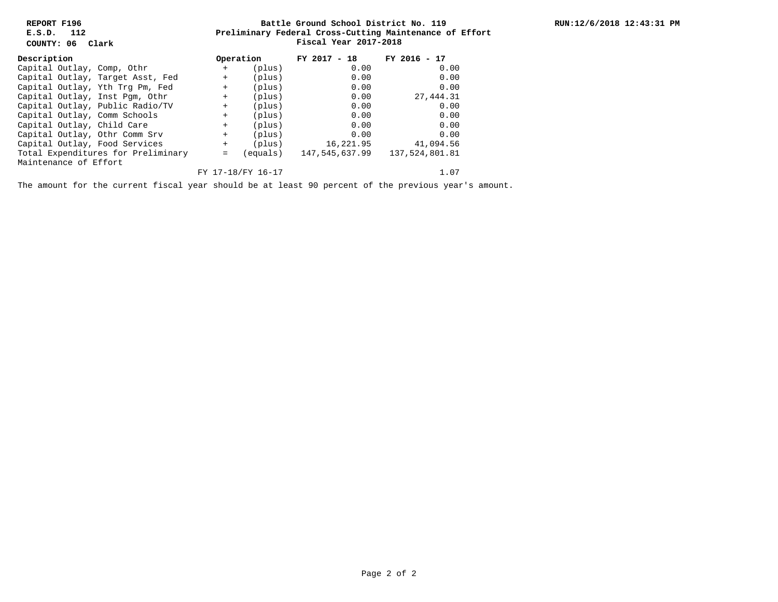**REPORT F196 E.S.D. 112**

**COUNTY: 06 Clark**

## **Preliminary Federal Cross-Cutting Maintenance of Effort Battle Ground School District No. 119 Fiscal Year 2017-2018**

| Description                        |  |                                  |           | Operation         | $FY$ 2017 - 18 | FY 2016 - 17   |
|------------------------------------|--|----------------------------------|-----------|-------------------|----------------|----------------|
| Capital Outlay, Comp, Othr         |  |                                  | $\ddot{}$ | (plus)            | 0.00           | 0.00           |
|                                    |  | Capital Outlay, Target Asst, Fed | $+$       | (plus)            | 0.00           | 0.00           |
|                                    |  | Capital Outlay, Yth Trg Pm, Fed  | $^{+}$    | (plus)            | 0.00           | 0.00           |
|                                    |  | Capital Outlay, Inst Pqm, Othr   | $+$       | (plus)            | 0.00           | 27, 444.31     |
|                                    |  | Capital Outlay, Public Radio/TV  | $+$       | (plus)            | 0.00           | 0.00           |
|                                    |  | Capital Outlay, Comm Schools     | $+$       | (plus)            | 0.00           | 0.00           |
| Capital Outlay, Child Care         |  |                                  | $+$       | (plus)            | 0.00           | 0.00           |
|                                    |  | Capital Outlay, Othr Comm Srv    | $+$       | (plus)            | 0.00           | 0.00           |
|                                    |  | Capital Outlay, Food Services    | $\ddot{}$ | (plus)            | 16,221.95      | 41,094.56      |
| Total Expenditures for Preliminary |  |                                  | $=$       | equals)           | 147,545,637.99 | 137,524,801.81 |
| Maintenance of Effort              |  |                                  |           |                   |                |                |
|                                    |  |                                  |           | FY 17-18/FY 16-17 |                | 1.07           |

The amount for the current fiscal year should be at least 90 percent of the previous year's amount.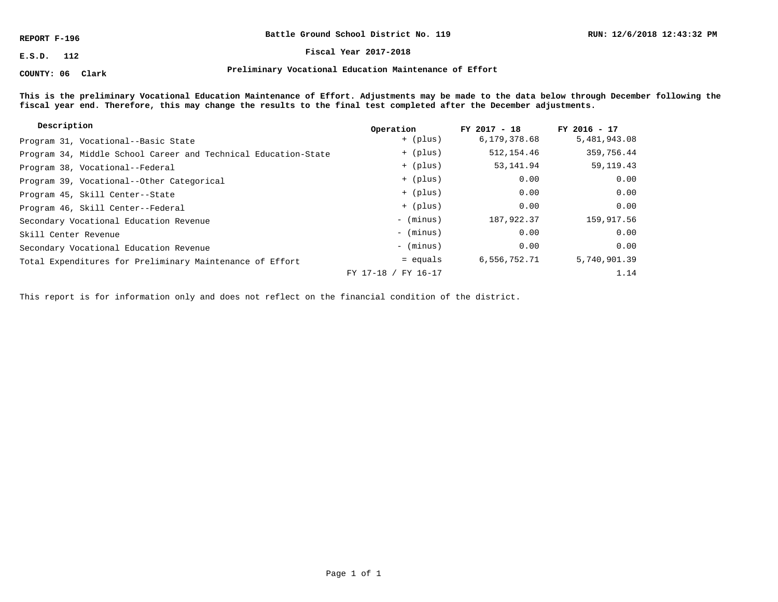**REPORT F-196**

**COUNTY: 06 Clark**

**Battle Ground School District No. 119**

**E.S.D. 112 Fiscal Year 2017-2018**

**Preliminary Vocational Education Maintenance of Effort**

**This is the preliminary Vocational Education Maintenance of Effort. Adjustments may be made to the data below through December following the fiscal year end. Therefore, this may change the results to the final test completed after the December adjustments.**

| Description                                                    | Operation           | $FY$ 2017 - 18 | $FY$ 2016 - 17 |
|----------------------------------------------------------------|---------------------|----------------|----------------|
| Program 31, Vocational--Basic State                            | + (plus)            | 6,179,378.68   | 5,481,943.08   |
| Program 34, Middle School Career and Technical Education-State | + (plus)            | 512, 154.46    | 359,756.44     |
| Program 38, Vocational--Federal                                | + (plus)            | 53, 141.94     | 59, 119. 43    |
| Program 39, Vocational--Other Categorical                      | + (plus)            | 0.00           | 0.00           |
| Program 45, Skill Center--State                                | + (plus)            | 0.00           | 0.00           |
| Program 46, Skill Center--Federal                              | + (plus)            | 0.00           | 0.00           |
| Secondary Vocational Education Revenue                         | - (minus)           | 187,922.37     | 159,917.56     |
| Skill Center Revenue                                           | - (minus)           | 0.00           | 0.00           |
| Secondary Vocational Education Revenue                         | - (minus)           | 0.00           | 0.00           |
| Total Expenditures for Preliminary Maintenance of Effort       | $=$ equals          | 6,556,752.71   | 5,740,901.39   |
|                                                                | FY 17-18 / FY 16-17 |                | 1.14           |

This report is for information only and does not reflect on the financial condition of the district.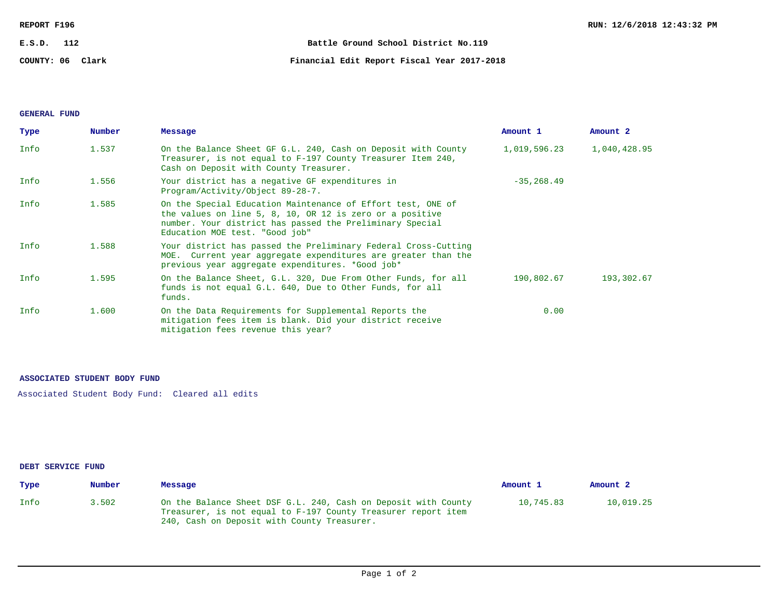| REPORT F196      | RUN: 12/6/2018 12:43:32 PM                  |  |
|------------------|---------------------------------------------|--|
| E.S.D.<br>112    | Battle Ground School District No.119        |  |
| COUNTY: 06 Clark | Financial Edit Report Fiscal Year 2017-2018 |  |

## **GENERAL FUND**

| Type | Number | Message                                                                                                                                                                                                               | Amount 1      | Amount 2     |
|------|--------|-----------------------------------------------------------------------------------------------------------------------------------------------------------------------------------------------------------------------|---------------|--------------|
| Info | 1.537  | On the Balance Sheet GF G.L. 240, Cash on Deposit with County<br>Treasurer, is not equal to F-197 County Treasurer Item 240,<br>Cash on Deposit with County Treasurer.                                                | 1,019,596.23  | 1,040,428.95 |
| Info | 1.556  | Your district has a negative GF expenditures in<br>Program/Activity/Object 89-28-7.                                                                                                                                   | $-35, 268.49$ |              |
| Info | 1.585  | On the Special Education Maintenance of Effort test, ONE of<br>the values on line 5, 8, 10, OR 12 is zero or a positive<br>number. Your district has passed the Preliminary Special<br>Education MOE test. "Good job" |               |              |
| Info | 1.588  | Your district has passed the Preliminary Federal Cross-Cutting<br>MOE. Current year aggregate expenditures are greater than the<br>previous year aggregate expenditures. *Good job*                                   |               |              |
| Info | 1.595  | On the Balance Sheet, G.L. 320, Due From Other Funds, for all<br>funds is not equal G.L. 640, Due to Other Funds, for all<br>funds.                                                                                   | 190,802.67    | 193,302.67   |
| Info | 1,600  | On the Data Requirements for Supplemental Reports the<br>mitigation fees item is blank. Did your district receive<br>mitigation fees revenue this year?                                                               | 0.00          |              |

### **ASSOCIATED STUDENT BODY FUND**

Associated Student Body Fund: Cleared all edits

#### **DEBT SERVICE FUND**

| Type | Number | Message                                                                                                                                                                        | Amount 1  | Amount <sub>2</sub> |
|------|--------|--------------------------------------------------------------------------------------------------------------------------------------------------------------------------------|-----------|---------------------|
| Info | 3.502  | On the Balance Sheet DSF G.L. 240, Cash on Deposit with County<br>Treasurer, is not equal to F-197 County Treasurer report item<br>240, Cash on Deposit with County Treasurer. | 10,745.83 | 10,019.25           |